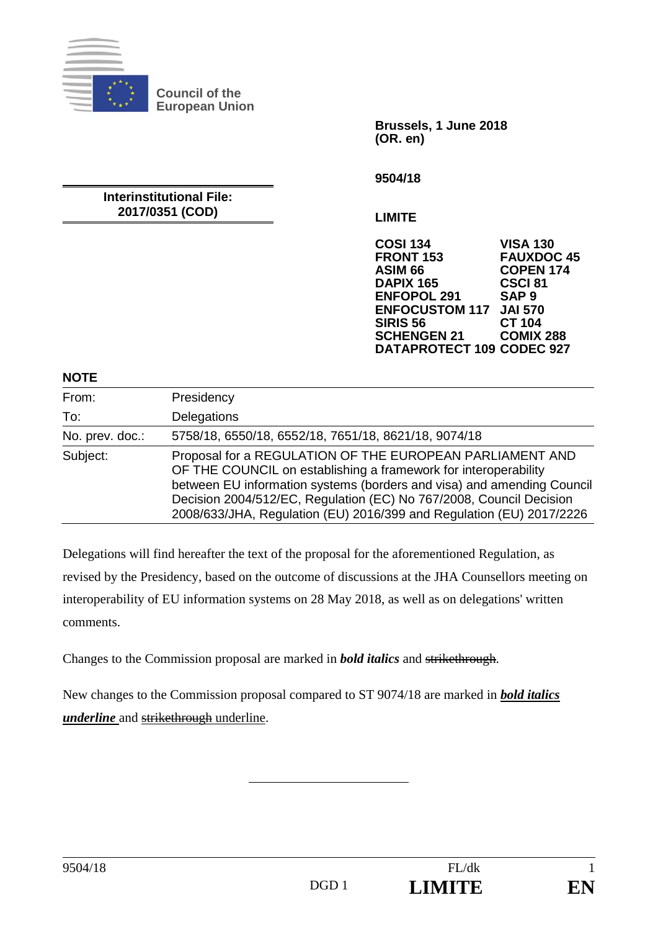

**Council of the European Union** 

> **Brussels, 1 June 2018 (OR. en)**

**9504/18** 

### **Interinstitutional File: 2017/0351 (COD)**

**LIMITE** 

**COSI 134 VISA 130 FRONT 153 FAUXDOC 45 ASIM 66 COPEN 174**<br>DAPIX 165 CSCI 81 **DAPIX 165 CSCI 8**<br>**ENFOPOL 291 SAP 9 ENFOPOL 291 SAP 9<br>ENFOCUSTOM 117 JAI 570 ENFOCUSTOM 117 SIRIS 56 CT 104 SCHENGEN 21 DATAPROTECT 109 CODEC 927**

### **NOTE**

| From:           | Presidency                                                                                                                                                                                                                                                                                                                                           |
|-----------------|------------------------------------------------------------------------------------------------------------------------------------------------------------------------------------------------------------------------------------------------------------------------------------------------------------------------------------------------------|
| To:             | Delegations                                                                                                                                                                                                                                                                                                                                          |
| No. prev. doc.: | 5758/18, 6550/18, 6552/18, 7651/18, 8621/18, 9074/18                                                                                                                                                                                                                                                                                                 |
| Subject:        | Proposal for a REGULATION OF THE EUROPEAN PARLIAMENT AND<br>OF THE COUNCIL on establishing a framework for interoperability<br>between EU information systems (borders and visa) and amending Council<br>Decision 2004/512/EC, Regulation (EC) No 767/2008, Council Decision<br>2008/633/JHA, Regulation (EU) 2016/399 and Regulation (EU) 2017/2226 |

Delegations will find hereafter the text of the proposal for the aforementioned Regulation, as revised by the Presidency, based on the outcome of discussions at the JHA Counsellors meeting on interoperability of EU information systems on 28 May 2018, as well as on delegations' written comments.

Changes to the Commission proposal are marked in *bold italics* and strikethrough.

New changes to the Commission proposal compared to ST 9074/18 are marked in *bold italics* **underline** and strikethrough underline.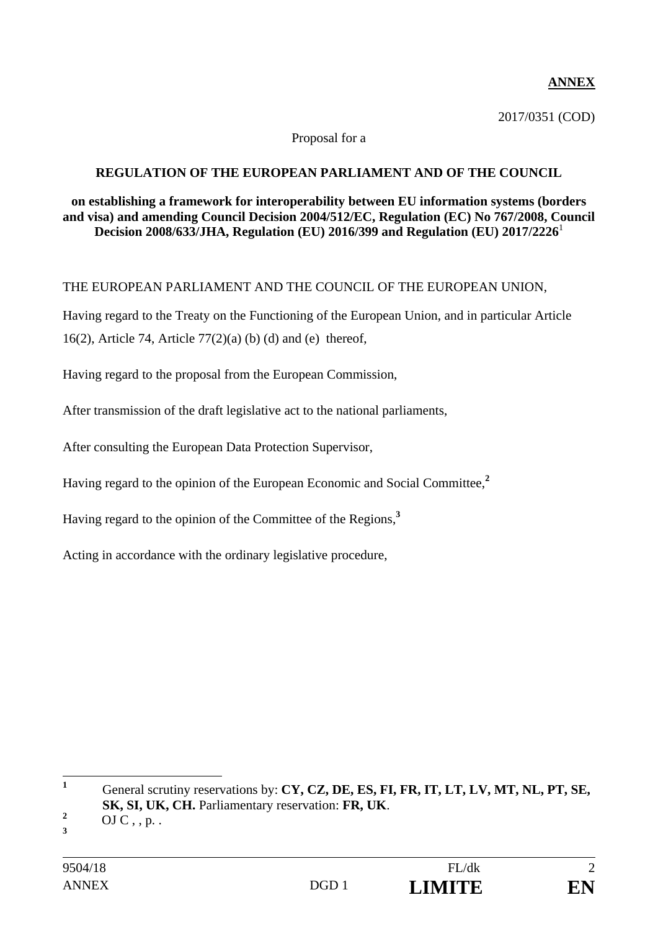## **ANNEX**

2017/0351 (COD)

### Proposal for a

### **REGULATION OF THE EUROPEAN PARLIAMENT AND OF THE COUNCIL**

### **on establishing a framework for interoperability between EU information systems (borders and visa) and amending Council Decision 2004/512/EC, Regulation (EC) No 767/2008, Council Decision 2008/633/JHA, Regulation (EU) 2016/399 and Regulation (EU) 2017/2226**<sup>1</sup>

### THE EUROPEAN PARLIAMENT AND THE COUNCIL OF THE EUROPEAN UNION,

Having regard to the Treaty on the Functioning of the European Union, and in particular Article 16(2), Article 74, Article 77(2)(a) (b) (d) and (e) thereof,

Having regard to the proposal from the European Commission,

After transmission of the draft legislative act to the national parliaments,

After consulting the European Data Protection Supervisor,

Having regard to the opinion of the European Economic and Social Committee,**<sup>2</sup>**

Having regard to the opinion of the Committee of the Regions,**<sup>3</sup>**

Acting in accordance with the ordinary legislative procedure,

 **1** General scrutiny reservations by: **CY, CZ, DE, ES, FI, FR, IT, LT, LV, MT, NL, PT, SE, SK, SI, UK, CH.** Parliamentary reservation: **FR, UK**.

 $OJ C$ , , p. . **3**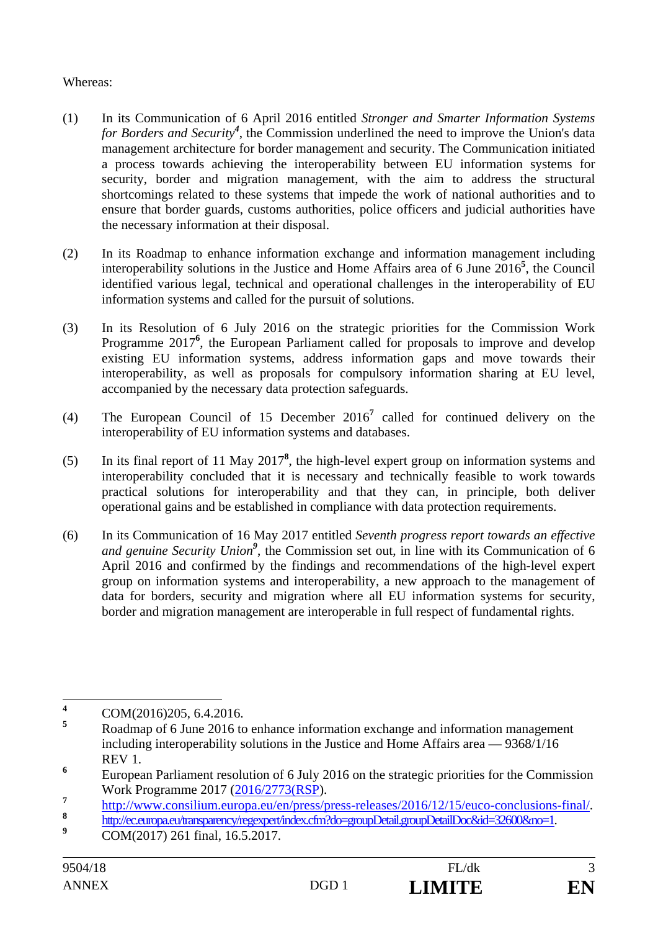### Whereas:

- (1) In its Communication of 6 April 2016 entitled *Stronger and Smarter Information Systems for Borders and Security<sup>4</sup>* , the Commission underlined the need to improve the Union's data management architecture for border management and security. The Communication initiated a process towards achieving the interoperability between EU information systems for security, border and migration management, with the aim to address the structural shortcomings related to these systems that impede the work of national authorities and to ensure that border guards, customs authorities, police officers and judicial authorities have the necessary information at their disposal.
- (2) In its Roadmap to enhance information exchange and information management including interoperability solutions in the Justice and Home Affairs area of 6 June 2016**<sup>5</sup>** , the Council identified various legal, technical and operational challenges in the interoperability of EU information systems and called for the pursuit of solutions.
- (3) In its Resolution of 6 July 2016 on the strategic priorities for the Commission Work Programme 2017<sup>6</sup>, the European Parliament called for proposals to improve and develop existing EU information systems, address information gaps and move towards their interoperability, as well as proposals for compulsory information sharing at EU level, accompanied by the necessary data protection safeguards.
- (4) The European Council of 15 December 2016**<sup>7</sup>** called for continued delivery on the interoperability of EU information systems and databases.
- (5) In its final report of 11 May 2017**<sup>8</sup>** , the high-level expert group on information systems and interoperability concluded that it is necessary and technically feasible to work towards practical solutions for interoperability and that they can, in principle, both deliver operational gains and be established in compliance with data protection requirements.
- (6) In its Communication of 16 May 2017 entitled *Seventh progress report towards an effective*  and genuine Security Union<sup>9</sup>, the Commission set out, in line with its Communication of 6 April 2016 and confirmed by the findings and recommendations of the high-level expert group on information systems and interoperability, a new approach to the management of data for borders, security and migration where all EU information systems for security, border and migration management are interoperable in full respect of fundamental rights.

 **4** COM(2016)205, 6.4.2016.

**<sup>5</sup>** Roadmap of 6 June 2016 to enhance information exchange and information management including interoperability solutions in the Justice and Home Affairs area — 9368/1/16 REV 1.

**<sup>6</sup>** European Parliament resolution of 6 July 2016 on the strategic priorities for the Commission Work Programme 2017 (2016/2773(RSP).

<sup>7</sup> http://www.consilium.europa.eu/en/press/press-releases/2016/12/15/euco-conclusions-final/.<br>**8** http://ec.europa.eu/transparency/regexpert/index.cfm?do=groupDetail.groupDetailDoc&id=32600&no=1.

COM(2017) 261 final, 16.5.2017.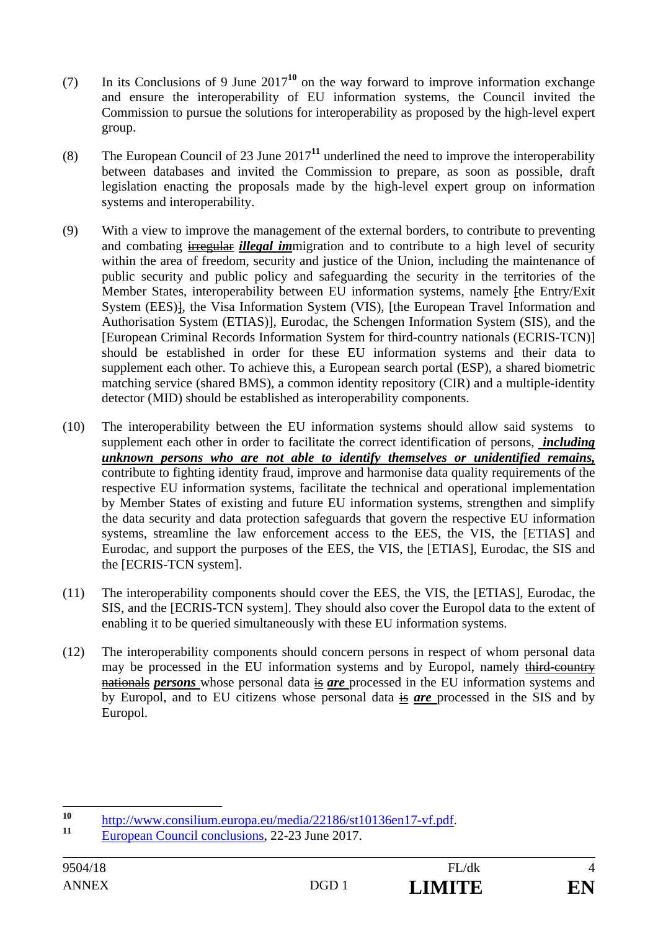- (7) In its Conclusions of 9 June 2017**<sup>10</sup>** on the way forward to improve information exchange and ensure the interoperability of EU information systems, the Council invited the Commission to pursue the solutions for interoperability as proposed by the high-level expert group.
- (8) The European Council of 23 June 2017**<sup>11</sup>** underlined the need to improve the interoperability between databases and invited the Commission to prepare, as soon as possible, draft legislation enacting the proposals made by the high-level expert group on information systems and interoperability.
- (9) With a view to improve the management of the external borders, to contribute to preventing and combating irregular *illegal im*migration and to contribute to a high level of security within the area of freedom, security and justice of the Union, including the maintenance of public security and public policy and safeguarding the security in the territories of the Member States, interoperability between EU information systems, namely the Entry/Exit System (EES), the Visa Information System (VIS), [the European Travel Information and Authorisation System (ETIAS)], Eurodac, the Schengen Information System (SIS), and the [European Criminal Records Information System for third-country nationals (ECRIS-TCN)] should be established in order for these EU information systems and their data to supplement each other. To achieve this, a European search portal (ESP), a shared biometric matching service (shared BMS), a common identity repository (CIR) and a multiple-identity detector (MID) should be established as interoperability components.
- (10) The interoperability between the EU information systems should allow said systems to supplement each other in order to facilitate the correct identification of persons, *including unknown persons who are not able to identify themselves or unidentified remains,*  contribute to fighting identity fraud, improve and harmonise data quality requirements of the respective EU information systems, facilitate the technical and operational implementation by Member States of existing and future EU information systems, strengthen and simplify the data security and data protection safeguards that govern the respective EU information systems, streamline the law enforcement access to the EES, the VIS, the [ETIAS] and Eurodac, and support the purposes of the EES, the VIS, the [ETIAS], Eurodac, the SIS and the [ECRIS-TCN system].
- (11) The interoperability components should cover the EES, the VIS, the [ETIAS], Eurodac, the SIS, and the [ECRIS-TCN system]. They should also cover the Europol data to the extent of enabling it to be queried simultaneously with these EU information systems.
- (12) The interoperability components should concern persons in respect of whom personal data may be processed in the EU information systems and by Europol, namely third-country nationals *persons* whose personal data is *are* processed in the EU information systems and by Europol, and to EU citizens whose personal data is *are* processed in the SIS and by Europol.

 $10$ <sup>10</sup> http://www.consilium.europa.eu/media/22186/st10136en17-vf.pdf.<br>
European Council conclusions, 22-23 June 2017.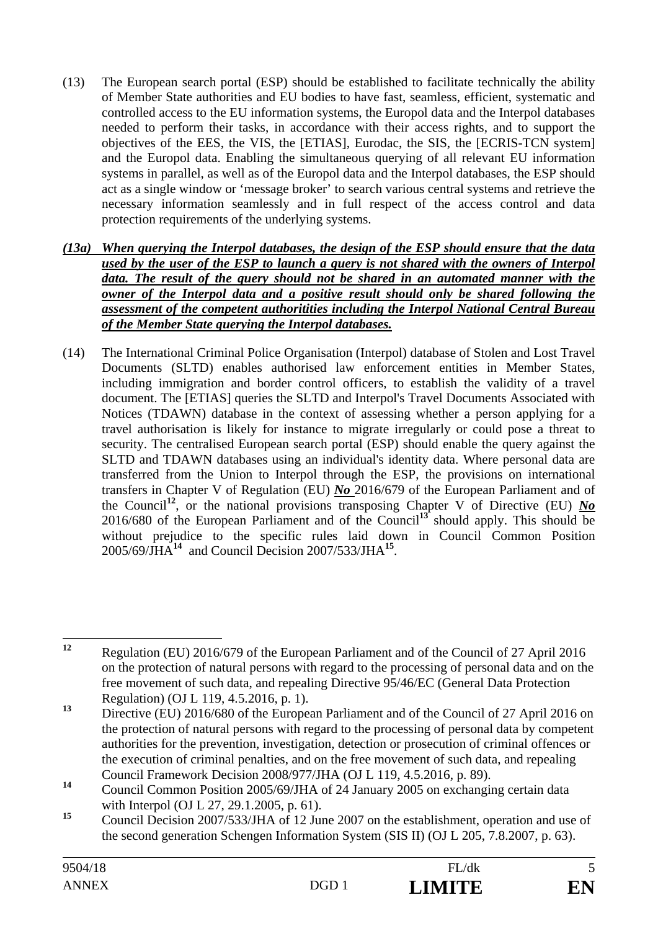- (13) The European search portal (ESP) should be established to facilitate technically the ability of Member State authorities and EU bodies to have fast, seamless, efficient, systematic and controlled access to the EU information systems, the Europol data and the Interpol databases needed to perform their tasks, in accordance with their access rights, and to support the objectives of the EES, the VIS, the [ETIAS], Eurodac, the SIS, the [ECRIS-TCN system] and the Europol data. Enabling the simultaneous querying of all relevant EU information systems in parallel, as well as of the Europol data and the Interpol databases, the ESP should act as a single window or 'message broker' to search various central systems and retrieve the necessary information seamlessly and in full respect of the access control and data protection requirements of the underlying systems.
- *(13a) When querying the Interpol databases, the design of the ESP should ensure that the data used by the user of the ESP to launch a query is not shared with the owners of Interpol*  data. The result of the query should not be shared in an automated manner with the *owner of the Interpol data and a positive result should only be shared following the assessment of the competent authoritities including the Interpol National Central Bureau of the Member State querying the Interpol databases.*
- (14) The International Criminal Police Organisation (Interpol) database of Stolen and Lost Travel Documents (SLTD) enables authorised law enforcement entities in Member States, including immigration and border control officers, to establish the validity of a travel document. The [ETIAS] queries the SLTD and Interpol's Travel Documents Associated with Notices (TDAWN) database in the context of assessing whether a person applying for a travel authorisation is likely for instance to migrate irregularly or could pose a threat to security. The centralised European search portal (ESP) should enable the query against the SLTD and TDAWN databases using an individual's identity data. Where personal data are transferred from the Union to Interpol through the ESP, the provisions on international transfers in Chapter V of Regulation (EU) *No* 2016/679 of the European Parliament and of the Council**<sup>12</sup>**, or the national provisions transposing Chapter V of Directive (EU) *No*  2016/680 of the European Parliament and of the Council**<sup>13</sup>** should apply. This should be without prejudice to the specific rules laid down in Council Common Position 2005/69/JHA**<sup>14</sup>** and Council Decision 2007/533/JHA**<sup>15</sup>**.

 $12$ **<sup>12</sup>** Regulation (EU) 2016/679 of the European Parliament and of the Council of 27 April 2016 on the protection of natural persons with regard to the processing of personal data and on the free movement of such data, and repealing Directive 95/46/EC (General Data Protection Regulation) (OJ L 119, 4.5.2016, p. 1).

<sup>&</sup>lt;sup>13</sup> Directive (EU) 2016/680 of the European Parliament and of the Council of 27 April 2016 on the protection of natural persons with regard to the processing of personal data by competent authorities for the prevention, investigation, detection or prosecution of criminal offences or the execution of criminal penalties, and on the free movement of such data, and repealing Council Framework Decision 2008/977/JHA (OJ L 119, 4.5.2016, p. 89).

**<sup>14</sup>** Council Common Position 2005/69/JHA of 24 January 2005 on exchanging certain data with Interpol (OJ L 27, 29.1.2005, p. 61).

<sup>&</sup>lt;sup>15</sup> Council Decision 2007/533/JHA of 12 June 2007 on the establishment, operation and use of the second generation Schengen Information System (SIS II) (OJ L 205, 7.8.2007, p. 63).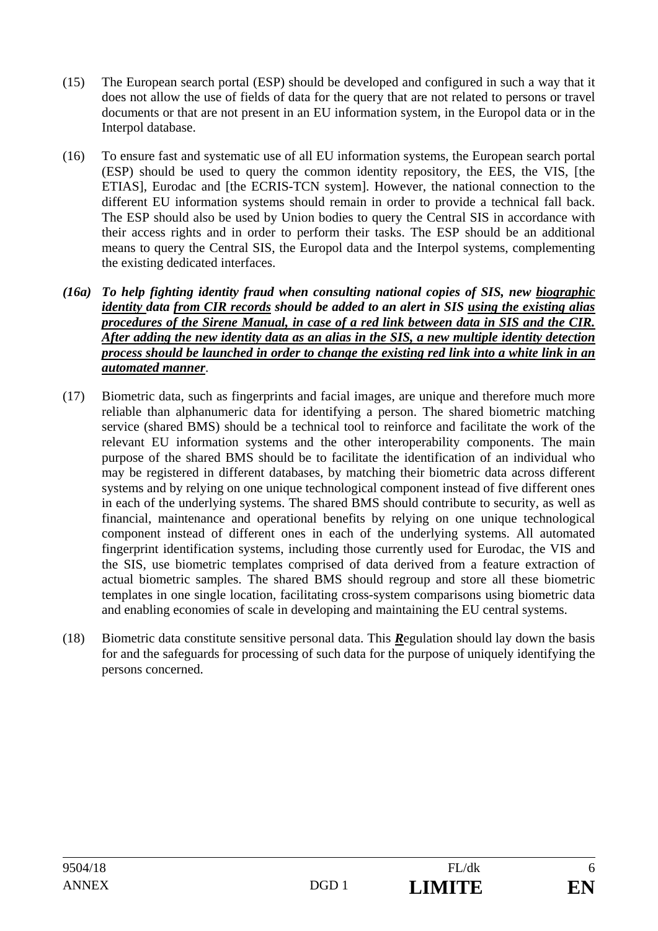- (15) The European search portal (ESP) should be developed and configured in such a way that it does not allow the use of fields of data for the query that are not related to persons or travel documents or that are not present in an EU information system, in the Europol data or in the Interpol database.
- (16) To ensure fast and systematic use of all EU information systems, the European search portal (ESP) should be used to query the common identity repository, the EES, the VIS, [the ETIAS], Eurodac and [the ECRIS-TCN system]. However, the national connection to the different EU information systems should remain in order to provide a technical fall back. The ESP should also be used by Union bodies to query the Central SIS in accordance with their access rights and in order to perform their tasks. The ESP should be an additional means to query the Central SIS, the Europol data and the Interpol systems, complementing the existing dedicated interfaces.
- *(16a) To help fighting identity fraud when consulting national copies of SIS, new biographic identity data from CIR records should be added to an alert in SIS using the existing alias procedures of the Sirene Manual, in case of a red link between data in SIS and the CIR. After adding the new identity data as an alias in the SIS, a new multiple identity detection process should be launched in order to change the existing red link into a white link in an automated manner*.
- (17) Biometric data, such as fingerprints and facial images, are unique and therefore much more reliable than alphanumeric data for identifying a person. The shared biometric matching service (shared BMS) should be a technical tool to reinforce and facilitate the work of the relevant EU information systems and the other interoperability components. The main purpose of the shared BMS should be to facilitate the identification of an individual who may be registered in different databases, by matching their biometric data across different systems and by relying on one unique technological component instead of five different ones in each of the underlying systems. The shared BMS should contribute to security, as well as financial, maintenance and operational benefits by relying on one unique technological component instead of different ones in each of the underlying systems. All automated fingerprint identification systems, including those currently used for Eurodac, the VIS and the SIS, use biometric templates comprised of data derived from a feature extraction of actual biometric samples. The shared BMS should regroup and store all these biometric templates in one single location, facilitating cross-system comparisons using biometric data and enabling economies of scale in developing and maintaining the EU central systems.
- (18) Biometric data constitute sensitive personal data. This *R*egulation should lay down the basis for and the safeguards for processing of such data for the purpose of uniquely identifying the persons concerned.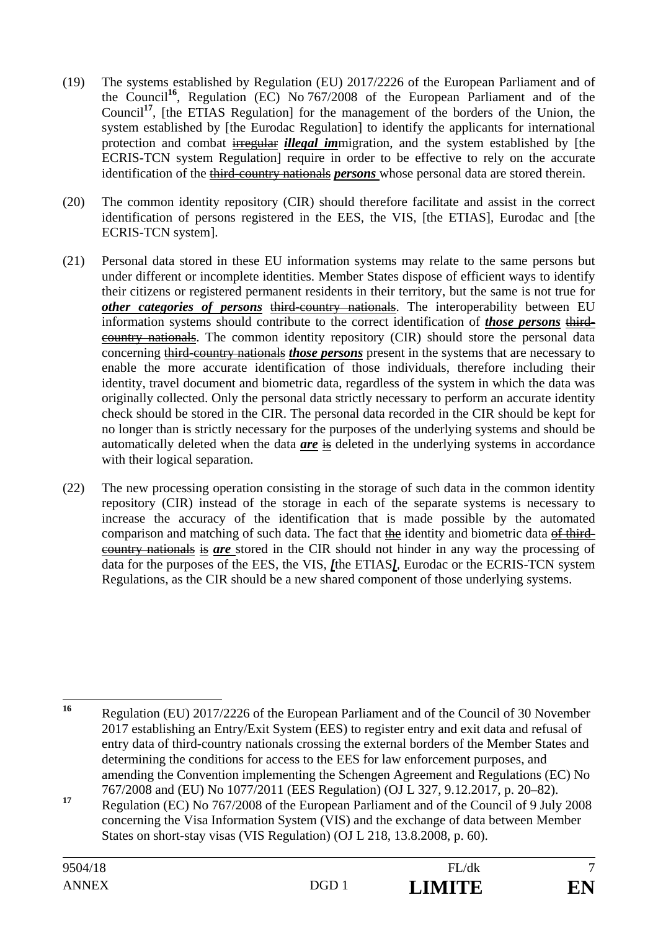- (19) The systems established by Regulation (EU) 2017/2226 of the European Parliament and of the Council**<sup>16</sup>**, Regulation (EC) No 767/2008 of the European Parliament and of the Council<sup>17</sup>, [the ETIAS Regulation] for the management of the borders of the Union, the system established by [the Eurodac Regulation] to identify the applicants for international protection and combat irregular *illegal im*migration, and the system established by [the ECRIS-TCN system Regulation] require in order to be effective to rely on the accurate identification of the third-country nationals *persons* whose personal data are stored therein.
- (20) The common identity repository (CIR) should therefore facilitate and assist in the correct identification of persons registered in the EES, the VIS, [the ETIAS], Eurodac and [the ECRIS-TCN system].
- (21) Personal data stored in these EU information systems may relate to the same persons but under different or incomplete identities. Member States dispose of efficient ways to identify their citizens or registered permanent residents in their territory, but the same is not true for *other categories of persons* third-country nationals. The interoperability between EU information systems should contribute to the correct identification of *those persons* thirdcountry nationals. The common identity repository (CIR) should store the personal data concerning third-country nationals *those persons* present in the systems that are necessary to enable the more accurate identification of those individuals, therefore including their identity, travel document and biometric data, regardless of the system in which the data was originally collected. Only the personal data strictly necessary to perform an accurate identity check should be stored in the CIR. The personal data recorded in the CIR should be kept for no longer than is strictly necessary for the purposes of the underlying systems and should be automatically deleted when the data **are** is deleted in the underlying systems in accordance with their logical separation.
- (22) The new processing operation consisting in the storage of such data in the common identity repository (CIR) instead of the storage in each of the separate systems is necessary to increase the accuracy of the identification that is made possible by the automated comparison and matching of such data. The fact that the identity and biometric data of thirdcountry nationals is *are* stored in the CIR should not hinder in any way the processing of data for the purposes of the EES, the VIS, *[*the ETIAS*]*, Eurodac or the ECRIS-TCN system Regulations, as the CIR should be a new shared component of those underlying systems.

 $16$ **<sup>16</sup>** Regulation (EU) 2017/2226 of the European Parliament and of the Council of 30 November 2017 establishing an Entry/Exit System (EES) to register entry and exit data and refusal of entry data of third-country nationals crossing the external borders of the Member States and determining the conditions for access to the EES for law enforcement purposes, and amending the Convention implementing the Schengen Agreement and Regulations (EC) No 767/2008 and (EU) No 1077/2011 (EES Regulation) (OJ L 327, 9.12.2017, p. 20–82).

**<sup>17</sup>** Regulation (EC) No 767/2008 of the European Parliament and of the Council of 9 July 2008 concerning the Visa Information System (VIS) and the exchange of data between Member States on short-stay visas (VIS Regulation) (OJ L 218, 13.8.2008, p. 60).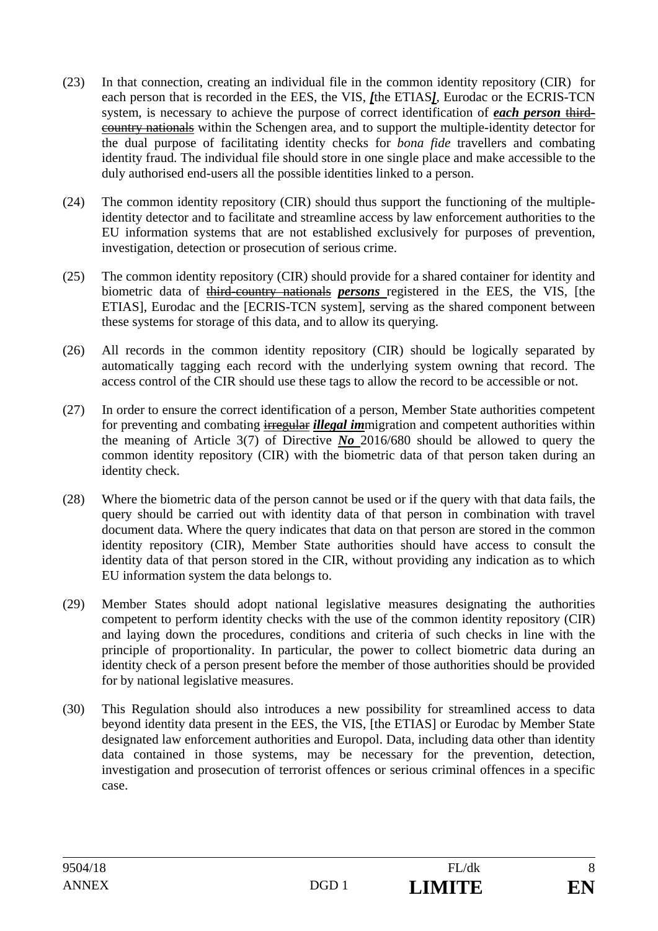- (23) In that connection, creating an individual file in the common identity repository (CIR) for each person that is recorded in the EES, the VIS, *[*the ETIAS*]*, Eurodac or the ECRIS-TCN system, is necessary to achieve the purpose of correct identification of *each person* thirdcountry nationals within the Schengen area, and to support the multiple-identity detector for the dual purpose of facilitating identity checks for *bona fide* travellers and combating identity fraud. The individual file should store in one single place and make accessible to the duly authorised end-users all the possible identities linked to a person.
- (24) The common identity repository (CIR) should thus support the functioning of the multipleidentity detector and to facilitate and streamline access by law enforcement authorities to the EU information systems that are not established exclusively for purposes of prevention, investigation, detection or prosecution of serious crime.
- (25) The common identity repository (CIR) should provide for a shared container for identity and biometric data of third-country nationals *persons* registered in the EES, the VIS, [the ETIAS], Eurodac and the [ECRIS-TCN system], serving as the shared component between these systems for storage of this data, and to allow its querying.
- (26) All records in the common identity repository (CIR) should be logically separated by automatically tagging each record with the underlying system owning that record. The access control of the CIR should use these tags to allow the record to be accessible or not.
- (27) In order to ensure the correct identification of a person, Member State authorities competent for preventing and combating irregular *illegal im*migration and competent authorities within the meaning of Article 3(7) of Directive *No* 2016/680 should be allowed to query the common identity repository (CIR) with the biometric data of that person taken during an identity check.
- (28) Where the biometric data of the person cannot be used or if the query with that data fails, the query should be carried out with identity data of that person in combination with travel document data. Where the query indicates that data on that person are stored in the common identity repository (CIR), Member State authorities should have access to consult the identity data of that person stored in the CIR, without providing any indication as to which EU information system the data belongs to.
- (29) Member States should adopt national legislative measures designating the authorities competent to perform identity checks with the use of the common identity repository (CIR) and laying down the procedures, conditions and criteria of such checks in line with the principle of proportionality. In particular, the power to collect biometric data during an identity check of a person present before the member of those authorities should be provided for by national legislative measures.
- (30) This Regulation should also introduces a new possibility for streamlined access to data beyond identity data present in the EES, the VIS, [the ETIAS] or Eurodac by Member State designated law enforcement authorities and Europol. Data, including data other than identity data contained in those systems, may be necessary for the prevention, detection, investigation and prosecution of terrorist offences or serious criminal offences in a specific case.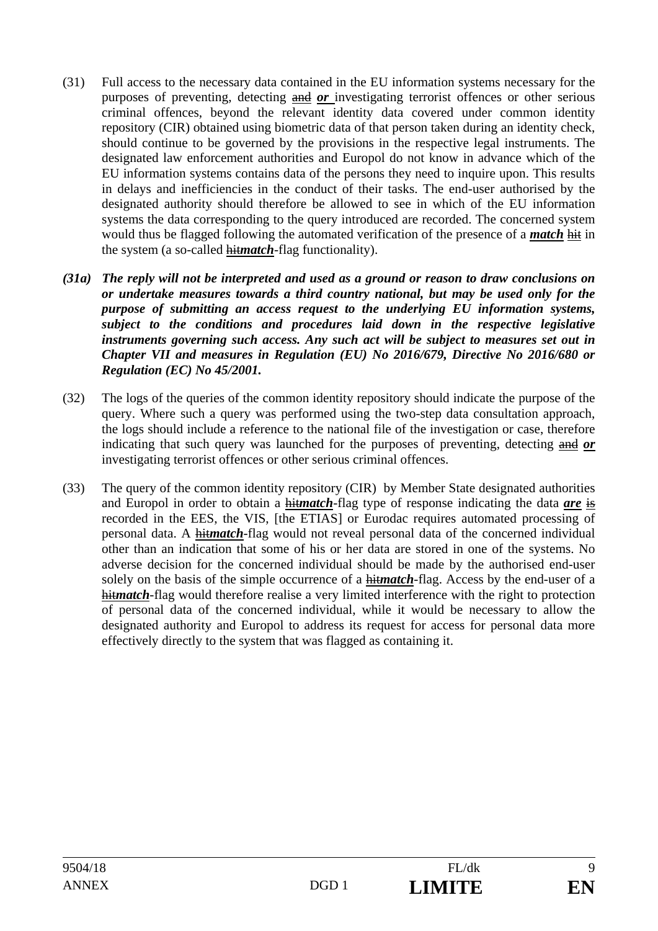- (31) Full access to the necessary data contained in the EU information systems necessary for the purposes of preventing, detecting and *or* investigating terrorist offences or other serious criminal offences, beyond the relevant identity data covered under common identity repository (CIR) obtained using biometric data of that person taken during an identity check, should continue to be governed by the provisions in the respective legal instruments. The designated law enforcement authorities and Europol do not know in advance which of the EU information systems contains data of the persons they need to inquire upon. This results in delays and inefficiencies in the conduct of their tasks. The end-user authorised by the designated authority should therefore be allowed to see in which of the EU information systems the data corresponding to the query introduced are recorded. The concerned system would thus be flagged following the automated verification of the presence of a *match* hit in the system (a so-called hit*match*-flag functionality).
- *(31a) The reply will not be interpreted and used as a ground or reason to draw conclusions on or undertake measures towards a third country national, but may be used only for the purpose of submitting an access request to the underlying EU information systems, subject to the conditions and procedures laid down in the respective legislative instruments governing such access. Any such act will be subject to measures set out in Chapter VII and measures in Regulation (EU) No 2016/679, Directive No 2016/680 or Regulation (EC) No 45/2001.*
- (32) The logs of the queries of the common identity repository should indicate the purpose of the query. Where such a query was performed using the two-step data consultation approach, the logs should include a reference to the national file of the investigation or case, therefore indicating that such query was launched for the purposes of preventing, detecting and *or* investigating terrorist offences or other serious criminal offences.
- (33) The query of the common identity repository (CIR) by Member State designated authorities and Europol in order to obtain a hit*match*-flag type of response indicating the data *are* is recorded in the EES, the VIS, [the ETIAS] or Eurodac requires automated processing of personal data. A hit*match*-flag would not reveal personal data of the concerned individual other than an indication that some of his or her data are stored in one of the systems. No adverse decision for the concerned individual should be made by the authorised end-user solely on the basis of the simple occurrence of a hit*match*-flag. Access by the end-user of a hit*match*-flag would therefore realise a very limited interference with the right to protection of personal data of the concerned individual, while it would be necessary to allow the designated authority and Europol to address its request for access for personal data more effectively directly to the system that was flagged as containing it.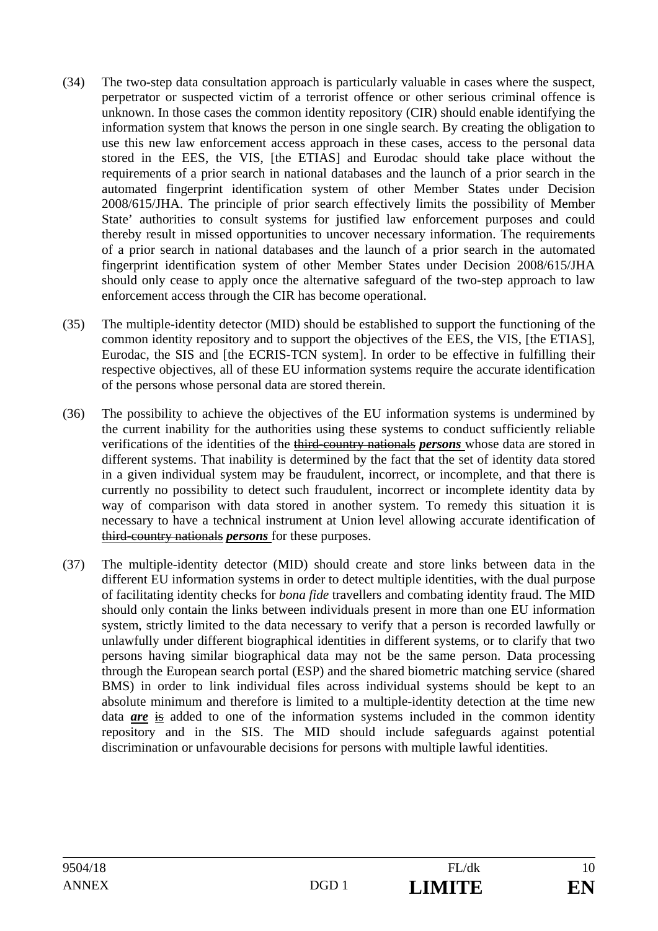- (34) The two-step data consultation approach is particularly valuable in cases where the suspect, perpetrator or suspected victim of a terrorist offence or other serious criminal offence is unknown. In those cases the common identity repository (CIR) should enable identifying the information system that knows the person in one single search. By creating the obligation to use this new law enforcement access approach in these cases, access to the personal data stored in the EES, the VIS, [the ETIAS] and Eurodac should take place without the requirements of a prior search in national databases and the launch of a prior search in the automated fingerprint identification system of other Member States under Decision 2008/615/JHA. The principle of prior search effectively limits the possibility of Member State' authorities to consult systems for justified law enforcement purposes and could thereby result in missed opportunities to uncover necessary information. The requirements of a prior search in national databases and the launch of a prior search in the automated fingerprint identification system of other Member States under Decision 2008/615/JHA should only cease to apply once the alternative safeguard of the two-step approach to law enforcement access through the CIR has become operational.
- (35) The multiple-identity detector (MID) should be established to support the functioning of the common identity repository and to support the objectives of the EES, the VIS, [the ETIAS], Eurodac, the SIS and [the ECRIS-TCN system]. In order to be effective in fulfilling their respective objectives, all of these EU information systems require the accurate identification of the persons whose personal data are stored therein.
- (36) The possibility to achieve the objectives of the EU information systems is undermined by the current inability for the authorities using these systems to conduct sufficiently reliable verifications of the identities of the third-country nationals *persons* whose data are stored in different systems. That inability is determined by the fact that the set of identity data stored in a given individual system may be fraudulent, incorrect, or incomplete, and that there is currently no possibility to detect such fraudulent, incorrect or incomplete identity data by way of comparison with data stored in another system. To remedy this situation it is necessary to have a technical instrument at Union level allowing accurate identification of third-country nationals *persons* for these purposes.
- (37) The multiple-identity detector (MID) should create and store links between data in the different EU information systems in order to detect multiple identities, with the dual purpose of facilitating identity checks for *bona fide* travellers and combating identity fraud. The MID should only contain the links between individuals present in more than one EU information system, strictly limited to the data necessary to verify that a person is recorded lawfully or unlawfully under different biographical identities in different systems, or to clarify that two persons having similar biographical data may not be the same person. Data processing through the European search portal (ESP) and the shared biometric matching service (shared BMS) in order to link individual files across individual systems should be kept to an absolute minimum and therefore is limited to a multiple-identity detection at the time new data **are** is added to one of the information systems included in the common identity repository and in the SIS. The MID should include safeguards against potential discrimination or unfavourable decisions for persons with multiple lawful identities.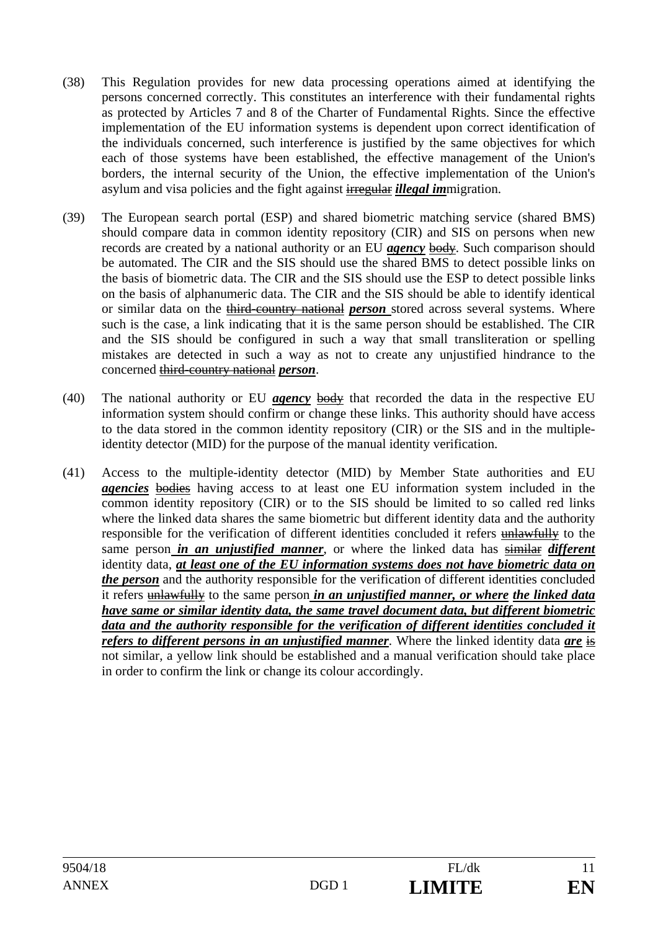- (38) This Regulation provides for new data processing operations aimed at identifying the persons concerned correctly. This constitutes an interference with their fundamental rights as protected by Articles 7 and 8 of the Charter of Fundamental Rights. Since the effective implementation of the EU information systems is dependent upon correct identification of the individuals concerned, such interference is justified by the same objectives for which each of those systems have been established, the effective management of the Union's borders, the internal security of the Union, the effective implementation of the Union's asylum and visa policies and the fight against irregular *illegal im*migration.
- (39) The European search portal (ESP) and shared biometric matching service (shared BMS) should compare data in common identity repository (CIR) and SIS on persons when new records are created by a national authority or an EU *agency* body. Such comparison should be automated. The CIR and the SIS should use the shared BMS to detect possible links on the basis of biometric data. The CIR and the SIS should use the ESP to detect possible links on the basis of alphanumeric data. The CIR and the SIS should be able to identify identical or similar data on the third-country national *person* stored across several systems. Where such is the case, a link indicating that it is the same person should be established. The CIR and the SIS should be configured in such a way that small transliteration or spelling mistakes are detected in such a way as not to create any unjustified hindrance to the concerned third-country national *person*.
- (40) The national authority or EU *agency* body that recorded the data in the respective EU information system should confirm or change these links. This authority should have access to the data stored in the common identity repository (CIR) or the SIS and in the multipleidentity detector (MID) for the purpose of the manual identity verification.
- (41) Access to the multiple-identity detector (MID) by Member State authorities and EU *agencies* bodies having access to at least one EU information system included in the common identity repository (CIR) or to the SIS should be limited to so called red links where the linked data shares the same biometric but different identity data and the authority responsible for the verification of different identities concluded it refers unlawfully to the same person *in an unjustified manner*, or where the linked data has similar *different*  identity data, *at least one of the EU information systems does not have biometric data on the person* and the authority responsible for the verification of different identities concluded it refers unlawfully to the same person *in an unjustified manner, or where the linked data have same or similar identity data, the same travel document data, but different biometric data and the authority responsible for the verification of different identities concluded it refers to different persons in an unjustified manner*. Where the linked identity data *are* is not similar, a yellow link should be established and a manual verification should take place in order to confirm the link or change its colour accordingly.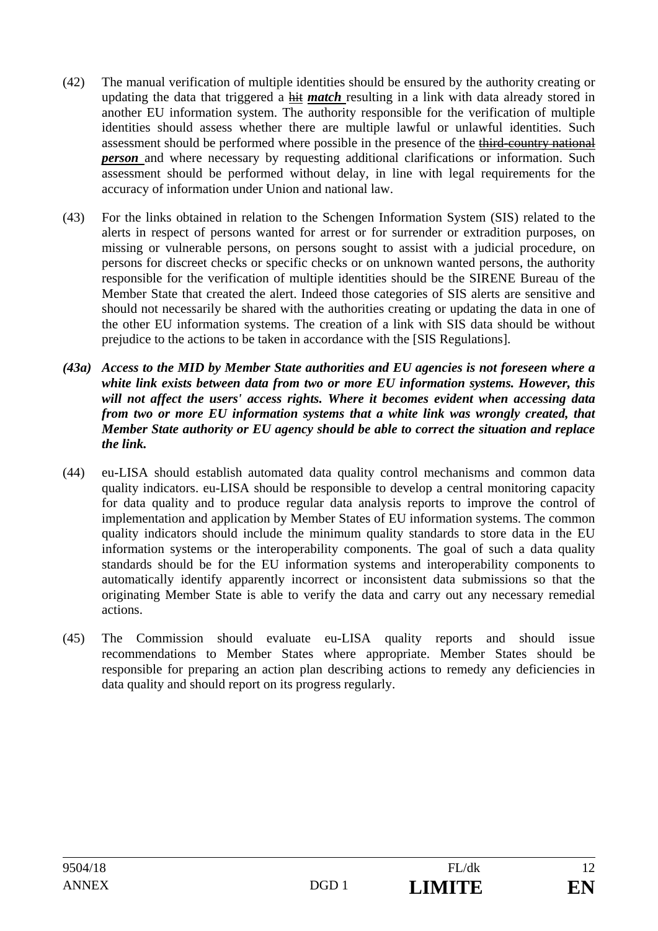- (42) The manual verification of multiple identities should be ensured by the authority creating or updating the data that triggered a hit *match* resulting in a link with data already stored in another EU information system. The authority responsible for the verification of multiple identities should assess whether there are multiple lawful or unlawful identities. Such assessment should be performed where possible in the presence of the third-country national *person* and where necessary by requesting additional clarifications or information. Such assessment should be performed without delay, in line with legal requirements for the accuracy of information under Union and national law.
- (43) For the links obtained in relation to the Schengen Information System (SIS) related to the alerts in respect of persons wanted for arrest or for surrender or extradition purposes, on missing or vulnerable persons, on persons sought to assist with a judicial procedure, on persons for discreet checks or specific checks or on unknown wanted persons, the authority responsible for the verification of multiple identities should be the SIRENE Bureau of the Member State that created the alert. Indeed those categories of SIS alerts are sensitive and should not necessarily be shared with the authorities creating or updating the data in one of the other EU information systems. The creation of a link with SIS data should be without prejudice to the actions to be taken in accordance with the [SIS Regulations].
- *(43a) Access to the MID by Member State authorities and EU agencies is not foreseen where a white link exists between data from two or more EU information systems. However, this will not affect the users' access rights. Where it becomes evident when accessing data from two or more EU information systems that a white link was wrongly created, that Member State authority or EU agency should be able to correct the situation and replace the link.*
- (44) eu-LISA should establish automated data quality control mechanisms and common data quality indicators. eu-LISA should be responsible to develop a central monitoring capacity for data quality and to produce regular data analysis reports to improve the control of implementation and application by Member States of EU information systems. The common quality indicators should include the minimum quality standards to store data in the EU information systems or the interoperability components. The goal of such a data quality standards should be for the EU information systems and interoperability components to automatically identify apparently incorrect or inconsistent data submissions so that the originating Member State is able to verify the data and carry out any necessary remedial actions.
- (45) The Commission should evaluate eu-LISA quality reports and should issue recommendations to Member States where appropriate. Member States should be responsible for preparing an action plan describing actions to remedy any deficiencies in data quality and should report on its progress regularly.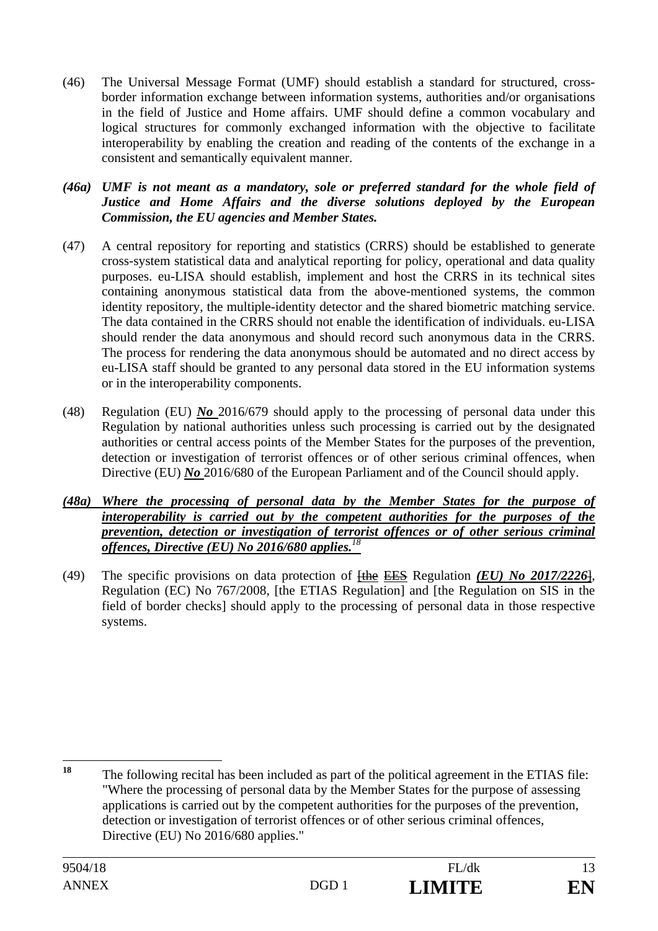(46) The Universal Message Format (UMF) should establish a standard for structured, crossborder information exchange between information systems, authorities and/or organisations in the field of Justice and Home affairs. UMF should define a common vocabulary and logical structures for commonly exchanged information with the objective to facilitate interoperability by enabling the creation and reading of the contents of the exchange in a consistent and semantically equivalent manner.

*(46a) UMF is not meant as a mandatory, sole or preferred standard for the whole field of Justice and Home Affairs and the diverse solutions deployed by the European Commission, the EU agencies and Member States.*

- (47) A central repository for reporting and statistics (CRRS) should be established to generate cross-system statistical data and analytical reporting for policy, operational and data quality purposes. eu-LISA should establish, implement and host the CRRS in its technical sites containing anonymous statistical data from the above-mentioned systems, the common identity repository, the multiple-identity detector and the shared biometric matching service. The data contained in the CRRS should not enable the identification of individuals. eu-LISA should render the data anonymous and should record such anonymous data in the CRRS. The process for rendering the data anonymous should be automated and no direct access by eu-LISA staff should be granted to any personal data stored in the EU information systems or in the interoperability components.
- (48) Regulation (EU) *No* 2016/679 should apply to the processing of personal data under this Regulation by national authorities unless such processing is carried out by the designated authorities or central access points of the Member States for the purposes of the prevention, detection or investigation of terrorist offences or of other serious criminal offences, when Directive (EU) *No* 2016/680 of the European Parliament and of the Council should apply.
- *(48a) Where the processing of personal data by the Member States for the purpose of interoperability is carried out by the competent authorities for the purposes of the prevention, detection or investigation of terrorist offences or of other serious criminal offences, Directive (EU) No 2016/680 applies.<sup>18</sup>*
- (49) The specific provisions on data protection of [the EES Regulation *(EU) No 2017/2226*], Regulation (EC) No 767/2008, [the ETIAS Regulation] and [the Regulation on SIS in the field of border checks] should apply to the processing of personal data in those respective systems.

<sup>18</sup> **<sup>18</sup>** The following recital has been included as part of the political agreement in the ETIAS file: "Where the processing of personal data by the Member States for the purpose of assessing applications is carried out by the competent authorities for the purposes of the prevention, detection or investigation of terrorist offences or of other serious criminal offences, Directive (EU) No 2016/680 applies."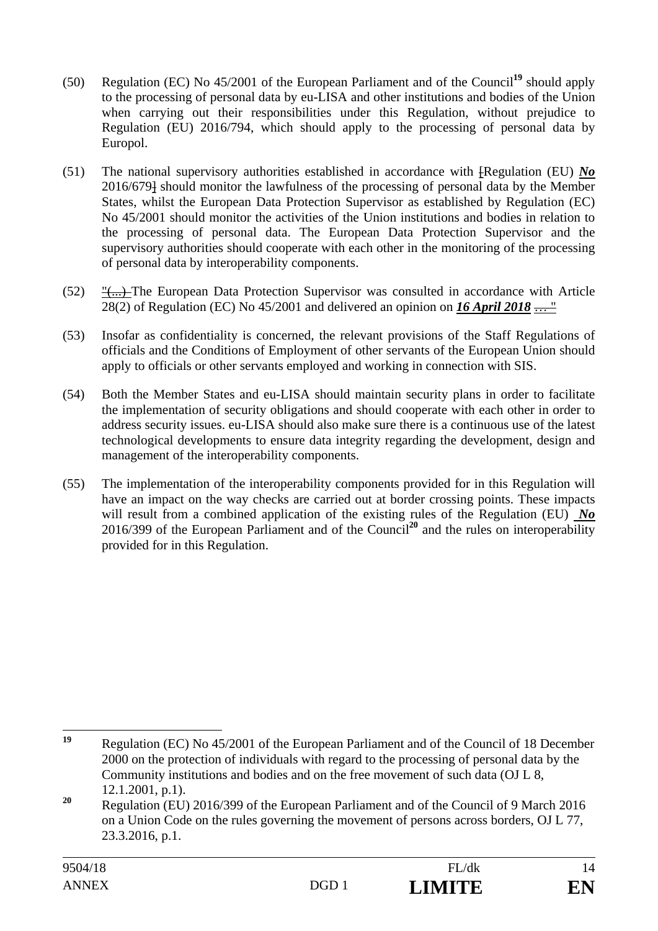- (50) Regulation (EC) No 45/2001 of the European Parliament and of the Council**<sup>19</sup>** should apply to the processing of personal data by eu-LISA and other institutions and bodies of the Union when carrying out their responsibilities under this Regulation, without prejudice to Regulation (EU) 2016/794, which should apply to the processing of personal data by Europol.
- (51) The national supervisory authorities established in accordance with [Regulation (EU) *No*  2016/679] should monitor the lawfulness of the processing of personal data by the Member States, whilst the European Data Protection Supervisor as established by Regulation (EC) No 45/2001 should monitor the activities of the Union institutions and bodies in relation to the processing of personal data. The European Data Protection Supervisor and the supervisory authorities should cooperate with each other in the monitoring of the processing of personal data by interoperability components.
- (52) "(...) The European Data Protection Supervisor was consulted in accordance with Article 28(2) of Regulation (EC) No 45/2001 and delivered an opinion on *16 April 2018* … "
- (53) Insofar as confidentiality is concerned, the relevant provisions of the Staff Regulations of officials and the Conditions of Employment of other servants of the European Union should apply to officials or other servants employed and working in connection with SIS.
- (54) Both the Member States and eu-LISA should maintain security plans in order to facilitate the implementation of security obligations and should cooperate with each other in order to address security issues. eu-LISA should also make sure there is a continuous use of the latest technological developments to ensure data integrity regarding the development, design and management of the interoperability components.
- (55) The implementation of the interoperability components provided for in this Regulation will have an impact on the way checks are carried out at border crossing points. These impacts will result from a combined application of the existing rules of the Regulation (EU) *No*  2016/399 of the European Parliament and of the Council**<sup>20</sup>** and the rules on interoperability provided for in this Regulation.

<sup>19</sup> **<sup>19</sup>** Regulation (EC) No 45/2001 of the European Parliament and of the Council of 18 December 2000 on the protection of individuals with regard to the processing of personal data by the Community institutions and bodies and on the free movement of such data (OJ L 8, 12.1.2001, p.1).

**<sup>20</sup>** Regulation (EU) 2016/399 of the European Parliament and of the Council of 9 March 2016 on a Union Code on the rules governing the movement of persons across borders, OJ L 77, 23.3.2016, p.1.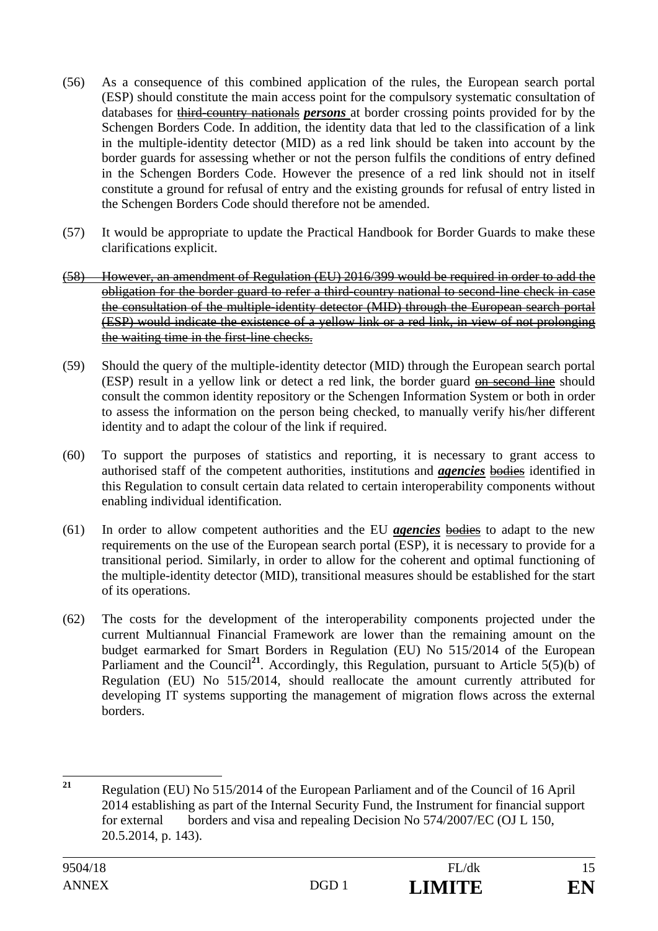- (56) As a consequence of this combined application of the rules, the European search portal (ESP) should constitute the main access point for the compulsory systematic consultation of databases for third-country nationals *persons* at border crossing points provided for by the Schengen Borders Code. In addition, the identity data that led to the classification of a link in the multiple-identity detector (MID) as a red link should be taken into account by the border guards for assessing whether or not the person fulfils the conditions of entry defined in the Schengen Borders Code. However the presence of a red link should not in itself constitute a ground for refusal of entry and the existing grounds for refusal of entry listed in the Schengen Borders Code should therefore not be amended.
- (57) It would be appropriate to update the Practical Handbook for Border Guards to make these clarifications explicit.
- (58) However, an amendment of Regulation (EU) 2016/399 would be required in order to add the obligation for the border guard to refer a third-country national to second-line check in case the consultation of the multiple-identity detector (MID) through the European search portal (ESP) would indicate the existence of a yellow link or a red link, in view of not prolonging the waiting time in the first-line checks.
- (59) Should the query of the multiple-identity detector (MID) through the European search portal (ESP) result in a yellow link or detect a red link, the border guard **on second line** should consult the common identity repository or the Schengen Information System or both in order to assess the information on the person being checked, to manually verify his/her different identity and to adapt the colour of the link if required.
- (60) To support the purposes of statistics and reporting, it is necessary to grant access to authorised staff of the competent authorities, institutions and *agencies* bodies identified in this Regulation to consult certain data related to certain interoperability components without enabling individual identification.
- (61) In order to allow competent authorities and the EU *agencies* bodies to adapt to the new requirements on the use of the European search portal (ESP), it is necessary to provide for a transitional period. Similarly, in order to allow for the coherent and optimal functioning of the multiple-identity detector (MID), transitional measures should be established for the start of its operations.
- (62) The costs for the development of the interoperability components projected under the current Multiannual Financial Framework are lower than the remaining amount on the budget earmarked for Smart Borders in Regulation (EU) No 515/2014 of the European Parliament and the Council<sup>21</sup>. Accordingly, this Regulation, pursuant to Article  $5(5)(b)$  of Regulation (EU) No 515/2014, should reallocate the amount currently attributed for developing IT systems supporting the management of migration flows across the external borders.

 $21$ **<sup>21</sup>** Regulation (EU) No 515/2014 of the European Parliament and of the Council of 16 April 2014 establishing as part of the Internal Security Fund, the Instrument for financial support for external borders and visa and repealing Decision No 574/2007/EC (OJ L 150, 20.5.2014, p. 143).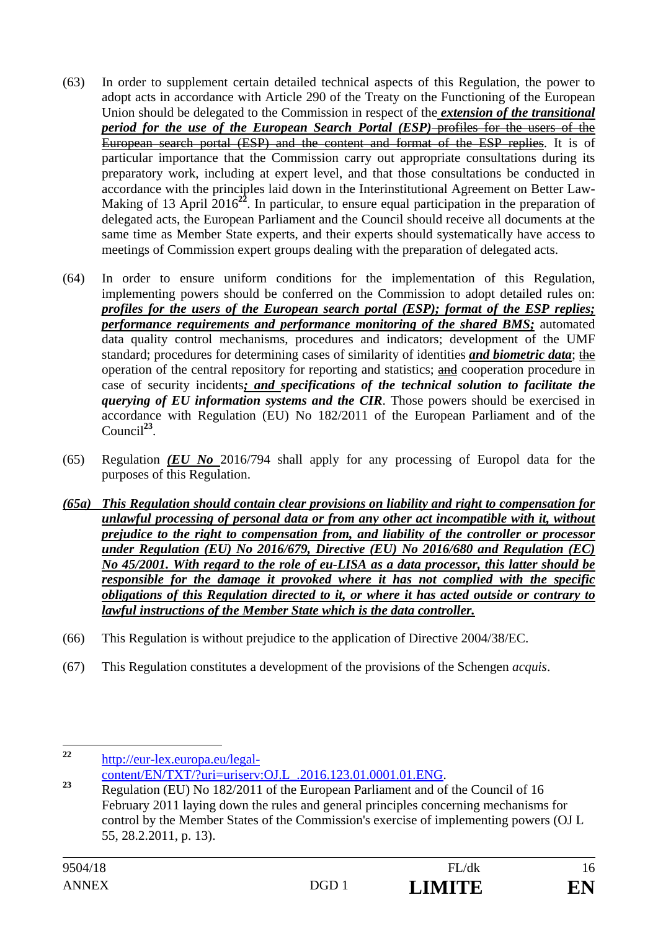- (63) In order to supplement certain detailed technical aspects of this Regulation, the power to adopt acts in accordance with Article 290 of the Treaty on the Functioning of the European Union should be delegated to the Commission in respect of the *extension of the transitional period for the use of the European Search Portal (ESP)*-profiles for the users of the European search portal (ESP) and the content and format of the ESP replies. It is of particular importance that the Commission carry out appropriate consultations during its preparatory work, including at expert level, and that those consultations be conducted in accordance with the principles laid down in the Interinstitutional Agreement on Better Law-Making of 13 April 2016<sup>22</sup>. In particular, to ensure equal participation in the preparation of delegated acts, the European Parliament and the Council should receive all documents at the same time as Member State experts, and their experts should systematically have access to meetings of Commission expert groups dealing with the preparation of delegated acts.
- (64) In order to ensure uniform conditions for the implementation of this Regulation, implementing powers should be conferred on the Commission to adopt detailed rules on: *profiles for the users of the European search portal (ESP); format of the ESP replies; performance requirements and performance monitoring of the shared BMS;* automated data quality control mechanisms, procedures and indicators; development of the UMF standard; procedures for determining cases of similarity of identities *and biometric data*; the operation of the central repository for reporting and statistics; and cooperation procedure in case of security incidents*; and specifications of the technical solution to facilitate the querying of EU information systems and the CIR*. Those powers should be exercised in accordance with Regulation (EU) No 182/2011 of the European Parliament and of the Council**<sup>23</sup>**.
- (65) Regulation *(EU No* 2016/794 shall apply for any processing of Europol data for the purposes of this Regulation.
- *(65a) This Regulation should contain clear provisions on liability and right to compensation for unlawful processing of personal data or from any other act incompatible with it, without prejudice to the right to compensation from, and liability of the controller or processor under Regulation (EU) No 2016/679, Directive (EU) No 2016/680 and Regulation (EC) No 45/2001. With regard to the role of eu-LISA as a data processor, this latter should be responsible for the damage it provoked where it has not complied with the specific obligations of this Regulation directed to it, or where it has acted outside or contrary to lawful instructions of the Member State which is the data controller.*
- (66) This Regulation is without prejudice to the application of Directive 2004/38/EC.
- (67) This Regulation constitutes a development of the provisions of the Schengen *acquis*.

 $22$ **<sup>22</sup>** http://eur-lex.europa.eu/legal-

<sup>&</sup>lt;sup>content/EN/TXT/?uri=uriserv:OJ.L\_.2016.123.01.0001.01.ENG.<br>
Regulation (EU) No 182/2011 of the European Parliament and of the Council of 16</sup> February 2011 laying down the rules and general principles concerning mechanisms for control by the Member States of the Commission's exercise of implementing powers (OJ L 55, 28.2.2011, p. 13).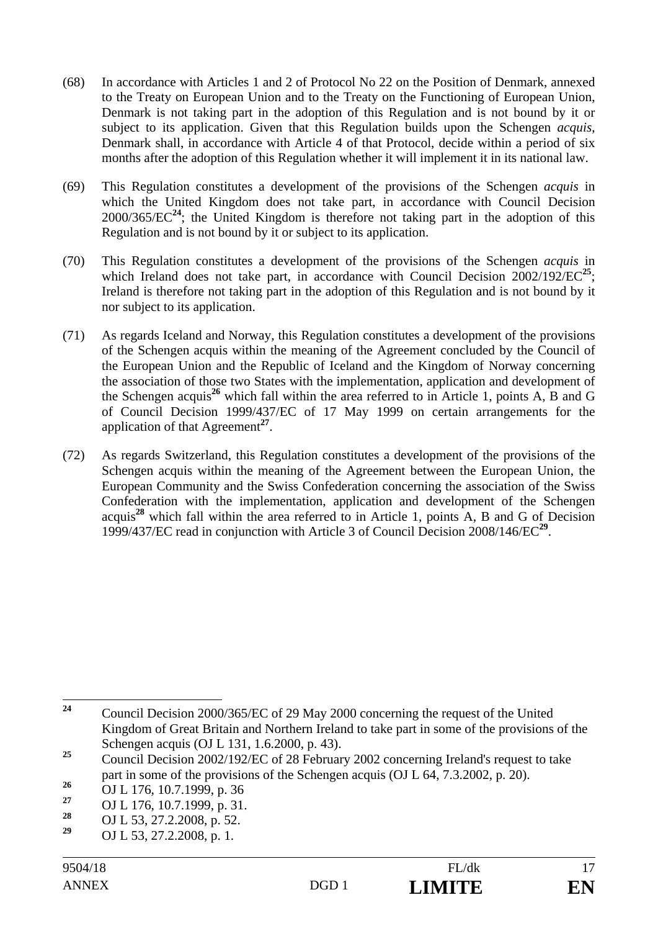- (68) In accordance with Articles 1 and 2 of Protocol No 22 on the Position of Denmark, annexed to the Treaty on European Union and to the Treaty on the Functioning of European Union, Denmark is not taking part in the adoption of this Regulation and is not bound by it or subject to its application. Given that this Regulation builds upon the Schengen *acquis*, Denmark shall, in accordance with Article 4 of that Protocol, decide within a period of six months after the adoption of this Regulation whether it will implement it in its national law.
- (69) This Regulation constitutes a development of the provisions of the Schengen *acquis* in which the United Kingdom does not take part, in accordance with Council Decision  $2000/365/EC^{24}$ ; the United Kingdom is therefore not taking part in the adoption of this Regulation and is not bound by it or subject to its application.
- (70) This Regulation constitutes a development of the provisions of the Schengen *acquis* in which Ireland does not take part, in accordance with Council Decision  $2002/192/EC^{25}$ ; Ireland is therefore not taking part in the adoption of this Regulation and is not bound by it nor subject to its application.
- (71) As regards Iceland and Norway, this Regulation constitutes a development of the provisions of the Schengen acquis within the meaning of the Agreement concluded by the Council of the European Union and the Republic of Iceland and the Kingdom of Norway concerning the association of those two States with the implementation, application and development of the Schengen acquis**<sup>26</sup>** which fall within the area referred to in Article 1, points A, B and G of Council Decision 1999/437/EC of 17 May 1999 on certain arrangements for the application of that Agreement**<sup>27</sup>**.
- (72) As regards Switzerland, this Regulation constitutes a development of the provisions of the Schengen acquis within the meaning of the Agreement between the European Union, the European Community and the Swiss Confederation concerning the association of the Swiss Confederation with the implementation, application and development of the Schengen acquis**<sup>28</sup>** which fall within the area referred to in Article 1, points A, B and G of Decision 1999/437/EC read in conjunction with Article 3 of Council Decision 2008/146/EC**<sup>29</sup>**.

 $24$ **<sup>24</sup>** Council Decision 2000/365/EC of 29 May 2000 concerning the request of the United Kingdom of Great Britain and Northern Ireland to take part in some of the provisions of the Schengen acquis (OJ L 131, 1.6.2000, p. 43).

<sup>&</sup>lt;sup>25</sup> Council Decision 2002/192/EC of 28 February 2002 concerning Ireland's request to take part in some of the provisions of the Schengen acquis (OJ L 64, 7.3.2002, p. 20).

<sup>26</sup> **OJ L 176, 10.7.1999, p. 36**<br> **27 OJ L 176, 10.7.1999, p. 31.**<br> **28 OJ L 53, 27.2.2008, p. 52.**<br> **29 OJ L 53, 27.2.2008, p. 1.**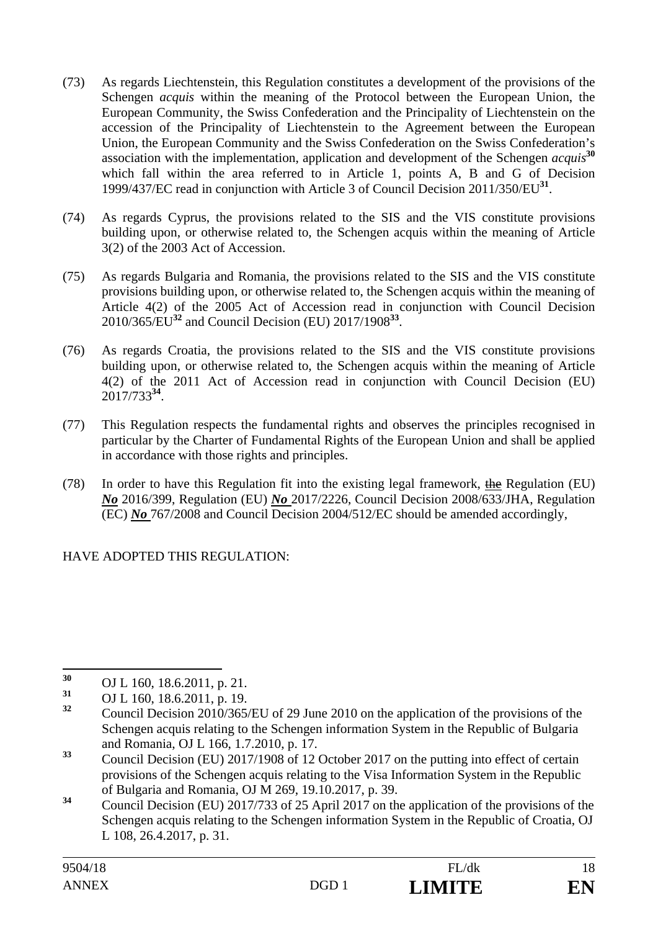- (73) As regards Liechtenstein, this Regulation constitutes a development of the provisions of the Schengen *acquis* within the meaning of the Protocol between the European Union, the European Community, the Swiss Confederation and the Principality of Liechtenstein on the accession of the Principality of Liechtenstein to the Agreement between the European Union, the European Community and the Swiss Confederation on the Swiss Confederation's association with the implementation, application and development of the Schengen *acquis***<sup>30</sup>** which fall within the area referred to in Article 1, points A, B and G of Decision 1999/437/EC read in conjunction with Article 3 of Council Decision 2011/350/EU**<sup>31</sup>**.
- (74) As regards Cyprus, the provisions related to the SIS and the VIS constitute provisions building upon, or otherwise related to, the Schengen acquis within the meaning of Article 3(2) of the 2003 Act of Accession.
- (75) As regards Bulgaria and Romania, the provisions related to the SIS and the VIS constitute provisions building upon, or otherwise related to, the Schengen acquis within the meaning of Article 4(2) of the 2005 Act of Accession read in conjunction with Council Decision 2010/365/EU**<sup>32</sup>** and Council Decision (EU) 2017/1908**<sup>33</sup>**.
- (76) As regards Croatia, the provisions related to the SIS and the VIS constitute provisions building upon, or otherwise related to, the Schengen acquis within the meaning of Article 4(2) of the 2011 Act of Accession read in conjunction with Council Decision (EU) 2017/733**<sup>34</sup>**.
- (77) This Regulation respects the fundamental rights and observes the principles recognised in particular by the Charter of Fundamental Rights of the European Union and shall be applied in accordance with those rights and principles.
- (78) In order to have this Regulation fit into the existing legal framework, the Regulation (EU) *No* 2016/399, Regulation (EU) *No* 2017/2226, Council Decision 2008/633/JHA, Regulation (EC) *No* 767/2008 and Council Decision 2004/512/EC should be amended accordingly,

HAVE ADOPTED THIS REGULATION:

 $30$ 

**<sup>30</sup>** OJ L 160, 18.6.2011, p. 21. **<sup>31</sup>** OJ L 160, 18.6.2011, p. 19. **<sup>32</sup>** Council Decision 2010/365/EU of 29 June 2010 on the application of the provisions of the Schengen acquis relating to the Schengen information System in the Republic of Bulgaria and Romania, OJ L 166, 1.7.2010, p. 17.

<sup>&</sup>lt;sup>33</sup> Council Decision (EU) 2017/1908 of 12 October 2017 on the putting into effect of certain provisions of the Schengen acquis relating to the Visa Information System in the Republic of Bulgaria and Romania, OJ M 269, 19.10.2017, p. 39.

**<sup>34</sup>** Council Decision (EU) 2017/733 of 25 April 2017 on the application of the provisions of the Schengen acquis relating to the Schengen information System in the Republic of Croatia, OJ L 108, 26.4.2017, p. 31.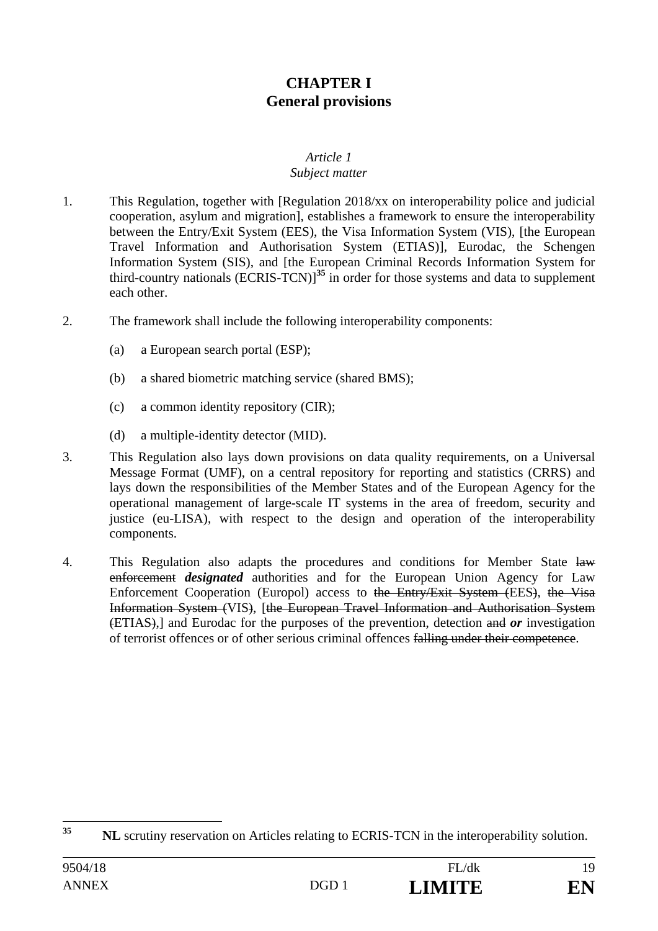# **CHAPTER I General provisions**

# *Article 1*

## *Subject matter*

- 1. This Regulation, together with [Regulation 2018/xx on interoperability police and judicial cooperation, asylum and migration], establishes a framework to ensure the interoperability between the Entry/Exit System (EES), the Visa Information System (VIS), [the European Travel Information and Authorisation System (ETIAS)], Eurodac, the Schengen Information System (SIS), and [the European Criminal Records Information System for third-country nationals (ECRIS-TCN)]**<sup>35</sup>** in order for those systems and data to supplement each other.
- 2. The framework shall include the following interoperability components:
	- (a) a European search portal (ESP);
	- (b) a shared biometric matching service (shared BMS);
	- (c) a common identity repository (CIR);
	- (d) a multiple-identity detector (MID).
- 3. This Regulation also lays down provisions on data quality requirements, on a Universal Message Format (UMF), on a central repository for reporting and statistics (CRRS) and lays down the responsibilities of the Member States and of the European Agency for the operational management of large-scale IT systems in the area of freedom, security and justice (eu-LISA), with respect to the design and operation of the interoperability components.
- 4. This Regulation also adapts the procedures and conditions for Member State law enforcement *designated* authorities and for the European Union Agency for Law Enforcement Cooperation (Europol) access to the Entry/Exit System (EES), the Visa Information System (VIS), [the European Travel Information and Authorisation System (ETIAS),] and Eurodac for the purposes of the prevention, detection and *or* investigation of terrorist offences or of other serious criminal offences falling under their competence.

 $35$ **NL** scrutiny reservation on Articles relating to ECRIS-TCN in the interoperability solution.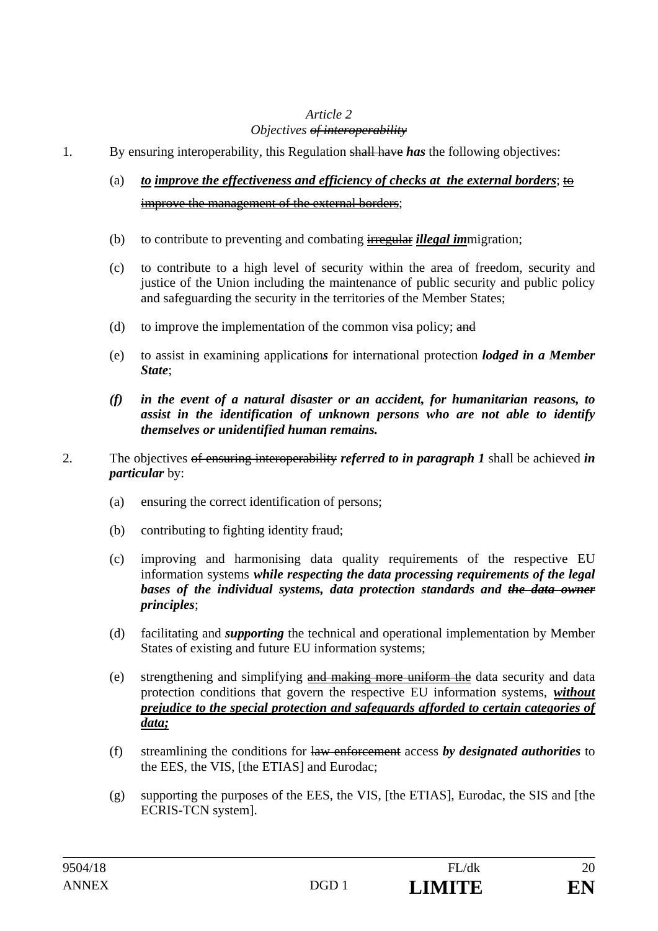### *Article 2 Objectives of interoperability*

- 1. By ensuring interoperability, this Regulation shall have *has* the following objectives:
	- (a) *to improve the effectiveness and efficiency of checks at the external borders*;  $\frac{10}{10}$ improve the management of the external borders;
	- (b) to contribute to preventing and combating irregular *illegal im*migration;
	- (c) to contribute to a high level of security within the area of freedom, security and justice of the Union including the maintenance of public security and public policy and safeguarding the security in the territories of the Member States;
	- (d) to improve the implementation of the common visa policy;  $\frac{d}{dt}$
	- (e) to assist in examining application*s* for international protection *lodged in a Member State*;
	- *(f) in the event of a natural disaster or an accident, for humanitarian reasons, to assist in the identification of unknown persons who are not able to identify themselves or unidentified human remains.*
- 2. The objectives of ensuring interoperability *referred to in paragraph 1* shall be achieved *in particular* by:
	- (a) ensuring the correct identification of persons;
	- (b) contributing to fighting identity fraud;
	- (c) improving and harmonising data quality requirements of the respective EU information systems *while respecting the data processing requirements of the legal bases of the individual systems, data protection standards and the data owner principles*;
	- (d) facilitating and *supporting* the technical and operational implementation by Member States of existing and future EU information systems;
	- (e) strengthening and simplifying and making more uniform the data security and data protection conditions that govern the respective EU information systems, *without prejudice to the special protection and safeguards afforded to certain categories of data;*
	- (f) streamlining the conditions for law enforcement access *by designated authorities* to the EES, the VIS, [the ETIAS] and Eurodac;
	- (g) supporting the purposes of the EES, the VIS, [the ETIAS], Eurodac, the SIS and [the ECRIS-TCN system].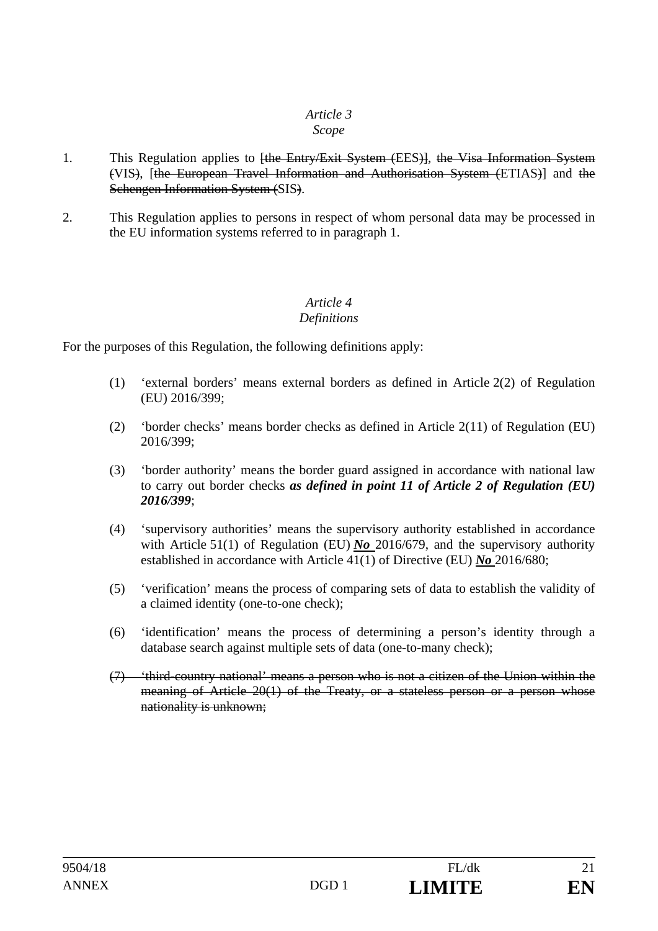## *Scope*

- 1. This Regulation applies to <del>[the Entry/Exit System (EES)]</del>, the Visa Information System (VIS), [the European Travel Information and Authorisation System (ETIAS)] and the Schengen Information System (SIS).
- 2. This Regulation applies to persons in respect of whom personal data may be processed in the EU information systems referred to in paragraph 1.

## *Article 4 Definitions*

For the purposes of this Regulation, the following definitions apply:

- (1) 'external borders' means external borders as defined in Article 2(2) of Regulation (EU) 2016/399;
- (2) 'border checks' means border checks as defined in Article 2(11) of Regulation (EU) 2016/399;
- (3) 'border authority' means the border guard assigned in accordance with national law to carry out border checks *as defined in point 11 of Article 2 of Regulation (EU) 2016/399*;
- (4) 'supervisory authorities' means the supervisory authority established in accordance with Article 51(1) of Regulation (EU) *No* 2016/679, and the supervisory authority established in accordance with Article 41(1) of Directive (EU) *No* 2016/680;
- (5) 'verification' means the process of comparing sets of data to establish the validity of a claimed identity (one-to-one check);
- (6) 'identification' means the process of determining a person's identity through a database search against multiple sets of data (one-to-many check);
- (7) 'third-country national' means a person who is not a citizen of the Union within the meaning of Article 20(1) of the Treaty, or a stateless person or a person whose nationality is unknown;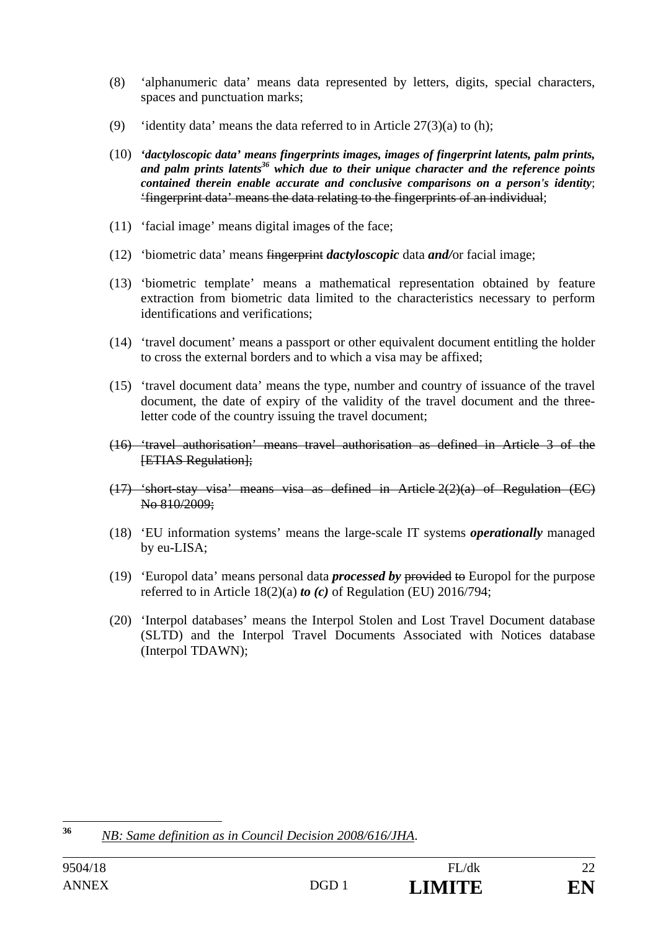- (8) 'alphanumeric data' means data represented by letters, digits, special characters, spaces and punctuation marks;
- (9) 'identity data' means the data referred to in Article  $27(3)(a)$  to (h);
- (10) *'dactyloscopic data' means fingerprints images, images of fingerprint latents, palm prints,*  and palm prints latents<sup>36</sup> which due to their unique character and the reference points *contained therein enable accurate and conclusive comparisons on a person's identity*; 'fingerprint data' means the data relating to the fingerprints of an individual;
- (11) 'facial image' means digital images of the face;
- (12) 'biometric data' means fingerprint *dactyloscopic* data *and/*or facial image;
- (13) 'biometric template' means a mathematical representation obtained by feature extraction from biometric data limited to the characteristics necessary to perform identifications and verifications;
- (14) 'travel document' means a passport or other equivalent document entitling the holder to cross the external borders and to which a visa may be affixed;
- (15) 'travel document data' means the type, number and country of issuance of the travel document, the date of expiry of the validity of the travel document and the threeletter code of the country issuing the travel document;
- (16) 'travel authorisation' means travel authorisation as defined in Article 3 of the **[ETIAS Regulation]:**
- (17) 'short-stay visa' means visa as defined in Article 2(2)(a) of Regulation (EC) No 810/2009;
- (18) 'EU information systems' means the large-scale IT systems *operationally* managed by eu-LISA;
- (19) 'Europol data' means personal data *processed by* provided to Europol for the purpose referred to in Article 18(2)(a) *to (c)* of Regulation (EU) 2016/794;
- (20) 'Interpol databases' means the Interpol Stolen and Lost Travel Document database (SLTD) and the Interpol Travel Documents Associated with Notices database (Interpol TDAWN);

<sup>36</sup> **<sup>36</sup>** *NB: Same definition as in Council Decision 2008/616/JHA*.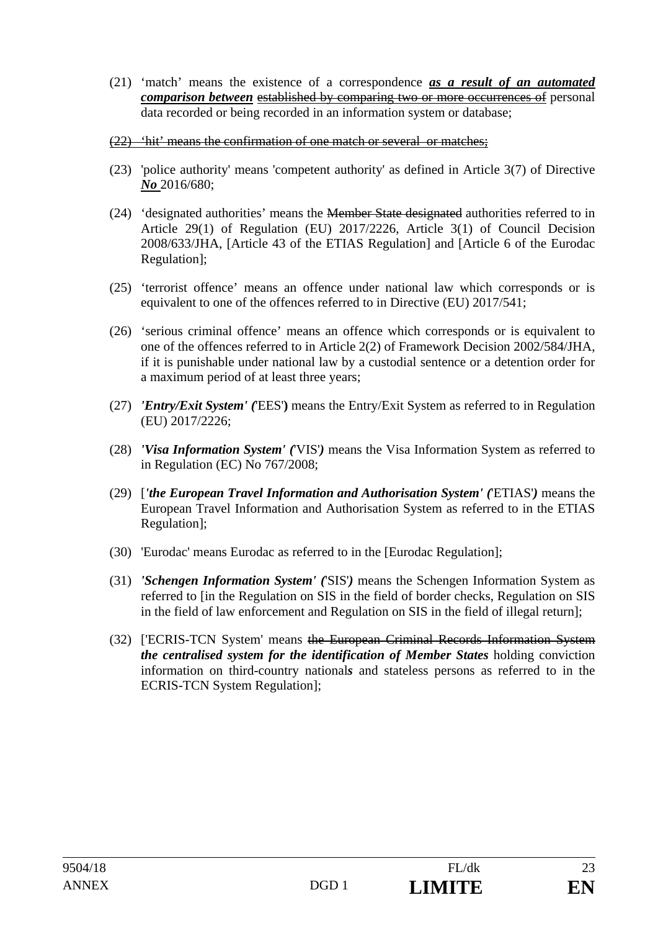- (21) 'match' means the existence of a correspondence *as a result of an automated comparison between* established by comparing two or more occurrences of personal data recorded or being recorded in an information system or database;
- (22) 'hit' means the confirmation of one match or several or matches;
- (23) 'police authority' means 'competent authority' as defined in Article 3(7) of Directive *No* 2016/680;
- (24) 'designated authorities' means the Member State designated authorities referred to in Article 29(1) of Regulation (EU) 2017/2226, Article 3(1) of Council Decision 2008/633/JHA, [Article 43 of the ETIAS Regulation] and [Article 6 of the Eurodac Regulation];
- (25) 'terrorist offence' means an offence under national law which corresponds or is equivalent to one of the offences referred to in Directive (EU) 2017/541;
- (26) 'serious criminal offence' means an offence which corresponds or is equivalent to one of the offences referred to in Article 2(2) of Framework Decision 2002/584/JHA, if it is punishable under national law by a custodial sentence or a detention order for a maximum period of at least three years;
- (27) *'Entry/Exit System' (*'EES'**)** means the Entry/Exit System as referred to in Regulation (EU) 2017/2226;
- (28) *'Visa Information System' (*'VIS'*)* means the Visa Information System as referred to in Regulation (EC) No 767/2008;
- (29) [*'the European Travel Information and Authorisation System' (*'ETIAS'*)* means the European Travel Information and Authorisation System as referred to in the ETIAS Regulation];
- (30) 'Eurodac' means Eurodac as referred to in the [Eurodac Regulation];
- (31) *'Schengen Information System' (*'SIS'*)* means the Schengen Information System as referred to [in the Regulation on SIS in the field of border checks, Regulation on SIS in the field of law enforcement and Regulation on SIS in the field of illegal return];
- (32) ['ECRIS-TCN System' means the European Criminal Records Information System *the centralised system for the identification of Member States* holding conviction information on third-country national*s* and stateless persons as referred to in the ECRIS-TCN System Regulation];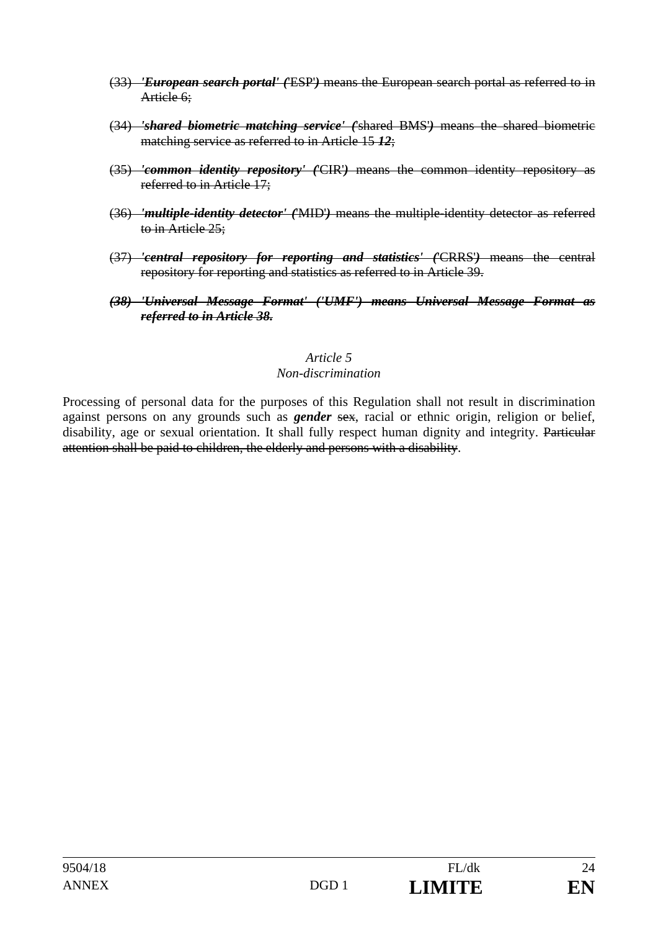- (33) *'European search portal' (*'ESP'*)* means the European search portal as referred to in Article 6:
- (34) *'shared biometric matching service' (*'shared BMS'*)* means the shared biometric matching service as referred to in Article 15 *12*;
- (35) *'common identity repository' (*'CIR'*)* means the common identity repository as referred to in Article 17;
- (36) *'multiple-identity detector' (*'MID'*)* means the multiple-identity detector as referred to in Article 25;
- (37) *'central repository for reporting and statistics' (*'CRRS'*)* means the central repository for reporting and statistics as referred to in Article 39.
- *(38) 'Universal Message Format' ('UMF') means Universal Message Format as referred to in Article 38.*

## *Non-discrimination*

Processing of personal data for the purposes of this Regulation shall not result in discrimination against persons on any grounds such as *gender* sex, racial or ethnic origin, religion or belief, disability, age or sexual orientation. It shall fully respect human dignity and integrity. Particular attention shall be paid to children, the elderly and persons with a disability.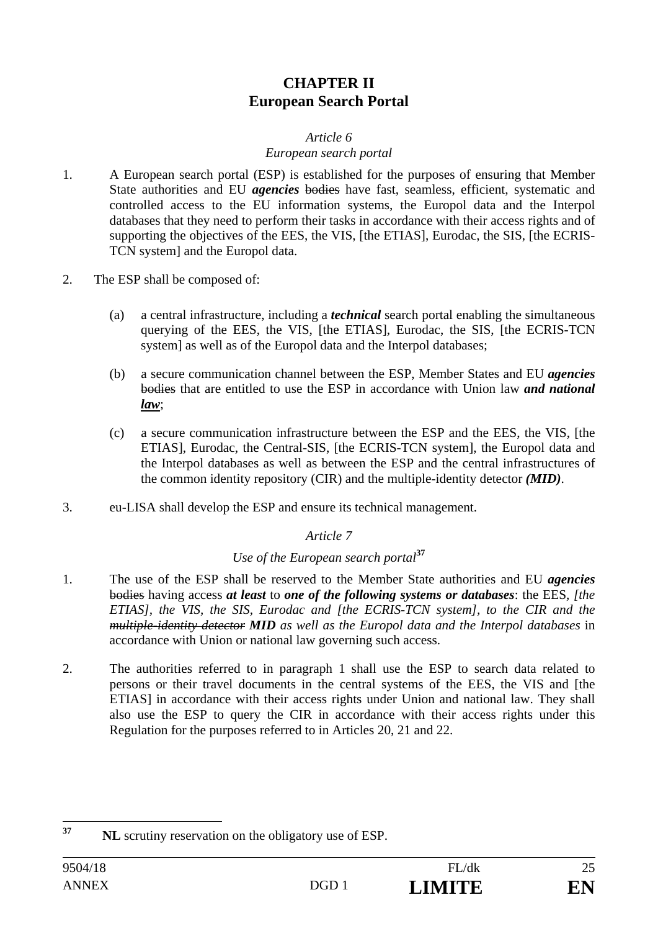# **CHAPTER II European Search Portal**

### *Article 6*

### *European search portal*

- 1. A European search portal (ESP) is established for the purposes of ensuring that Member State authorities and EU *agencies* bodies have fast, seamless, efficient, systematic and controlled access to the EU information systems, the Europol data and the Interpol databases that they need to perform their tasks in accordance with their access rights and of supporting the objectives of the EES, the VIS, [the ETIAS], Eurodac, the SIS, [the ECRIS-TCN system] and the Europol data.
- 2. The ESP shall be composed of:
	- (a) a central infrastructure, including a *technical* search portal enabling the simultaneous querying of the EES, the VIS, [the ETIAS], Eurodac, the SIS, [the ECRIS-TCN system] as well as of the Europol data and the Interpol databases;
	- (b) a secure communication channel between the ESP, Member States and EU *agencies* bodies that are entitled to use the ESP in accordance with Union law *and national law*;
	- (c) a secure communication infrastructure between the ESP and the EES, the VIS, [the ETIAS], Eurodac, the Central-SIS, [the ECRIS-TCN system], the Europol data and the Interpol databases as well as between the ESP and the central infrastructures of the common identity repository (CIR) and the multiple-identity detector *(MID)*.
- 3. eu-LISA shall develop the ESP and ensure its technical management.

## *Article 7*

# *Use of the European search portal***<sup>37</sup>**

- 1. The use of the ESP shall be reserved to the Member State authorities and EU *agencies* bodies having access *at least* to *one of the following systems or databases*: the EES*, [the ETIAS], the VIS, the SIS, Eurodac and [the ECRIS-TCN system], to the CIR and the multiple-identity detector MID as well as the Europol data and the Interpol databases* in accordance with Union or national law governing such access.
- 2. The authorities referred to in paragraph 1 shall use the ESP to search data related to persons or their travel documents in the central systems of the EES, the VIS and [the ETIAS] in accordance with their access rights under Union and national law. They shall also use the ESP to query the CIR in accordance with their access rights under this Regulation for the purposes referred to in Articles 20, 21 and 22.

 $37$ **NL** scrutiny reservation on the obligatory use of ESP.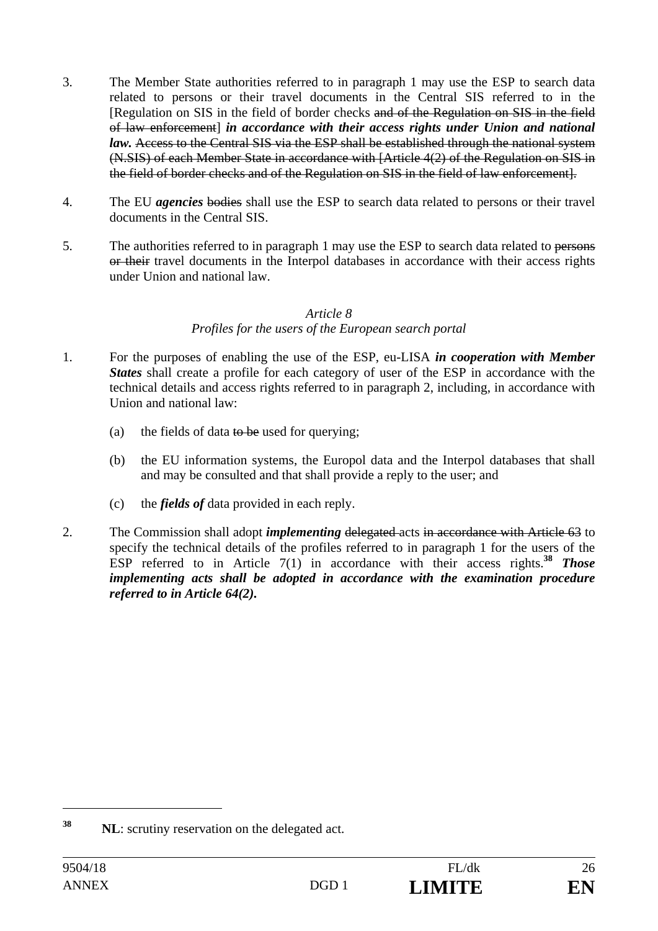- 3. The Member State authorities referred to in paragraph 1 may use the ESP to search data related to persons or their travel documents in the Central SIS referred to in the [Regulation on SIS in the field of border checks and of the Regulation on SIS in the field of law enforcement] *in accordance with their access rights under Union and national law.* Access to the Central SIS via the ESP shall be established through the national system (N.SIS) of each Member State in accordance with [Article 4(2) of the Regulation on SIS in the field of border checks and of the Regulation on SIS in the field of law enforcement].
- 4. The EU *agencies* bodies shall use the ESP to search data related to persons or their travel documents in the Central SIS.
- 5. The authorities referred to in paragraph 1 may use the ESP to search data related to persons or their travel documents in the Interpol databases in accordance with their access rights under Union and national law.

### *Article 8 Profiles for the users of the European search portal*

- 1. For the purposes of enabling the use of the ESP, eu-LISA *in cooperation with Member States* shall create a profile for each category of user of the ESP in accordance with the technical details and access rights referred to in paragraph 2, including, in accordance with Union and national law:
	- (a) the fields of data to be used for querying;
	- (b) the EU information systems, the Europol data and the Interpol databases that shall and may be consulted and that shall provide a reply to the user; and
	- (c) the *fields of* data provided in each reply.
- 2. The Commission shall adopt *implementing* delegated acts in accordance with Article 63 to specify the technical details of the profiles referred to in paragraph 1 for the users of the ESP referred to in Article 7(1) in accordance with their access rights.**<sup>38</sup>** *Those implementing acts shall be adopted in accordance with the examination procedure referred to in Article 64(2).*

 $\overline{a}$ 

**<sup>38</sup> NL**: scrutiny reservation on the delegated act.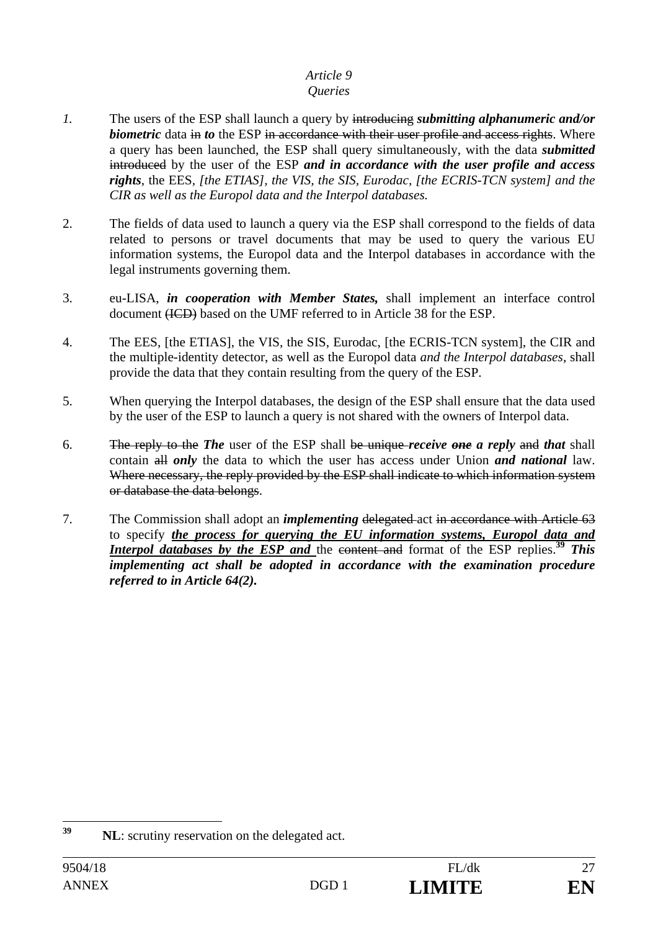## *Queries*

- *1.* The users of the ESP shall launch a query by introducing *submitting alphanumeric and/or biometric* data in *to* the ESP in accordance with their user profile and access rights. Where a query has been launched, the ESP shall query simultaneously, with the data *submitted* introduced by the user of the ESP *and in accordance with the user profile and access rights*, the EES*, [the ETIAS], the VIS, the SIS, Eurodac, [the ECRIS-TCN system] and the CIR as well as the Europol data and the Interpol databases.*
- 2. The fields of data used to launch a query via the ESP shall correspond to the fields of data related to persons or travel documents that may be used to query the various EU information systems, the Europol data and the Interpol databases in accordance with the legal instruments governing them.
- 3. eu-LISA, *in cooperation with Member States,* shall implement an interface control document (ICD) based on the UMF referred to in Article 38 for the ESP.
- 4. The EES, [the ETIAS], the VIS, the SIS, Eurodac, [the ECRIS-TCN system], the CIR and the multiple-identity detector, as well as the Europol data *and the Interpol databases,* shall provide the data that they contain resulting from the query of the ESP.
- 5. When querying the Interpol databases, the design of the ESP shall ensure that the data used by the user of the ESP to launch a query is not shared with the owners of Interpol data.
- 6. The reply to the *The* user of the ESP shall be unique *receive one a reply* and *that* shall contain all *only* the data to which the user has access under Union *and national* law. Where necessary, the reply provided by the ESP shall indicate to which information system or database the data belongs.
- 7. The Commission shall adopt an *implementing* delegated act in accordance with Article 63 to specify *the process for querying the EU information systems, Europol data and Interpol databases by the ESP and the content and format of the ESP replies.*<sup>39</sup> *This implementing act shall be adopted in accordance with the examination procedure referred to in Article 64(2).*

 $39$ **NL**: scrutiny reservation on the delegated act.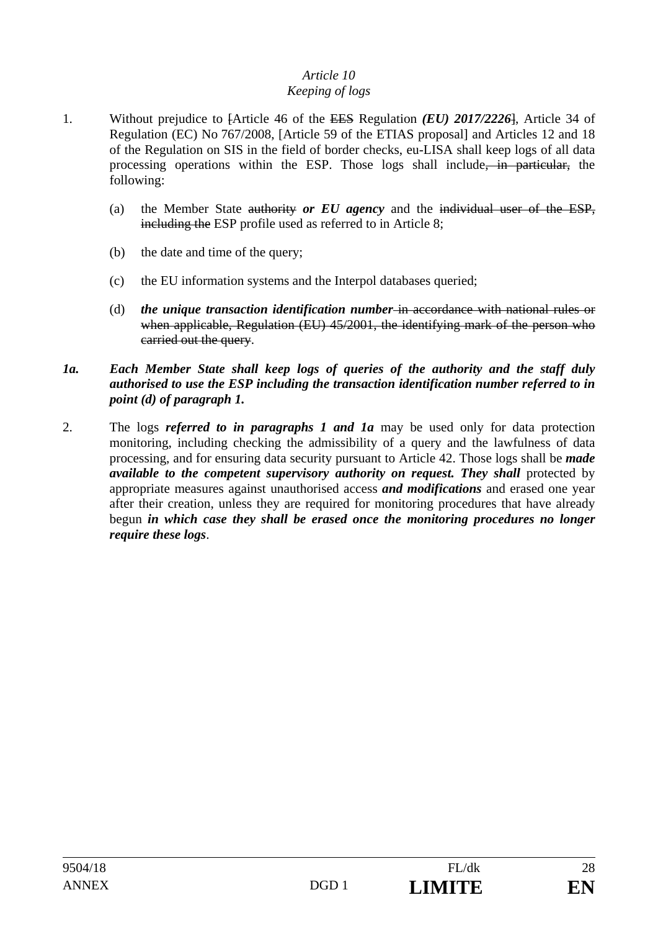### *Keeping of logs*

- 1. Without prejudice to [Article 46 of the EES Regulation *(EU) 2017/2226*], Article 34 of Regulation (EC) No 767/2008, [Article 59 of the ETIAS proposal] and Articles 12 and 18 of the Regulation on SIS in the field of border checks, eu-LISA shall keep logs of all data processing operations within the ESP. Those logs shall include, in particular, the following:
	- (a) the Member State authority *or EU agency* and the individual user of the ESP, including the ESP profile used as referred to in Article 8;
	- (b) the date and time of the query;
	- (c) the EU information systems and the Interpol databases queried;
	- (d) *the unique transaction identification number* in accordance with national rules or when applicable, Regulation (EU) 45/2001, the identifying mark of the person who carried out the query.
- *1a. Each Member State shall keep logs of queries of the authority and the staff duly authorised to use the ESP including the transaction identification number referred to in point (d) of paragraph 1.*
- 2. The logs *referred to in paragraphs 1 and 1a* may be used only for data protection monitoring, including checking the admissibility of a query and the lawfulness of data processing, and for ensuring data security pursuant to Article 42. Those logs shall be *made available to the competent supervisory authority on request. They shall* protected by appropriate measures against unauthorised access *and modifications* and erased one year after their creation, unless they are required for monitoring procedures that have already begun *in which case they shall be erased once the monitoring procedures no longer require these logs*.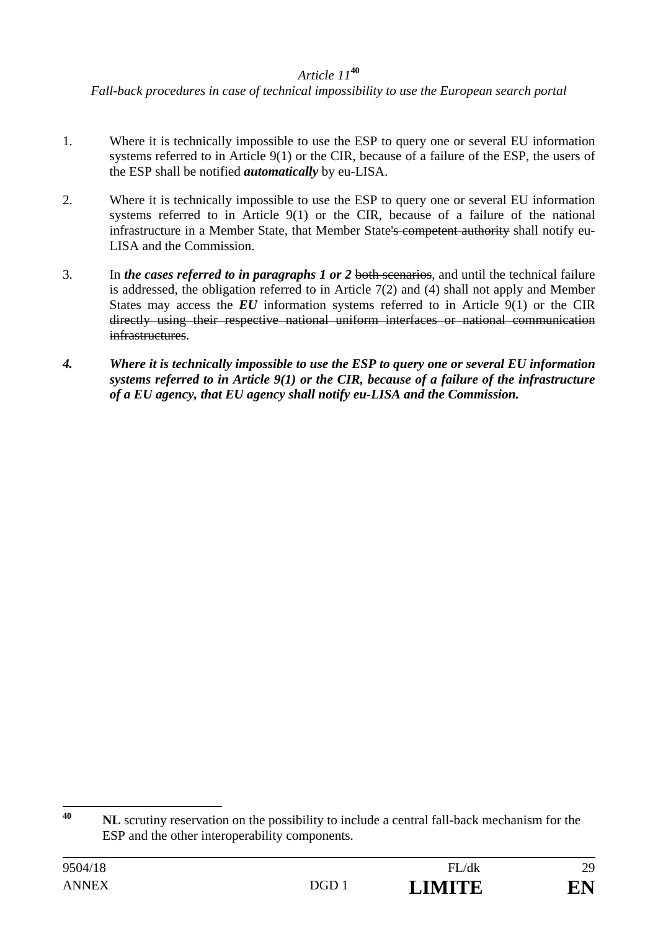*Fall-back procedures in case of technical impossibility to use the European search portal* 

- 1. Where it is technically impossible to use the ESP to query one or several EU information systems referred to in Article 9(1) or the CIR, because of a failure of the ESP, the users of the ESP shall be notified *automatically* by eu-LISA.
- 2. Where it is technically impossible to use the ESP to query one or several EU information systems referred to in Article 9(1) or the CIR, because of a failure of the national infrastructure in a Member State, that Member State's competent authority shall notify eu-LISA and the Commission.
- 3. In *the cases referred to in paragraphs 1 or 2* both scenarios, and until the technical failure is addressed, the obligation referred to in Article 7(2) and (4) shall not apply and Member States may access the *EU* information systems referred to in Article 9(1) or the CIR directly using their respective national uniform interfaces or national communication infrastructures.
- *4. Where it is technically impossible to use the ESP to query one or several EU information systems referred to in Article 9(1) or the CIR, because of a failure of the infrastructure of a EU agency, that EU agency shall notify eu-LISA and the Commission.*

 $\overline{40}$ **NL** scrutiny reservation on the possibility to include a central fall-back mechanism for the ESP and the other interoperability components.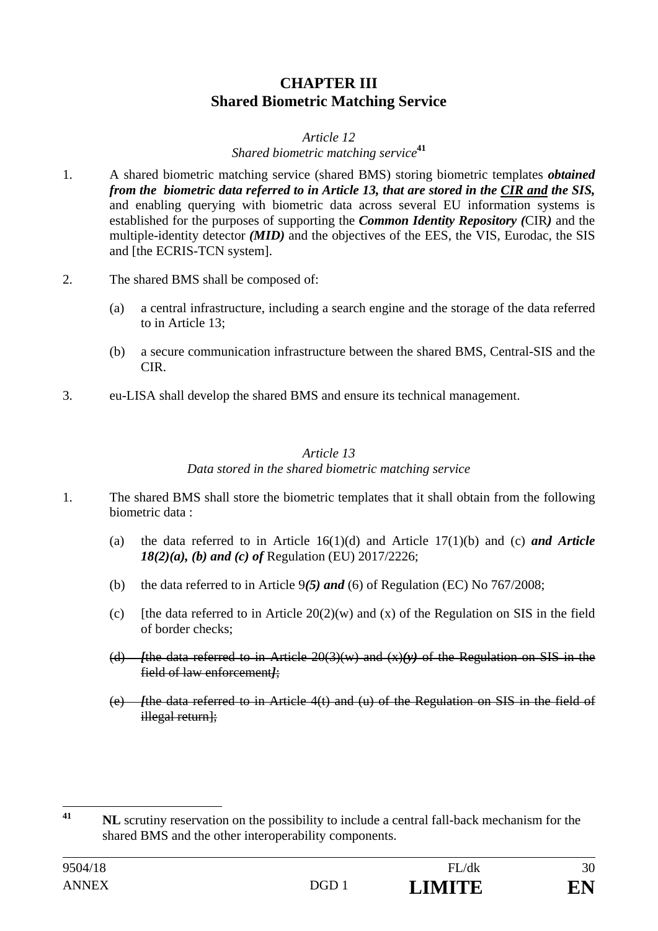# **CHAPTER III Shared Biometric Matching Service**

### *Article 12 Shared biometric matching service***<sup>41</sup>**

- 1. A shared biometric matching service (shared BMS) storing biometric templates *obtained from the biometric data referred to in Article 13, that are stored in the CIR and the SIS,* and enabling querying with biometric data across several EU information systems is established for the purposes of supporting the *Common Identity Repository (*CIR*)* and the multiple-identity detector *(MID)* and the objectives of the EES, the VIS, Eurodac, the SIS and [the ECRIS-TCN system].
- 2. The shared BMS shall be composed of:
	- (a) a central infrastructure, including a search engine and the storage of the data referred to in Article 13;
	- (b) a secure communication infrastructure between the shared BMS, Central-SIS and the CIR.
- 3. eu-LISA shall develop the shared BMS and ensure its technical management.

## *Article 13 Data stored in the shared biometric matching service*

- 1. The shared BMS shall store the biometric templates that it shall obtain from the following biometric data :
	- (a) the data referred to in Article 16(1)(d) and Article 17(1)(b) and (c) *and Article 18(2)(a), (b) and (c) of* Regulation (EU) 2017/2226;
	- (b) the data referred to in Article 9*(5) and* (6) of Regulation (EC) No 767/2008;
	- (c) Ithe data referred to in Article  $20(2)(w)$  and (x) of the Regulation on SIS in the field of border checks;
	- (d) *[*the data referred to in Article 20(3)(w) and (x)*(y)* of the Regulation on SIS in the field of law enforcement*]*;
	- (e) *[*the data referred to in Article 4(t) and (u) of the Regulation on SIS in the field of illegal return];

 $\overline{41}$ **41 NL** scrutiny reservation on the possibility to include a central fall-back mechanism for the shared BMS and the other interoperability components.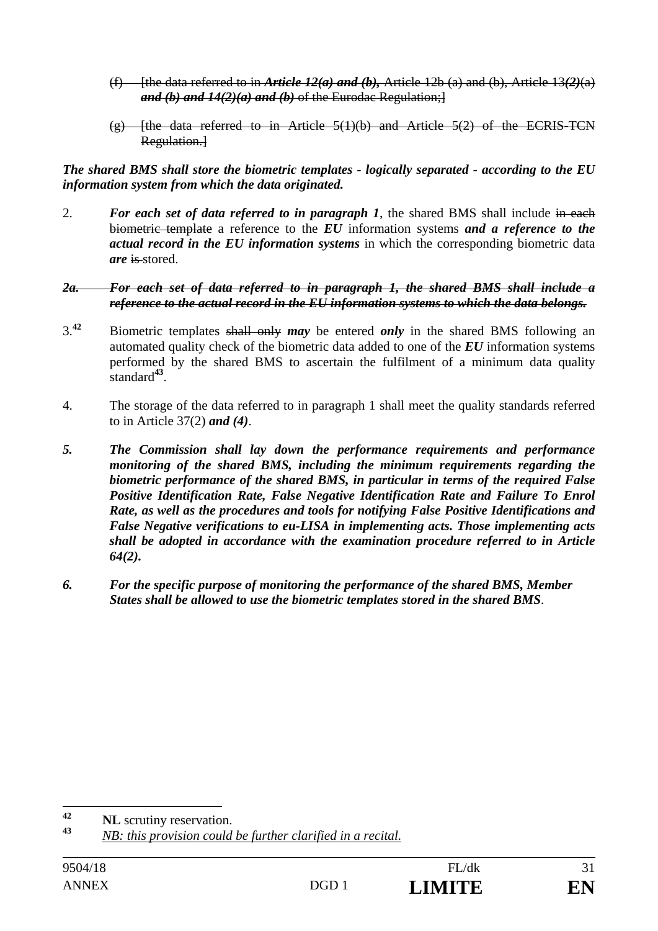- (f) [the data referred to in *Article 12(a) and (b),* Article 12b (a) and (b), Article 13*(2)*(a) *and (b) and 14(2)(a) and (b)* of the Eurodac Regulation;]
- $(g)$  [the data referred to in Article 5(1)(b) and Article 5(2) of the ECRIS-TCN Regulation.]

*The shared BMS shall store the biometric templates - logically separated - according to the EU information system from which the data originated.* 

2. *For each set of data referred to in paragraph 1*, the shared BMS shall include in each biometric template a reference to the *EU* information systems *and a reference to the actual record in the EU information systems* in which the corresponding biometric data *are* is stored.

### *2a. For each set of data referred to in paragraph 1, the shared BMS shall include a reference to the actual record in the EU information systems to which the data belongs.*

- 3.**<sup>42</sup>** Biometric templates shall only *may* be entered *only* in the shared BMS following an automated quality check of the biometric data added to one of the *EU* information systems performed by the shared BMS to ascertain the fulfilment of a minimum data quality standard**<sup>43</sup>**.
- 4. The storage of the data referred to in paragraph 1 shall meet the quality standards referred to in Article 37(2) *and (4)*.
- *5. The Commission shall lay down the performance requirements and performance monitoring of the shared BMS, including the minimum requirements regarding the biometric performance of the shared BMS, in particular in terms of the required False Positive Identification Rate, False Negative Identification Rate and Failure To Enrol Rate, as well as the procedures and tools for notifying False Positive Identifications and False Negative verifications to eu-LISA in implementing acts. Those implementing acts shall be adopted in accordance with the examination procedure referred to in Article 64(2).*
- *6. For the specific purpose of monitoring the performance of the shared BMS, Member States shall be allowed to use the biometric templates stored in the shared BMS*.

 $42$ <sup>42</sup> **NL** scrutiny reservation.

**<sup>43</sup>** *NB: this provision could be further clarified in a recital.*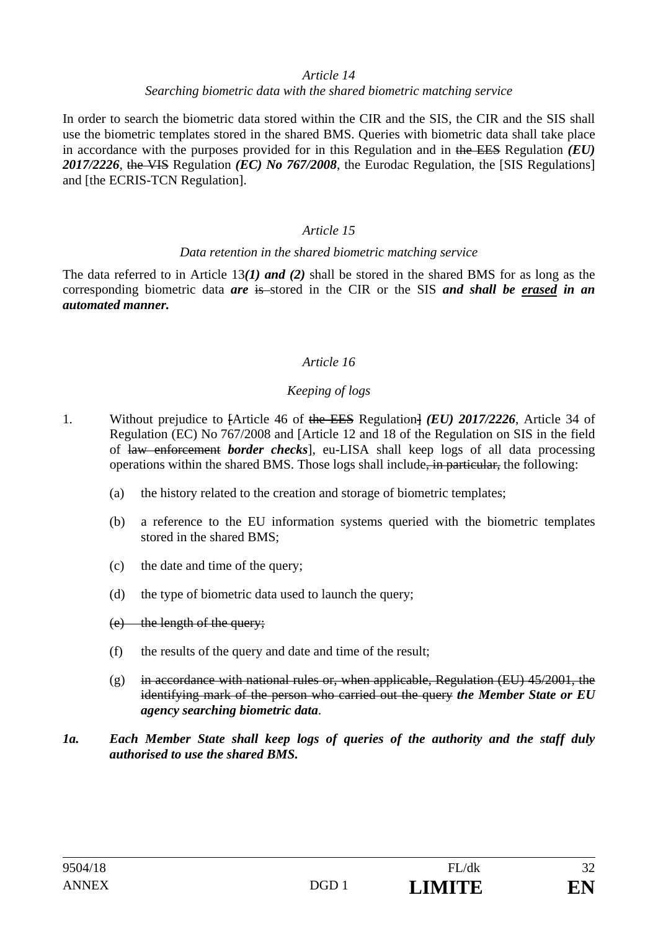### *Searching biometric data with the shared biometric matching service*

In order to search the biometric data stored within the CIR and the SIS, the CIR and the SIS shall use the biometric templates stored in the shared BMS. Queries with biometric data shall take place in accordance with the purposes provided for in this Regulation and in the EES Regulation *(EU) 2017/2226*, the VIS Regulation *(EC) No 767/2008*, the Eurodac Regulation, the [SIS Regulations] and [the ECRIS-TCN Regulation].

### *Article 15*

### *Data retention in the shared biometric matching service*

The data referred to in Article 13*(1) and (2)* shall be stored in the shared BMS for as long as the corresponding biometric data *are* is stored in the CIR or the SIS *and shall be erased in an automated manner.* 

### *Article 16*

### *Keeping of logs*

- 1. Without prejudice to [Article 46 of the EES Regulation] *(EU) 2017/2226*, Article 34 of Regulation (EC) No 767/2008 and [Article 12 and 18 of the Regulation on SIS in the field of law enforcement *border checks*], eu-LISA shall keep logs of all data processing operations within the shared BMS. Those logs shall include, in particular, the following:
	- (a) the history related to the creation and storage of biometric templates;
	- (b) a reference to the EU information systems queried with the biometric templates stored in the shared BMS;
	- (c) the date and time of the query;
	- (d) the type of biometric data used to launch the query;
	- (e) the length of the query;
	- (f) the results of the query and date and time of the result;
	- $(g)$  in accordance with national rules or, when applicable, Regulation (EU) 45/2001, the identifying mark of the person who carried out the query *the Member State or EU agency searching biometric data*.
- *1a. Each Member State shall keep logs of queries of the authority and the staff duly authorised to use the shared BMS.*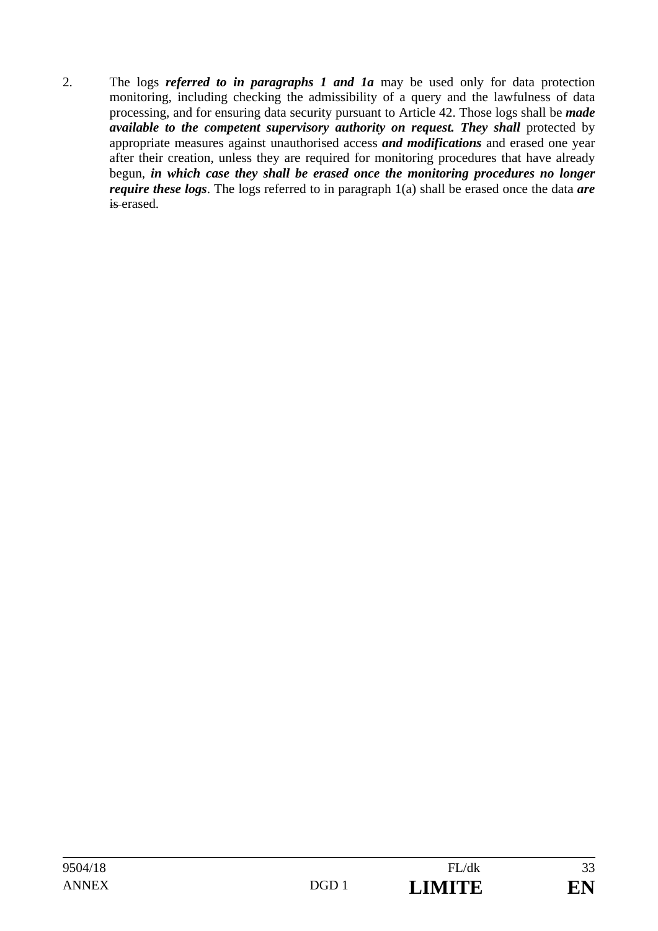2. The logs *referred to in paragraphs 1 and 1a* may be used only for data protection monitoring, including checking the admissibility of a query and the lawfulness of data processing, and for ensuring data security pursuant to Article 42. Those logs shall be *made available to the competent supervisory authority on request. They shall* protected by appropriate measures against unauthorised access *and modifications* and erased one year after their creation, unless they are required for monitoring procedures that have already begun, *in which case they shall be erased once the monitoring procedures no longer require these logs*. The logs referred to in paragraph 1(a) shall be erased once the data *are* is erased.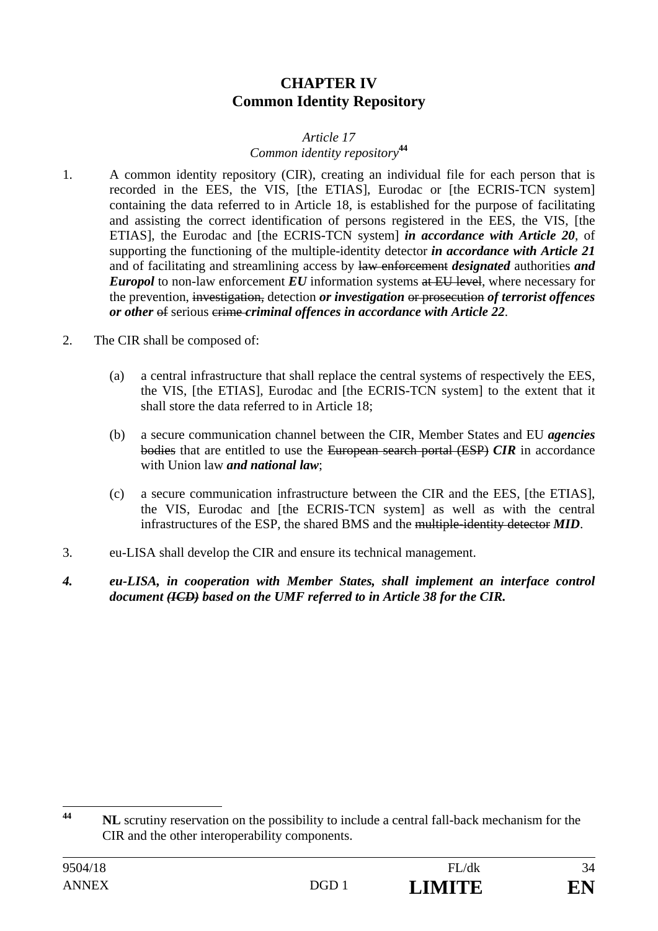# **CHAPTER IV Common Identity Repository**

### *Article 17 Common identity repository***<sup>44</sup>**

- 1. A common identity repository (CIR), creating an individual file for each person that is recorded in the EES, the VIS, [the ETIAS], Eurodac or [the ECRIS-TCN system] containing the data referred to in Article 18, is established for the purpose of facilitating and assisting the correct identification of persons registered in the EES, the VIS, [the ETIAS], the Eurodac and [the ECRIS-TCN system] *in accordance with Article 20*, of supporting the functioning of the multiple-identity detector *in accordance with Article 21* and of facilitating and streamlining access by law enforcement *designated* authorities *and Europol* to non-law enforcement *EU* information systems at EU level, where necessary for the prevention, investigation, detection *or investigation* or prosecution *of terrorist offences or other* of serious crime *criminal offences in accordance with Article 22.*
- 2. The CIR shall be composed of:
	- (a) a central infrastructure that shall replace the central systems of respectively the EES, the VIS, [the ETIAS], Eurodac and [the ECRIS-TCN system] to the extent that it shall store the data referred to in Article 18;
	- (b) a secure communication channel between the CIR, Member States and EU *agencies* bodies that are entitled to use the European search portal (ESP) *CIR* in accordance with Union law *and national law*;
	- (c) a secure communication infrastructure between the CIR and the EES, [the ETIAS], the VIS, Eurodac and [the ECRIS-TCN system] as well as with the central infrastructures of the ESP, the shared BMS and the multiple-identity detector *MID*.
- 3. eu-LISA shall develop the CIR and ensure its technical management.
- *4. eu-LISA, in cooperation with Member States, shall implement an interface control document (ICD) based on the UMF referred to in Article 38 for the CIR.*

 $44$ **44 NL** scrutiny reservation on the possibility to include a central fall-back mechanism for the CIR and the other interoperability components.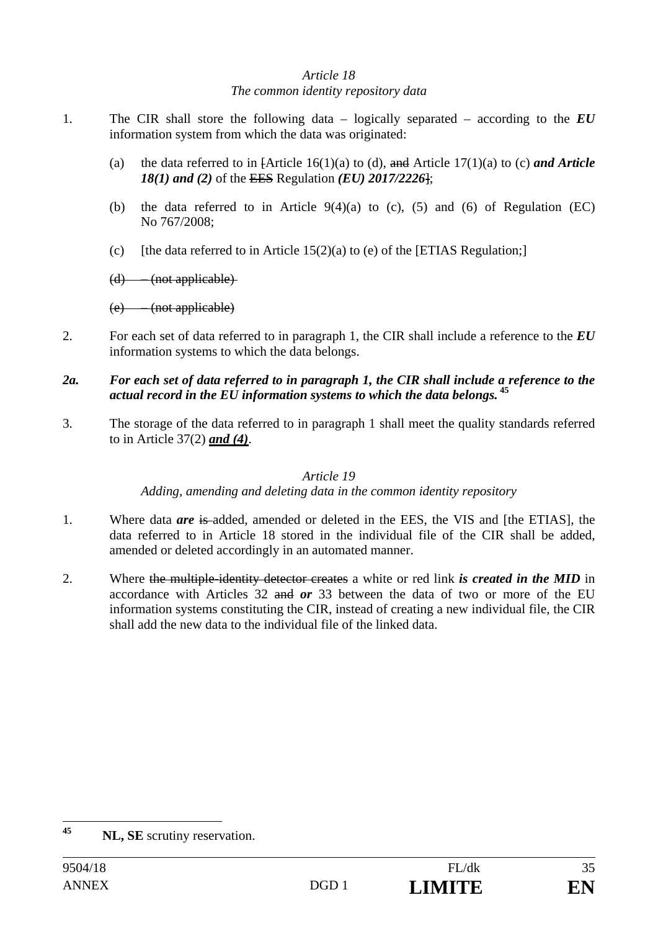### *Article 18 The common identity repository data*

- 1. The CIR shall store the following data logically separated according to the *EU* information system from which the data was originated:
	- (a) the data referred to in [Article 16(1)(a) to (d), and Article 17(1)(a) to (c) *and Article 18(1) and (2)* of the EES Regulation *(EU) 2017/2226*];
	- (b) the data referred to in Article  $9(4)(a)$  to (c), (5) and (6) of Regulation (EC) No 767/2008;
	- (c) [the data referred to in Article  $15(2)(a)$  to (e) of the [ETIAS Regulation;]

 $(d)$  – (not applicable)

(e) – (not applicable)

2. For each set of data referred to in paragraph 1, the CIR shall include a reference to the *EU* information systems to which the data belongs.

### *2a. For each set of data referred to in paragraph 1, the CIR shall include a reference to the actual record in the EU information systems to which the data belongs.***<sup>45</sup>**

3. The storage of the data referred to in paragraph 1 shall meet the quality standards referred to in Article 37(2) *and (4)*.

## *Article 19*

*Adding, amending and deleting data in the common identity repository* 

- 1. Where data *are* is added, amended or deleted in the EES, the VIS and [the ETIAS], the data referred to in Article 18 stored in the individual file of the CIR shall be added, amended or deleted accordingly in an automated manner.
- 2. Where the multiple-identity detector creates a white or red link *is created in the MID* in accordance with Articles 32 and *or* 33 between the data of two or more of the EU information systems constituting the CIR, instead of creating a new individual file, the CIR shall add the new data to the individual file of the linked data.

 $45$ **<sup>45</sup> NL, SE** scrutiny reservation.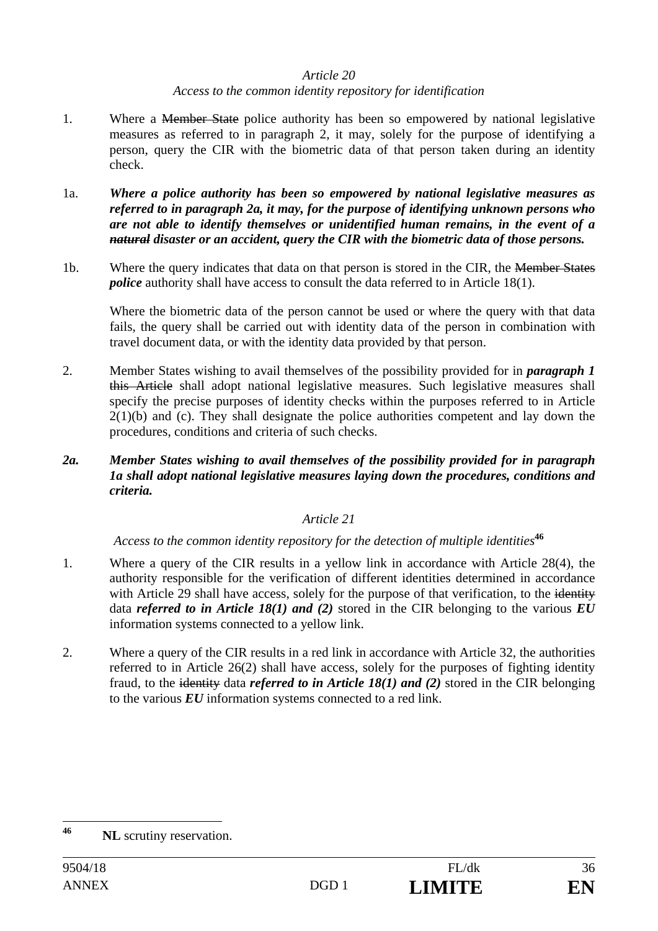### *Access to the common identity repository for identification*

- 1. Where a <del>Member State</del> police authority has been so empowered by national legislative measures as referred to in paragraph 2, it may, solely for the purpose of identifying a person, query the CIR with the biometric data of that person taken during an identity check.
- 1a. *Where a police authority has been so empowered by national legislative measures as referred to in paragraph 2a, it may, for the purpose of identifying unknown persons who are not able to identify themselves or unidentified human remains, in the event of a natural disaster or an accident, query the CIR with the biometric data of those persons.*
- 1b. Where the query indicates that data on that person is stored in the CIR, the Member States *police* authority shall have access to consult the data referred to in Article 18(1).

Where the biometric data of the person cannot be used or where the query with that data fails, the query shall be carried out with identity data of the person in combination with travel document data, or with the identity data provided by that person.

- 2. Member States wishing to avail themselves of the possibility provided for in *paragraph 1*  this Article shall adopt national legislative measures. Such legislative measures shall specify the precise purposes of identity checks within the purposes referred to in Article  $2(1)(b)$  and (c). They shall designate the police authorities competent and lay down the procedures, conditions and criteria of such checks.
- *2a. Member States wishing to avail themselves of the possibility provided for in paragraph 1a shall adopt national legislative measures laying down the procedures, conditions and criteria.*

## *Article 21*

*Access to the common identity repository for the detection of multiple identities***<sup>46</sup>**

- 1. Where a query of the CIR results in a yellow link in accordance with Article 28(4), the authority responsible for the verification of different identities determined in accordance with Article 29 shall have access, solely for the purpose of that verification, to the identity data *referred to in Article 18(1) and (2)* stored in the CIR belonging to the various *EU*  information systems connected to a yellow link.
- 2. Where a query of the CIR results in a red link in accordance with Article 32, the authorities referred to in Article 26(2) shall have access, solely for the purposes of fighting identity fraud, to the identity data *referred to in Article 18(1) and (2)* stored in the CIR belonging to the various *EU* information systems connected to a red link.

<sup>46</sup> **NL** scrutiny reservation.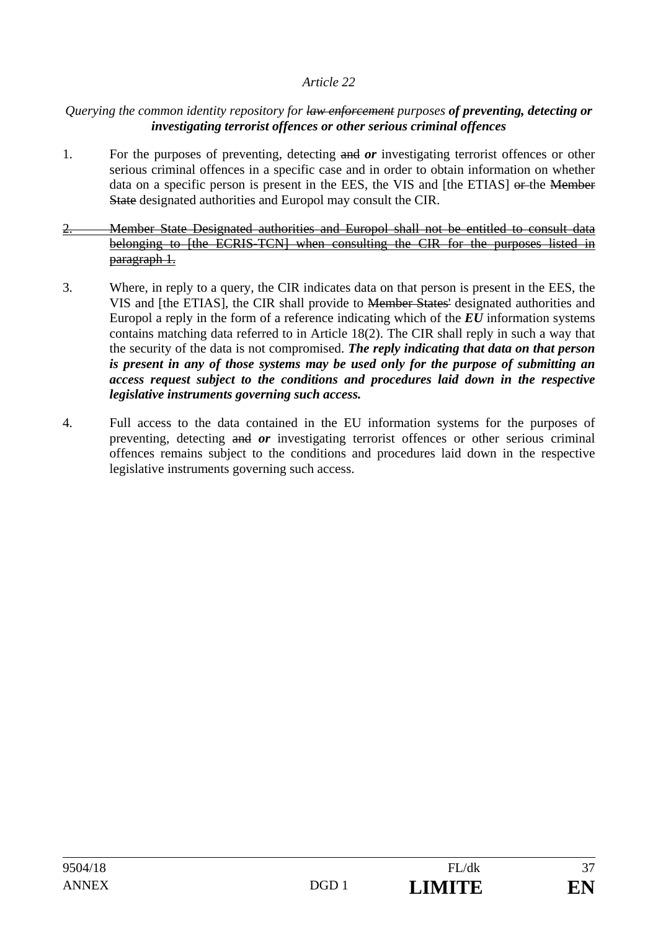#### *Querying the common identity repository for law enforcement purposes of preventing, detecting or investigating terrorist offences or other serious criminal offences*

- 1. For the purposes of preventing, detecting and *or* investigating terrorist offences or other serious criminal offences in a specific case and in order to obtain information on whether data on a specific person is present in the EES, the VIS and [the ETIAS] or the Member State designated authorities and Europol may consult the CIR.
- 2. Member State Designated authorities and Europol shall not be entitled to consult data belonging to lthe ECRIS-TCNI when consulting the CIR for the purposes listed in paragraph 1.
- 3. Where, in reply to a query, the CIR indicates data on that person is present in the EES, the VIS and [the ETIAS], the CIR shall provide to Member States' designated authorities and Europol a reply in the form of a reference indicating which of the *EU* information systems contains matching data referred to in Article 18(2). The CIR shall reply in such a way that the security of the data is not compromised. *The reply indicating that data on that person is present in any of those systems may be used only for the purpose of submitting an access request subject to the conditions and procedures laid down in the respective legislative instruments governing such access.*
- 4. Full access to the data contained in the EU information systems for the purposes of preventing, detecting and *or* investigating terrorist offences or other serious criminal offences remains subject to the conditions and procedures laid down in the respective legislative instruments governing such access.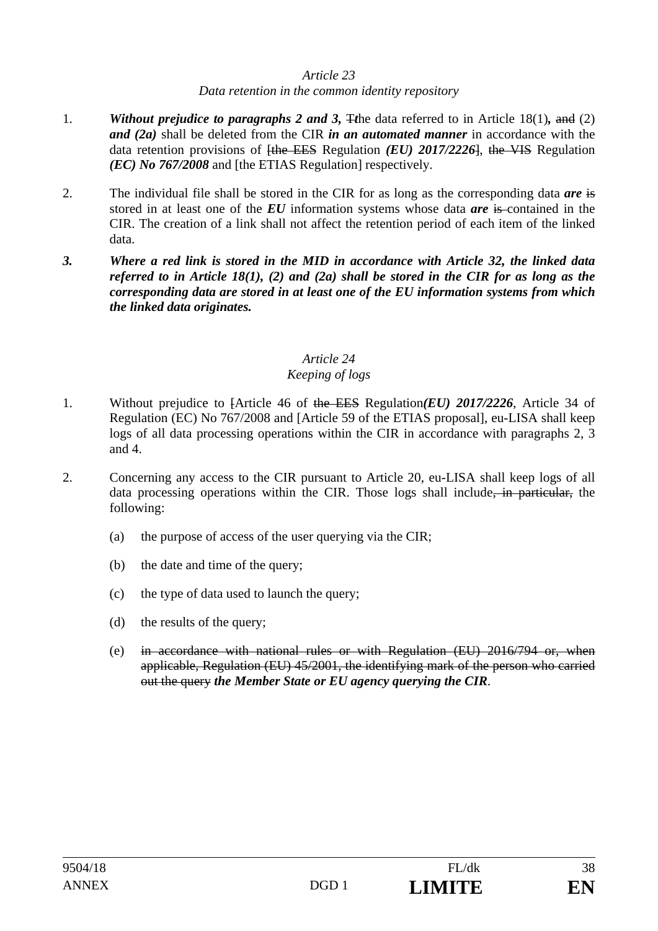### *Data retention in the common identity repository*

- 1. *Without prejudice to paragraphs 2 and 3,* T*t*he data referred to in Article 18(1)*,* and (2) *and (2a)* shall be deleted from the CIR *in an automated manner* in accordance with the data retention provisions of [the EES Regulation *(EU) 2017/2226*], the VIS Regulation *(EC) No 767/2008* and [the ETIAS Regulation] respectively.
- 2. The individual file shall be stored in the CIR for as long as the corresponding data *are* is stored in at least one of the *EU* information systems whose data *are* is contained in the CIR. The creation of a link shall not affect the retention period of each item of the linked data.
- *3. Where a red link is stored in the MID in accordance with Article 32, the linked data referred to in Article 18(1), (2) and (2a) shall be stored in the CIR for as long as the corresponding data are stored in at least one of the EU information systems from which the linked data originates.*

## *Article 24*

## *Keeping of logs*

- 1. Without prejudice to [Article 46 of the EES Regulation*(EU) 2017/2226*, Article 34 of Regulation (EC) No 767/2008 and [Article 59 of the ETIAS proposal], eu-LISA shall keep logs of all data processing operations within the CIR in accordance with paragraphs 2, 3 and 4.
- 2. Concerning any access to the CIR pursuant to Article 20, eu-LISA shall keep logs of all data processing operations within the CIR. Those logs shall include<del>, in particular,</del> the following:
	- (a) the purpose of access of the user querying via the CIR;
	- (b) the date and time of the query;
	- (c) the type of data used to launch the query;
	- (d) the results of the query;
	- (e) in accordance with national rules or with Regulation (EU) 2016/794 or, when applicable, Regulation (EU) 45/2001, the identifying mark of the person who carried out the query *the Member State or EU agency querying the CIR*.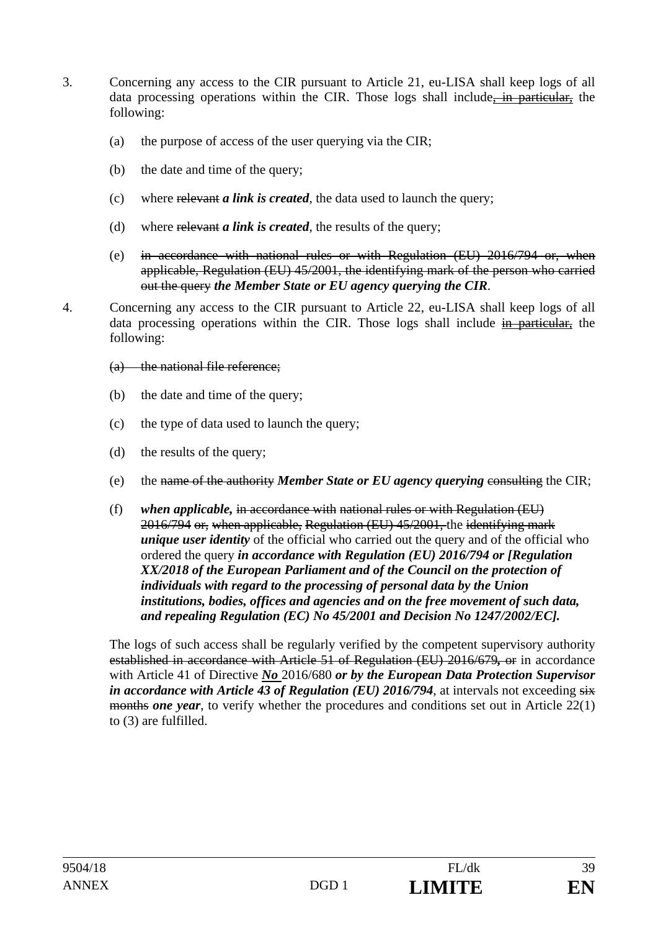- 3. Concerning any access to the CIR pursuant to Article 21, eu-LISA shall keep logs of all data processing operations within the CIR. Those logs shall include $\frac{1}{2}$  in particular, the following:
	- (a) the purpose of access of the user querying via the CIR;
	- (b) the date and time of the query;
	- (c) where relevant *a link is created*, the data used to launch the query;
	- (d) where relevant *a link is created*, the results of the query;
	- (e) in accordance with national rules or with Regulation (EU) 2016/794 or, when applicable, Regulation (EU) 45/2001, the identifying mark of the person who carried out the query *the Member State or EU agency querying the CIR*.
- 4. Concerning any access to the CIR pursuant to Article 22, eu-LISA shall keep logs of all data processing operations within the CIR. Those logs shall include in particular, the following:
	- (a) the national file reference;
	- (b) the date and time of the query;
	- (c) the type of data used to launch the query;
	- (d) the results of the query;
	- (e) the name of the authority *Member State or EU agency querying* consulting the CIR;
	- (f) *when applicable,* in accordance with national rules or with Regulation (EU) 2016/794 or, when applicable, Regulation (EU) 45/2001, the identifying mark *unique user identity* of the official who carried out the query and of the official who ordered the query *in accordance with Regulation (EU) 2016/794 or [Regulation XX/2018 of the European Parliament and of the Council on the protection of individuals with regard to the processing of personal data by the Union institutions, bodies, offices and agencies and on the free movement of such data, and repealing Regulation (EC) No 45/2001 and Decision No 1247/2002/EC].*

The logs of such access shall be regularly verified by the competent supervisory authority established in accordance with Article 51 of Regulation (EU) 2016/679*,* or in accordance with Article 41 of Directive *No* 2016/680 *or by the European Data Protection Supervisor in accordance with Article 43 of Regulation (EU) 2016/794*, at intervals not exceeding  $\frac{1}{12}$ months *one year*, to verify whether the procedures and conditions set out in Article 22(1) to (3) are fulfilled.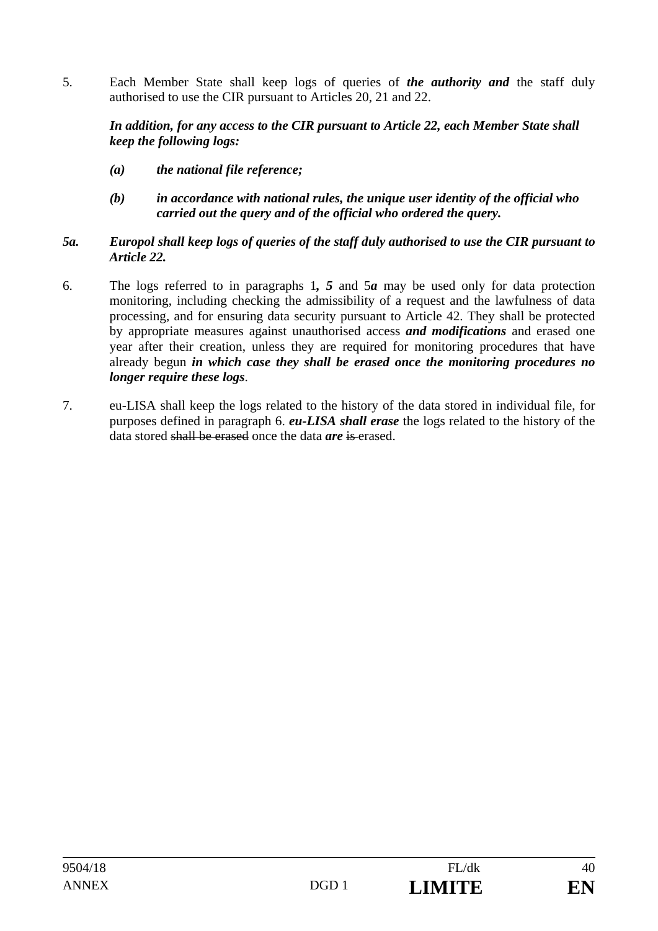5. Each Member State shall keep logs of queries of *the authority and* the staff duly authorised to use the CIR pursuant to Articles 20, 21 and 22.

### *In addition, for any access to the CIR pursuant to Article 22, each Member State shall keep the following logs:*

- *(a) the national file reference;*
- *(b) in accordance with national rules, the unique user identity of the official who carried out the query and of the official who ordered the query.*

## *5a. Europol shall keep logs of queries of the staff duly authorised to use the CIR pursuant to Article 22.*

- 6. The logs referred to in paragraphs 1*, 5* and 5*a* may be used only for data protection monitoring, including checking the admissibility of a request and the lawfulness of data processing, and for ensuring data security pursuant to Article 42. They shall be protected by appropriate measures against unauthorised access *and modifications* and erased one year after their creation, unless they are required for monitoring procedures that have already begun *in which case they shall be erased once the monitoring procedures no longer require these logs*.
- 7. eu-LISA shall keep the logs related to the history of the data stored in individual file, for purposes defined in paragraph 6. *eu-LISA shall erase* the logs related to the history of the data stored shall be erased once the data *are* is erased.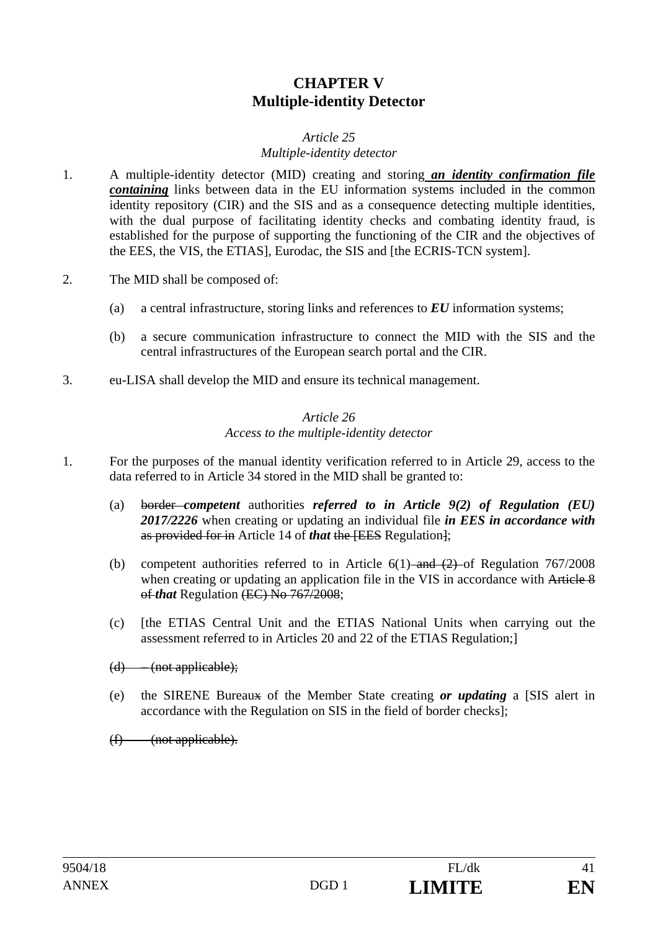## **CHAPTER V Multiple-identity Detector**

# *Article 25*

- *Multiple-identity detector*
- 1. A multiple-identity detector (MID) creating and storing *an identity confirmation file containing* links between data in the EU information systems included in the common identity repository (CIR) and the SIS and as a consequence detecting multiple identities, with the dual purpose of facilitating identity checks and combating identity fraud, is established for the purpose of supporting the functioning of the CIR and the objectives of the EES, the VIS, the ETIAS], Eurodac, the SIS and [the ECRIS-TCN system].
- 2. The MID shall be composed of:
	- (a) a central infrastructure, storing links and references to *EU* information systems;
	- (b) a secure communication infrastructure to connect the MID with the SIS and the central infrastructures of the European search portal and the CIR.
- 3. eu-LISA shall develop the MID and ensure its technical management.

## *Article 26 Access to the multiple-identity detector*

- 1. For the purposes of the manual identity verification referred to in Article 29, access to the data referred to in Article 34 stored in the MID shall be granted to:
	- (a) border *competent* authorities *referred to in Article 9(2) of Regulation (EU) 2017/2226* when creating or updating an individual file *in EES in accordance with*  as provided for in Article 14 of *that* the [EES Regulation];
	- (b) competent authorities referred to in Article  $6(1)$  and  $(2)$  of Regulation 767/2008 when creating or updating an application file in the VIS in accordance with Article 8 of *that* Regulation (EC) No 767/2008;
	- (c) [the ETIAS Central Unit and the ETIAS National Units when carrying out the assessment referred to in Articles 20 and 22 of the ETIAS Regulation;]
	- $(d)$  (not applicable);
	- (e) the SIRENE Bureaux of the Member State creating *or updating* a [SIS alert in accordance with the Regulation on SIS in the field of border checks];

 $(f)$  – (not applicable).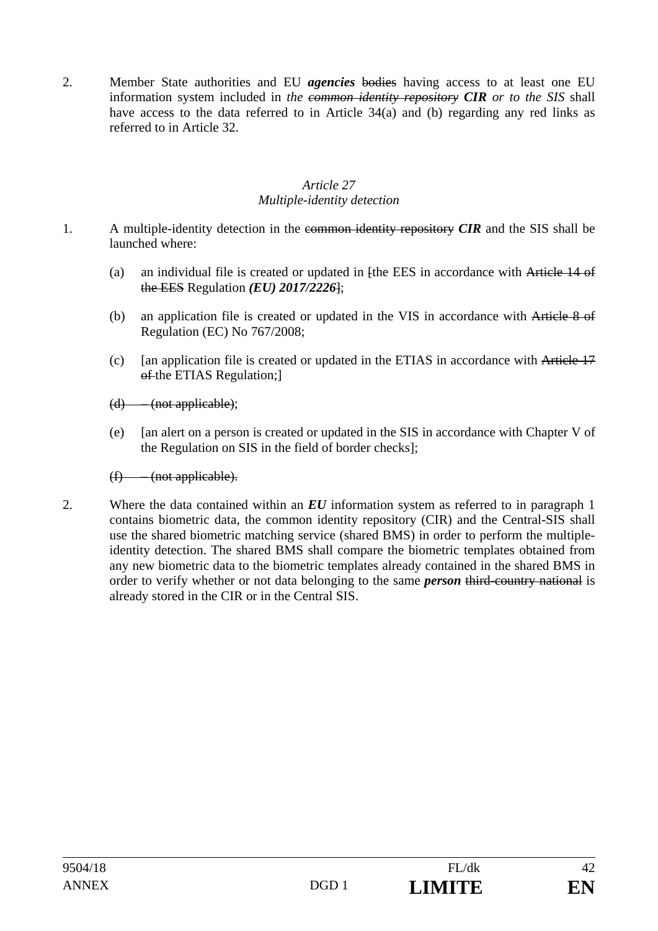2. Member State authorities and EU *agencies* bodies having access to at least one EU information system included in *the common identity repository CIR or to the SIS* shall have access to the data referred to in Article 34(a) and (b) regarding any red links as referred to in Article 32.

## *Article 27 Multiple-identity detection*

- 1. A multiple-identity detection in the common identity repository *CIR* and the SIS shall be launched where:
	- (a) an individual file is created or updated in  $[the EES]$  in accordance with Article 14 of the EES Regulation *(EU) 2017/2226*];
	- (b) an application file is created or updated in the VIS in accordance with Article 8 of Regulation (EC) No 767/2008;
	- (c) [an application file is created or updated in the ETIAS in accordance with Article 17 of the ETIAS Regulation;

 $(d)$  – (not applicable);

(e) [an alert on a person is created or updated in the SIS in accordance with Chapter V of the Regulation on SIS in the field of border checks];

## (f) – (not applicable).

2. Where the data contained within an *EU* information system as referred to in paragraph 1 contains biometric data, the common identity repository (CIR) and the Central-SIS shall use the shared biometric matching service (shared BMS) in order to perform the multipleidentity detection. The shared BMS shall compare the biometric templates obtained from any new biometric data to the biometric templates already contained in the shared BMS in order to verify whether or not data belonging to the same *person* third-country national is already stored in the CIR or in the Central SIS.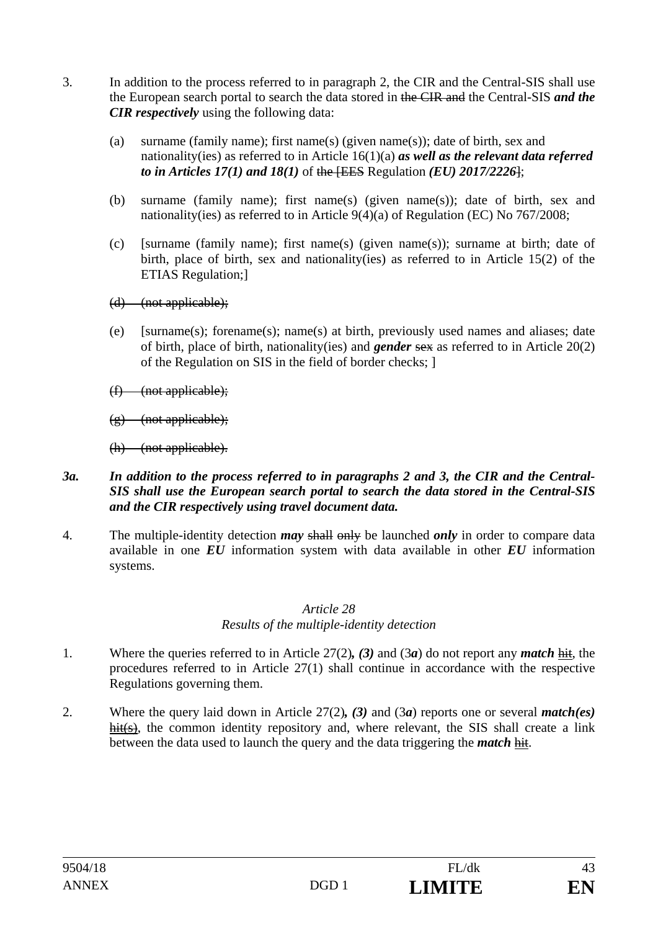- 3. In addition to the process referred to in paragraph 2, the CIR and the Central-SIS shall use the European search portal to search the data stored in the CIR and the Central-SIS *and the CIR respectively* using the following data:
	- (a) surname (family name); first name(s) (given name(s)); date of birth, sex and nationality(ies) as referred to in Article 16(1)(a) *as well as the relevant data referred to in Articles 17(1) and 18(1)* of the [EES Regulation *(EU) 2017/2226*];
	- (b) surname (family name); first name(s) (given name(s)); date of birth, sex and nationality(ies) as referred to in Article 9(4)(a) of Regulation (EC) No 767/2008;
	- (c) [surname (family name); first name(s) (given name(s)); surname at birth; date of birth, place of birth, sex and nationality(ies) as referred to in Article 15(2) of the ETIAS Regulation;]
	- (d) (not applicable);
	- (e) [surname(s); forename(s); name(s) at birth, previously used names and aliases; date of birth, place of birth, nationality(ies) and *gender* sex as referred to in Article 20(2) of the Regulation on SIS in the field of border checks; ]
	- $(f)$  (not applicable);
	- $(g)$  (not applicable);

(h) (not applicable).

#### *3a. In addition to the process referred to in paragraphs 2 and 3, the CIR and the Central-SIS shall use the European search portal to search the data stored in the Central-SIS and the CIR respectively using travel document data.*

4. The multiple-identity detection *may* shall only be launched *only* in order to compare data available in one *EU* information system with data available in other *EU* information systems.

## *Article 28*

*Results of the multiple-identity detection* 

- 1. Where the queries referred to in Article 27(2)*, (3)* and (3*a*) do not report any *match* hit, the procedures referred to in Article 27(1) shall continue in accordance with the respective Regulations governing them.
- 2. Where the query laid down in Article 27(2)*, (3)* and (3*a*) reports one or several *match(es)*  hit(s), the common identity repository and, where relevant, the SIS shall create a link between the data used to launch the query and the data triggering the *match* hit.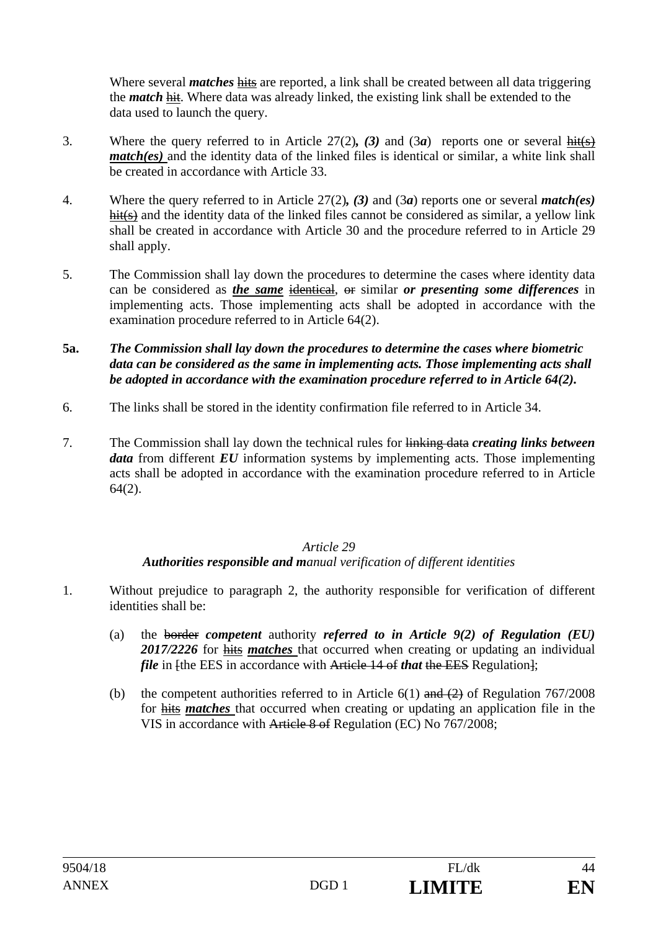Where several *matches* hits are reported, a link shall be created between all data triggering the *match* hit. Where data was already linked, the existing link shall be extended to the data used to launch the query.

- 3. Where the query referred to in Article 27(2)*, (3)* and (3*a*) reports one or several hit(s) *match(es)* and the identity data of the linked files is identical or similar, a white link shall be created in accordance with Article 33.
- 4. Where the query referred to in Article 27(2)*, (3)* and (3*a*) reports one or several *match(es)* hit(s) and the identity data of the linked files cannot be considered as similar, a yellow link shall be created in accordance with Article 30 and the procedure referred to in Article 29 shall apply.
- 5. The Commission shall lay down the procedures to determine the cases where identity data can be considered as *the same* identical, or similar *or presenting some differences* in implementing acts. Those implementing acts shall be adopted in accordance with the examination procedure referred to in Article 64(2).
- **5a.** *The Commission shall lay down the procedures to determine the cases where biometric data can be considered as the same in implementing acts. Those implementing acts shall be adopted in accordance with the examination procedure referred to in Article 64(2).*
- 6. The links shall be stored in the identity confirmation file referred to in Article 34.
- 7. The Commission shall lay down the technical rules for linking data *creating links between data* from different *EU* information systems by implementing acts. Those implementing acts shall be adopted in accordance with the examination procedure referred to in Article 64(2).

#### *Article 29*

## *Authorities responsible and manual verification of different identities*

- 1. Without prejudice to paragraph 2, the authority responsible for verification of different identities shall be:
	- (a) the border *competent* authority *referred to in Article 9(2) of Regulation (EU) 2017/2226* for hits *matches* that occurred when creating or updating an individual *file* in  $[the EES in accordance with *Article 14 of that the EES* Regulation];$
	- (b) the competent authorities referred to in Article  $6(1)$  and  $(2)$  of Regulation 767/2008 for hits *matches* that occurred when creating or updating an application file in the VIS in accordance with Article 8 of Regulation (EC) No 767/2008;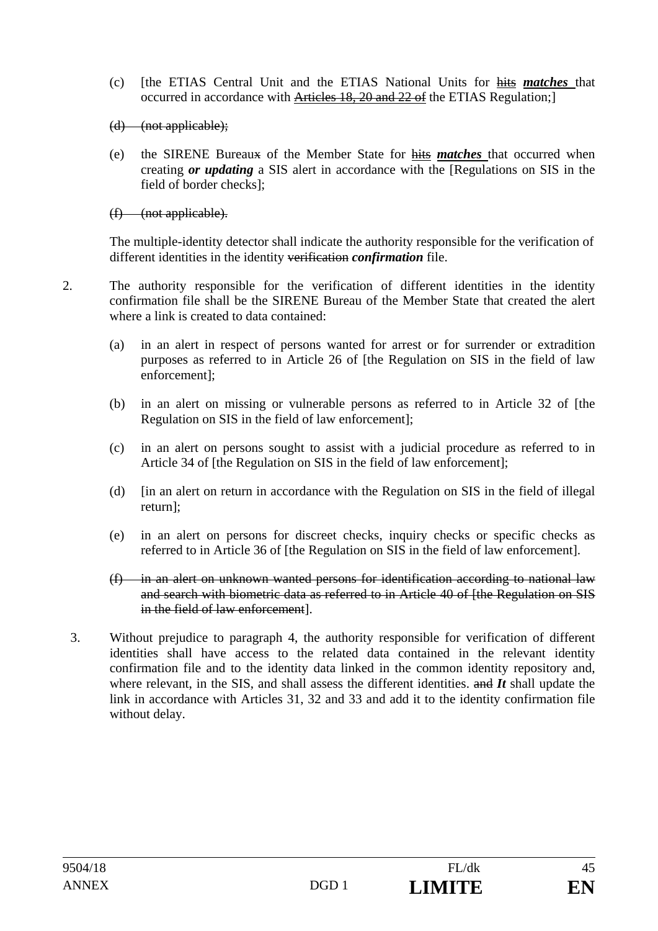- (c) [the ETIAS Central Unit and the ETIAS National Units for hits *matches* that occurred in accordance with **Articles 18, 20 and 22 of** the ETIAS Regulation;
- (d) (not applicable);
- (e) the SIRENE Bureaux of the Member State for hits *matches* that occurred when creating *or updating* a SIS alert in accordance with the [Regulations on SIS in the field of border checks];

(f) (not applicable).

The multiple-identity detector shall indicate the authority responsible for the verification of different identities in the identity verification *confirmation* file.

- 2. The authority responsible for the verification of different identities in the identity confirmation file shall be the SIRENE Bureau of the Member State that created the alert where a link is created to data contained:
	- (a) in an alert in respect of persons wanted for arrest or for surrender or extradition purposes as referred to in Article 26 of [the Regulation on SIS in the field of law enforcement];
	- (b) in an alert on missing or vulnerable persons as referred to in Article 32 of [the Regulation on SIS in the field of law enforcement];
	- (c) in an alert on persons sought to assist with a judicial procedure as referred to in Article 34 of [the Regulation on SIS in the field of law enforcement];
	- (d) [in an alert on return in accordance with the Regulation on SIS in the field of illegal return];
	- (e) in an alert on persons for discreet checks, inquiry checks or specific checks as referred to in Article 36 of [the Regulation on SIS in the field of law enforcement].
	- (f) in an alert on unknown wanted persons for identification according to national law and search with biometric data as referred to in Article 40 of [the Regulation on SIS in the field of law enforcement].
	- 3. Without prejudice to paragraph 4, the authority responsible for verification of different identities shall have access to the related data contained in the relevant identity confirmation file and to the identity data linked in the common identity repository and, where relevant, in the SIS, and shall assess the different identities. and *It* shall update the link in accordance with Articles 31, 32 and 33 and add it to the identity confirmation file without delay.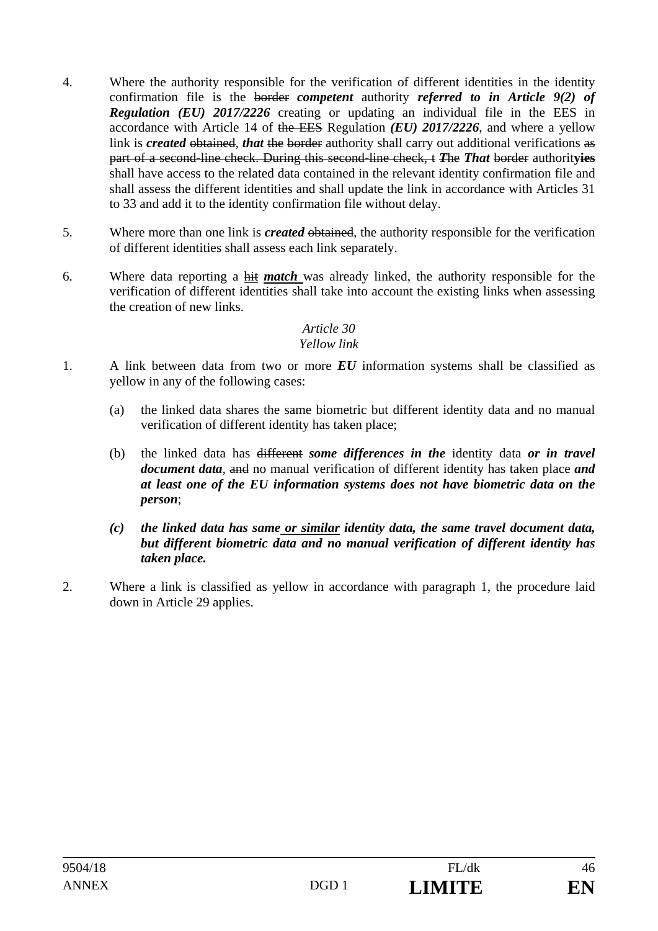- 4. Where the authority responsible for the verification of different identities in the identity confirmation file is the border *competent* authority *referred to in Article 9(2) of Regulation (EU) 2017/2226* creating or updating an individual file in the EES in accordance with Article 14 of the EES Regulation *(EU) 2017/2226*, and where a yellow link is *created* obtained, *that* the border authority shall carry out additional verifications as part of a second-line check. During this second-line check, t *T*he *That* border authorit**yies** shall have access to the related data contained in the relevant identity confirmation file and shall assess the different identities and shall update the link in accordance with Articles 31 to 33 and add it to the identity confirmation file without delay.
- 5. Where more than one link is *created* obtained, the authority responsible for the verification of different identities shall assess each link separately.
- 6. Where data reporting a hit *match* was already linked, the authority responsible for the verification of different identities shall take into account the existing links when assessing the creation of new links.

#### *Article 30 Yellow link*

- 1. A link between data from two or more *EU* information systems shall be classified as yellow in any of the following cases:
	- (a) the linked data shares the same biometric but different identity data and no manual verification of different identity has taken place;
	- (b) the linked data has different *some differences in the* identity data *or in travel document data,* and no manual verification of different identity has taken place *and at least one of the EU information systems does not have biometric data on the person*;
	- *(c) the linked data has same or similar identity data, the same travel document data, but different biometric data and no manual verification of different identity has taken place.*
- 2. Where a link is classified as yellow in accordance with paragraph 1, the procedure laid down in Article 29 applies.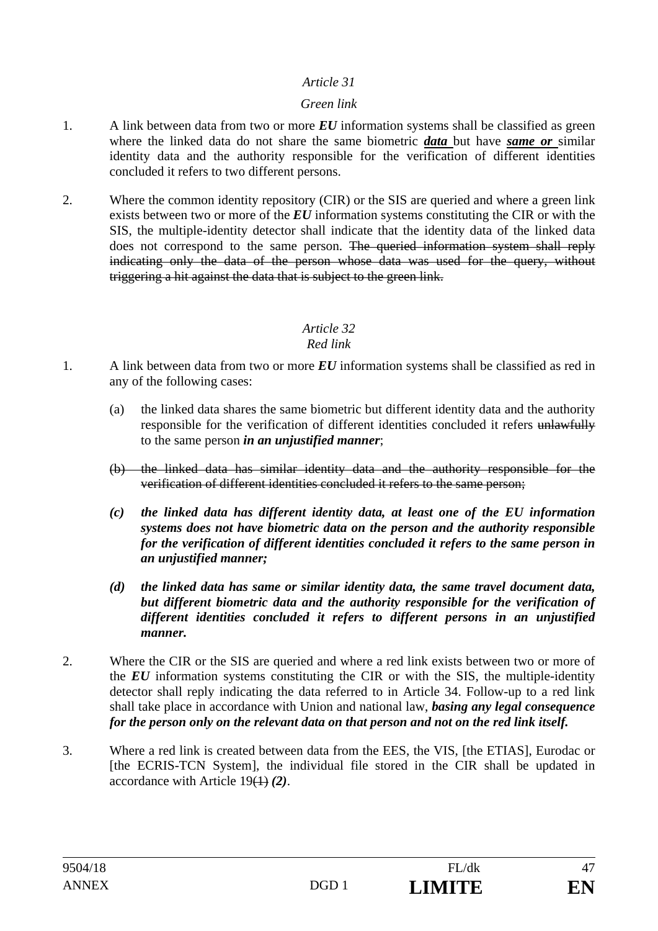### *Green link*

- 1. A link between data from two or more *EU* information systems shall be classified as green where the linked data do not share the same biometric *data* but have *same or* similar identity data and the authority responsible for the verification of different identities concluded it refers to two different persons.
- 2. Where the common identity repository (CIR) or the SIS are queried and where a green link exists between two or more of the *EU* information systems constituting the CIR or with the SIS, the multiple-identity detector shall indicate that the identity data of the linked data does not correspond to the same person. The queried information system shall reply indicating only the data of the person whose data was used for the query, without triggering a hit against the data that is subject to the green link.

#### *Article 32 Red link*

- 1. A link between data from two or more *EU* information systems shall be classified as red in any of the following cases:
	- (a) the linked data shares the same biometric but different identity data and the authority responsible for the verification of different identities concluded it refers unlawfully to the same person *in an unjustified manner*;
	- (b) the linked data has similar identity data and the authority responsible for the verification of different identities concluded it refers to the same person;
	- *(c) the linked data has different identity data, at least one of the EU information systems does not have biometric data on the person and the authority responsible for the verification of different identities concluded it refers to the same person in an unjustified manner;*
	- *(d) the linked data has same or similar identity data, the same travel document data, but different biometric data and the authority responsible for the verification of different identities concluded it refers to different persons in an unjustified manner.*
- 2. Where the CIR or the SIS are queried and where a red link exists between two or more of the *EU* information systems constituting the CIR or with the SIS, the multiple-identity detector shall reply indicating the data referred to in Article 34. Follow-up to a red link shall take place in accordance with Union and national law, *basing any legal consequence for the person only on the relevant data on that person and not on the red link itself.*
- 3. Where a red link is created between data from the EES, the VIS, [the ETIAS], Eurodac or [the ECRIS-TCN System], the individual file stored in the CIR shall be updated in accordance with Article 19(1) *(2)*.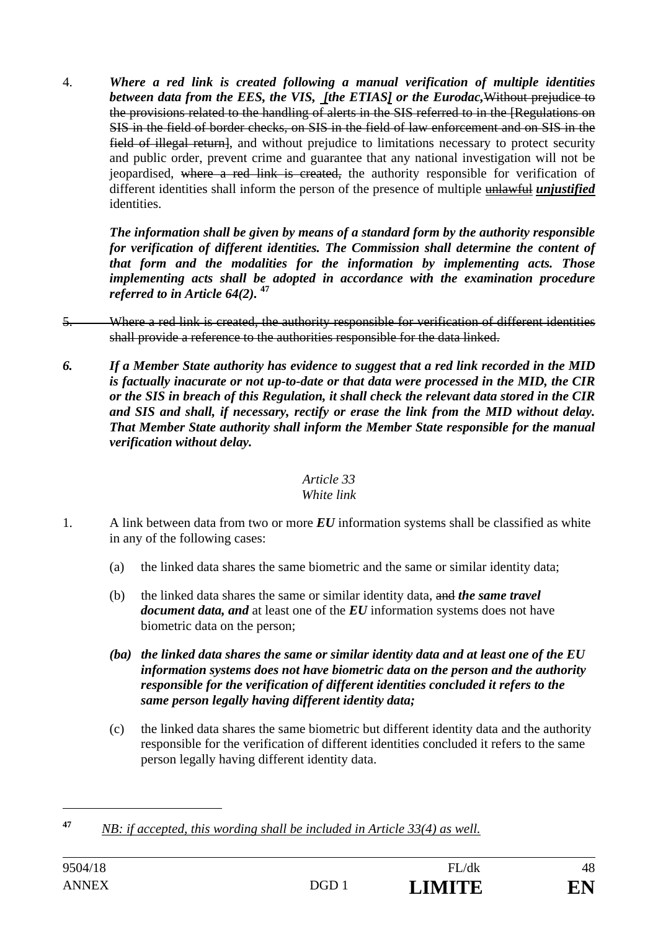4. *Where a red link is created following a manual verification of multiple identities between data from the EES, the VIS, [the ETIAS] or the Eurodac,*Without prejudice to the provisions related to the handling of alerts in the SIS referred to in the [Regulations on SIS in the field of border checks, on SIS in the field of law enforcement and on SIS in the field of illegal return], and without prejudice to limitations necessary to protect security and public order, prevent crime and guarantee that any national investigation will not be jeopardised, where a red link is created, the authority responsible for verification of different identities shall inform the person of the presence of multiple unlawful *unjustified*  identities.

*The information shall be given by means of a standard form by the authority responsible for verification of different identities. The Commission shall determine the content of that form and the modalities for the information by implementing acts. Those implementing acts shall be adopted in accordance with the examination procedure referred to in Article 64(2).* **<sup>47</sup>**

- 5. Where a red link is created, the authority responsible for verification of different identities shall provide a reference to the authorities responsible for the data linked.
- *6. If a Member State authority has evidence to suggest that a red link recorded in the MID is factually inacurate or not up-to-date or that data were processed in the MID, the CIR or the SIS in breach of this Regulation, it shall check the relevant data stored in the CIR and SIS and shall, if necessary, rectify or erase the link from the MID without delay. That Member State authority shall inform the Member State responsible for the manual verification without delay.*

## *Article 33 White link*

- 1. A link between data from two or more *EU* information systems shall be classified as white in any of the following cases:
	- (a) the linked data shares the same biometric and the same or similar identity data;
	- (b) the linked data shares the same or similar identity data, and *the same travel document data, and* at least one of the *EU* information systems does not have biometric data on the person;
	- *(ba) the linked data shares the same or similar identity data and at least one of the EU information systems does not have biometric data on the person and the authority responsible for the verification of different identities concluded it refers to the same person legally having different identity data;*
	- (c) the linked data shares the same biometric but different identity data and the authority responsible for the verification of different identities concluded it refers to the same person legally having different identity data.

 $\overline{a}$ 

**<sup>47</sup>** *NB: if accepted, this wording shall be included in Article 33(4) as well.*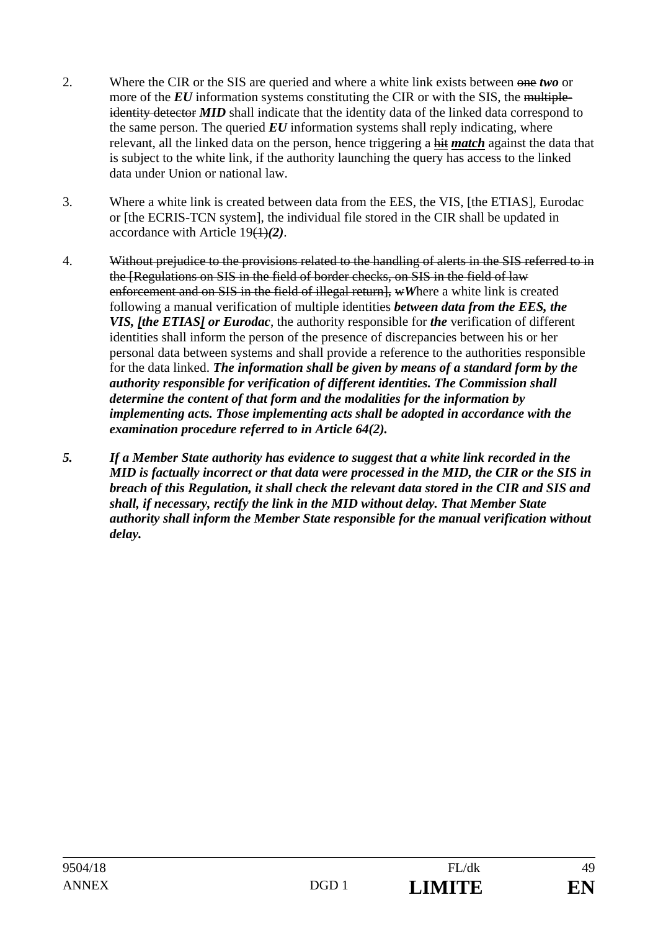- 2. Where the CIR or the SIS are queried and where a white link exists between one *two* or more of the *EU* information systems constituting the CIR or with the SIS, the multipleidentity detector **MID** shall indicate that the identity data of the linked data correspond to the same person. The queried  $EU$  information systems shall reply indicating, where relevant, all the linked data on the person, hence triggering a hit *match* against the data that is subject to the white link, if the authority launching the query has access to the linked data under Union or national law.
- 3. Where a white link is created between data from the EES, the VIS, [the ETIAS], Eurodac or [the ECRIS-TCN system], the individual file stored in the CIR shall be updated in accordance with Article 19(1)*(2)*.
- 4. Without prejudice to the provisions related to the handling of alerts in the SIS referred to in the [Regulations on SIS in the field of border checks, on SIS in the field of law enforcement and on SIS in the field of illegal return], wWhere a white link is created following a manual verification of multiple identities *between data from the EES, the VIS, [the ETIAS] or Eurodac*, the authority responsible for *the* verification of different identities shall inform the person of the presence of discrepancies between his or her personal data between systems and shall provide a reference to the authorities responsible for the data linked. *The information shall be given by means of a standard form by the authority responsible for verification of different identities. The Commission shall determine the content of that form and the modalities for the information by implementing acts. Those implementing acts shall be adopted in accordance with the examination procedure referred to in Article 64(2).*
- *5. If a Member State authority has evidence to suggest that a white link recorded in the MID is factually incorrect or that data were processed in the MID, the CIR or the SIS in breach of this Regulation, it shall check the relevant data stored in the CIR and SIS and shall, if necessary, rectify the link in the MID without delay. That Member State authority shall inform the Member State responsible for the manual verification without delay.*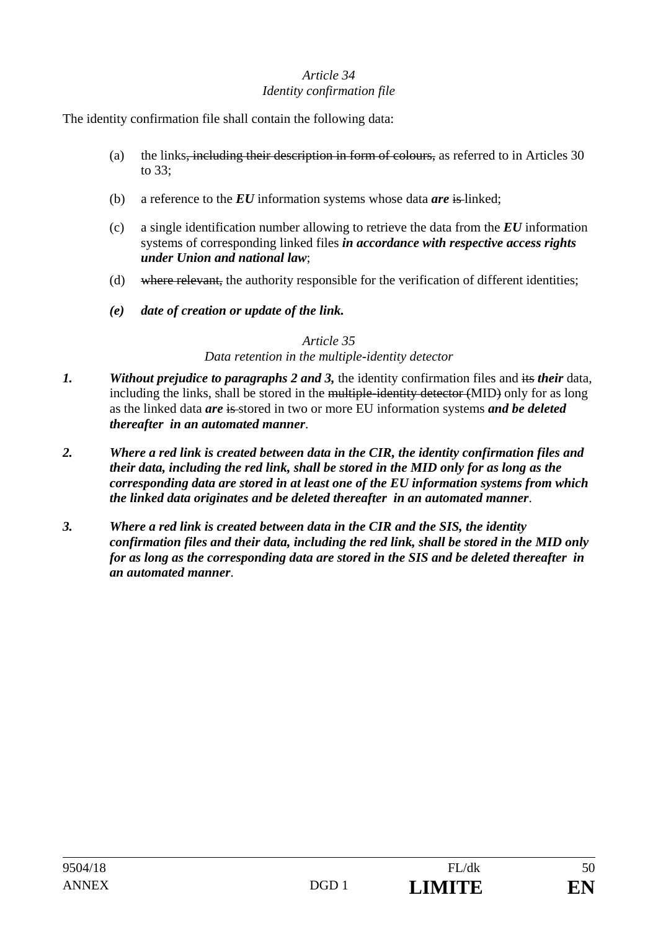## *Article 34 Identity confirmation file*

The identity confirmation file shall contain the following data:

- (a) the links, including their description in form of colours, as referred to in Articles 30 to 33;
- (b) a reference to the *EU* information systems whose data *are* is linked;
- (c) a single identification number allowing to retrieve the data from the *EU* information systems of corresponding linked files *in accordance with respective access rights under Union and national law*;
- (d) where relevant, the authority responsible for the verification of different identities;
- *(e) date of creation or update of the link.*

#### *Article 35*

### *Data retention in the multiple-identity detector*

- *1. Without prejudice to paragraphs 2 and 3,* the identity confirmation files and its *their* data, including the links, shall be stored in the multiple-identity detector (MID) only for as long as the linked data *are* is stored in two or more EU information systems *and be deleted thereafter in an automated manner*.
- *2. Where a red link is created between data in the CIR, the identity confirmation files and their data, including the red link, shall be stored in the MID only for as long as the corresponding data are stored in at least one of the EU information systems from which the linked data originates and be deleted thereafter in an automated manner*.
- *3. Where a red link is created between data in the CIR and the SIS, the identity confirmation files and their data, including the red link, shall be stored in the MID only for as long as the corresponding data are stored in the SIS and be deleted thereafter in an automated manner*.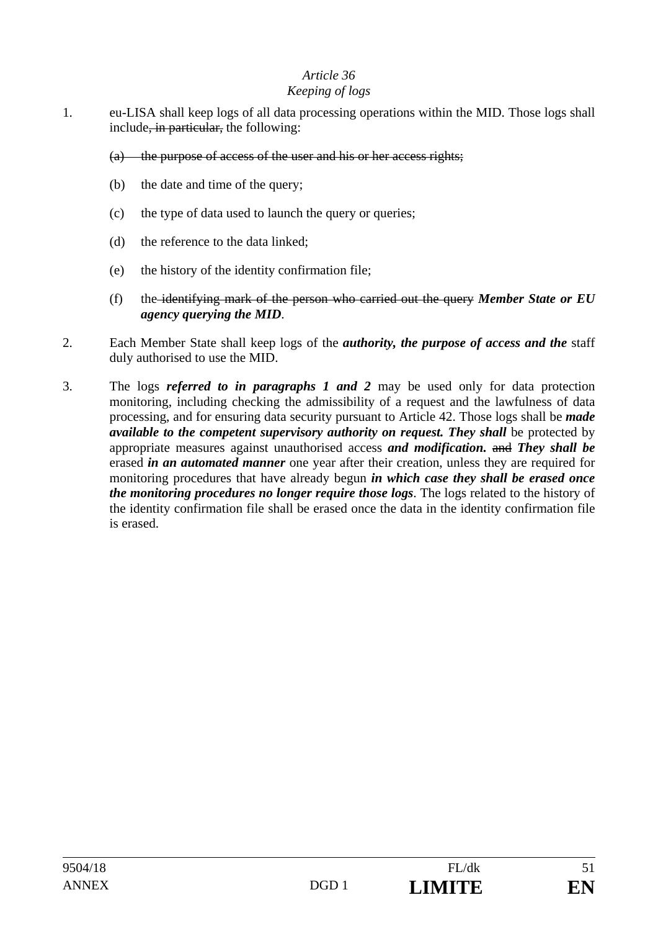#### *Keeping of logs*

- 1. eu-LISA shall keep logs of all data processing operations within the MID. Those logs shall include<del>, in particular,</del> the following:
	- (a) the purpose of access of the user and his or her access rights;
	- (b) the date and time of the query;
	- (c) the type of data used to launch the query or queries;
	- (d) the reference to the data linked;
	- (e) the history of the identity confirmation file;
	- (f) the identifying mark of the person who carried out the query *Member State or EU agency querying the MID*.
- 2. Each Member State shall keep logs of the *authority, the purpose of access and the* staff duly authorised to use the MID.
- 3. The logs *referred to in paragraphs 1 and 2* may be used only for data protection monitoring, including checking the admissibility of a request and the lawfulness of data processing, and for ensuring data security pursuant to Article 42. Those logs shall be *made available to the competent supervisory authority on request. They shall be protected by* appropriate measures against unauthorised access *and modification.* and *They shall be* erased *in an automated manner* one year after their creation, unless they are required for monitoring procedures that have already begun *in which case they shall be erased once the monitoring procedures no longer require those logs*. The logs related to the history of the identity confirmation file shall be erased once the data in the identity confirmation file is erased.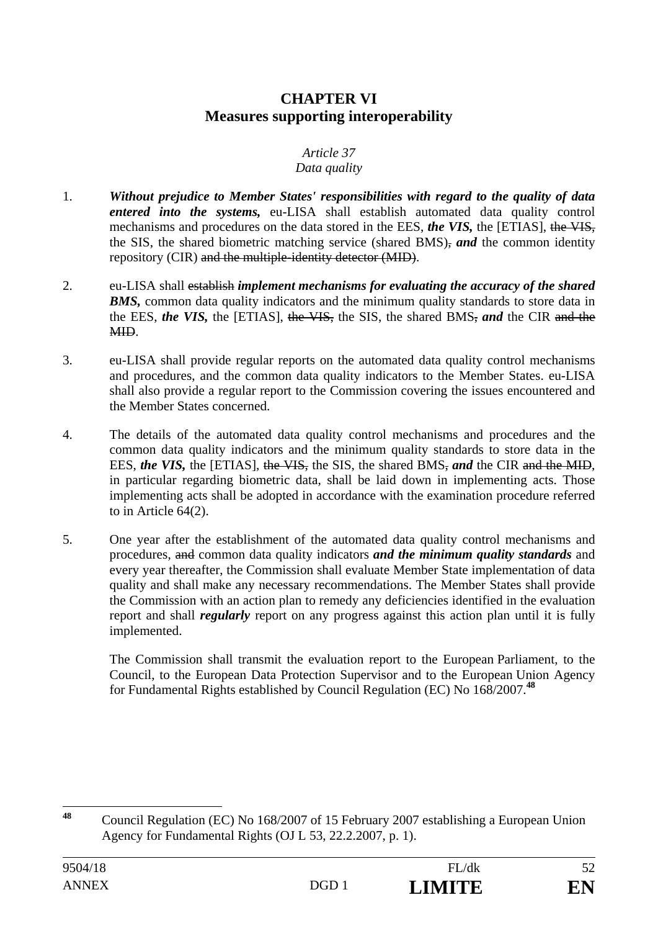## **CHAPTER VI Measures supporting interoperability**

## *Article 37*

## *Data quality*

- 1. *Without prejudice to Member States' responsibilities with regard to the quality of data entered into the systems,* eu-LISA shall establish automated data quality control mechanisms and procedures on the data stored in the EES, *the VIS,* the [ETIAS], the VIS, the SIS, the shared biometric matching service (shared BMS), *and* the common identity repository (CIR) and the multiple-identity detector (MID).
- 2. eu-LISA shall establish *implement mechanisms for evaluating the accuracy of the shared*  **BMS**, common data quality indicators and the minimum quality standards to store data in the EES, *the VIS*, the [ETIAS], the VIS, the SIS, the shared BMS, and the CIR and the MID.
- 3. eu-LISA shall provide regular reports on the automated data quality control mechanisms and procedures, and the common data quality indicators to the Member States. eu-LISA shall also provide a regular report to the Commission covering the issues encountered and the Member States concerned.
- 4. The details of the automated data quality control mechanisms and procedures and the common data quality indicators and the minimum quality standards to store data in the EES, *the VIS*, the [ETIAS], the VIS, the SIS, the shared BMS, and the CIR and the MID, in particular regarding biometric data, shall be laid down in implementing acts. Those implementing acts shall be adopted in accordance with the examination procedure referred to in Article 64(2).
- 5. One year after the establishment of the automated data quality control mechanisms and procedures, and common data quality indicators *and the minimum quality standards* and every year thereafter, the Commission shall evaluate Member State implementation of data quality and shall make any necessary recommendations. The Member States shall provide the Commission with an action plan to remedy any deficiencies identified in the evaluation report and shall *regularly* report on any progress against this action plan until it is fully implemented.

 The Commission shall transmit the evaluation report to the European Parliament, to the Council, to the European Data Protection Supervisor and to the European Union Agency for Fundamental Rights established by Council Regulation (EC) No 168/2007.**<sup>48</sup>**

 $\overline{AB}$ **<sup>48</sup>** Council Regulation (EC) No 168/2007 of 15 February 2007 establishing a European Union Agency for Fundamental Rights (OJ L 53, 22.2.2007, p. 1).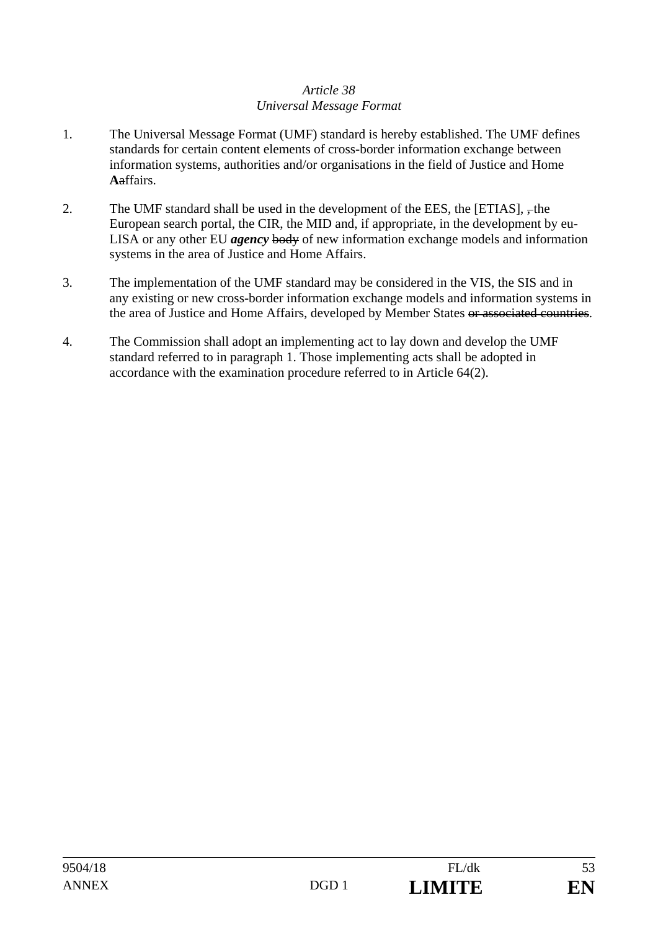## *Article 38 Universal Message Format*

- 1. The Universal Message Format (UMF) standard is hereby established. The UMF defines standards for certain content elements of cross-border information exchange between information systems, authorities and/or organisations in the field of Justice and Home **A**affairs.
- 2. The UMF standard shall be used in the development of the EES, the  $[ETIAS]$ ,  $\frac{1}{2}$ , the European search portal, the CIR, the MID and, if appropriate, in the development by eu-LISA or any other EU *agency* body of new information exchange models and information systems in the area of Justice and Home Affairs.
- 3. The implementation of the UMF standard may be considered in the VIS, the SIS and in any existing or new cross-border information exchange models and information systems in the area of Justice and Home Affairs, developed by Member States or associated countries.
- 4. The Commission shall adopt an implementing act to lay down and develop the UMF standard referred to in paragraph 1. Those implementing acts shall be adopted in accordance with the examination procedure referred to in Article 64(2).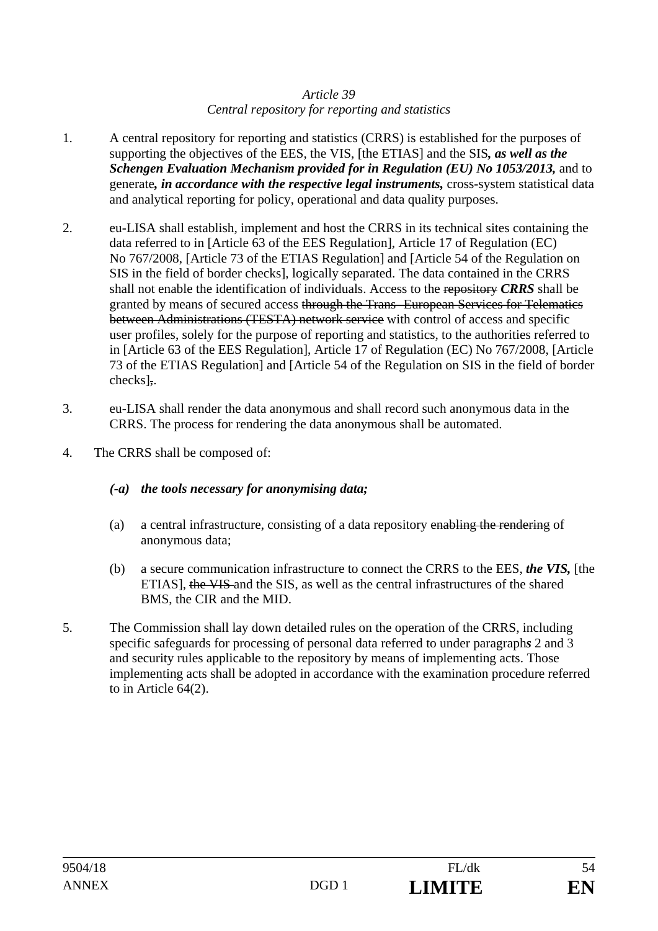## *Article 39 Central repository for reporting and statistics*

- 1. A central repository for reporting and statistics (CRRS) is established for the purposes of supporting the objectives of the EES, the VIS, [the ETIAS] and the SIS*, as well as the Schengen Evaluation Mechanism provided for in Regulation (EU) No 1053/2013,* and to generate*, in accordance with the respective legal instruments,* cross-system statistical data and analytical reporting for policy, operational and data quality purposes.
- 2. eu-LISA shall establish, implement and host the CRRS in its technical sites containing the data referred to in [Article 63 of the EES Regulation], Article 17 of Regulation (EC) No 767/2008, [Article 73 of the ETIAS Regulation] and [Article 54 of the Regulation on SIS in the field of border checks], logically separated. The data contained in the CRRS shall not enable the identification of individuals. Access to the repository *CRRS* shall be granted by means of secured access through the Trans- European Services for Telematics between Administrations (TESTA) network service with control of access and specific user profiles, solely for the purpose of reporting and statistics, to the authorities referred to in [Article 63 of the EES Regulation], Article 17 of Regulation (EC) No 767/2008, [Article 73 of the ETIAS Regulation] and [Article 54 of the Regulation on SIS in the field of border checks],.
- 3. eu-LISA shall render the data anonymous and shall record such anonymous data in the CRRS. The process for rendering the data anonymous shall be automated.
- 4. The CRRS shall be composed of:

## *(-a) the tools necessary for anonymising data;*

- (a) a central infrastructure, consisting of a data repository enabling the rendering of anonymous data;
- (b) a secure communication infrastructure to connect the CRRS to the EES, *the VIS,* [the ETIAS], the VIS and the SIS, as well as the central infrastructures of the shared BMS, the CIR and the MID.
- 5. The Commission shall lay down detailed rules on the operation of the CRRS, including specific safeguards for processing of personal data referred to under paragraph*s* 2 and 3 and security rules applicable to the repository by means of implementing acts. Those implementing acts shall be adopted in accordance with the examination procedure referred to in Article 64(2).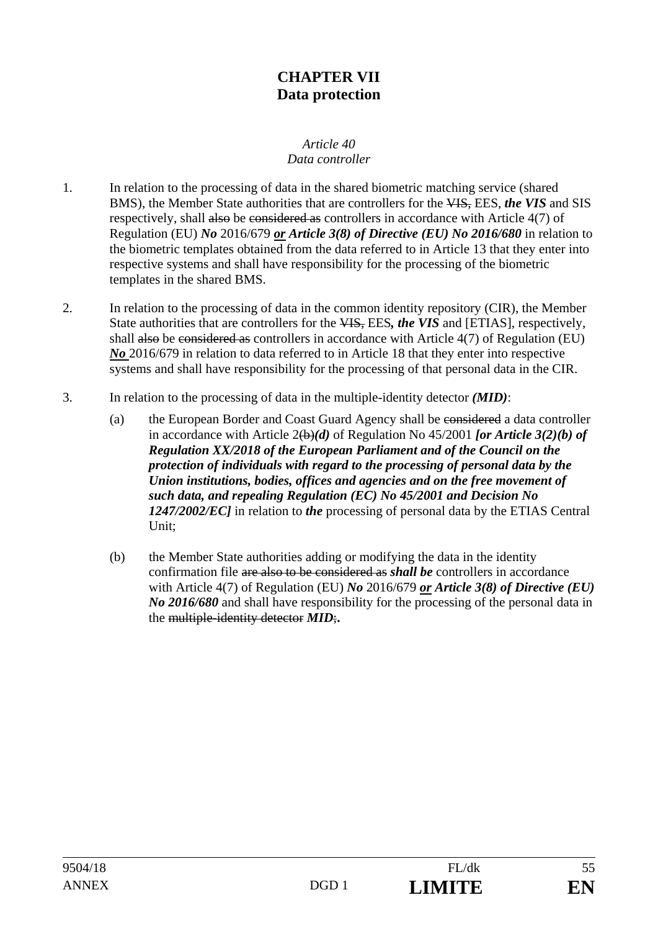## **CHAPTER VII Data protection**

#### *Article 40 Data controller*

- 1. In relation to the processing of data in the shared biometric matching service (shared BMS), the Member State authorities that are controllers for the VIS, EES, *the VIS* and SIS respectively, shall also be considered as controllers in accordance with Article 4(7) of Regulation (EU) *No* 2016/679 *or Article 3(8) of Directive (EU) No 2016/680* in relation to the biometric templates obtained from the data referred to in Article 13 that they enter into respective systems and shall have responsibility for the processing of the biometric templates in the shared BMS.
- 2. In relation to the processing of data in the common identity repository (CIR), the Member State authorities that are controllers for the VIS, EES*, the VIS* and [ETIAS], respectively, shall also be considered as controllers in accordance with Article 4(7) of Regulation (EU) *No* 2016/679 in relation to data referred to in Article 18 that they enter into respective systems and shall have responsibility for the processing of that personal data in the CIR.
- 3. In relation to the processing of data in the multiple-identity detector *(MID)*:
	- (a) the European Border and Coast Guard Agency shall be considered a data controller in accordance with Article 2(b)*(d)* of Regulation No 45/2001 *[or Article 3(2)(b) of Regulation XX/2018 of the European Parliament and of the Council on the protection of individuals with regard to the processing of personal data by the Union institutions, bodies, offices and agencies and on the free movement of such data, and repealing Regulation (EC) No 45/2001 and Decision No 1247/2002/EC]* in relation to *the* processing of personal data by the ETIAS Central Unit;
	- (b) the Member State authorities adding or modifying the data in the identity confirmation file are also to be considered as *shall be* controllers in accordance with Article 4(7) of Regulation (EU) *No* 2016/679 *or Article 3(8) of Directive (EU) No 2016/680* and shall have responsibility for the processing of the personal data in the multiple-identity detector *MID*;**.**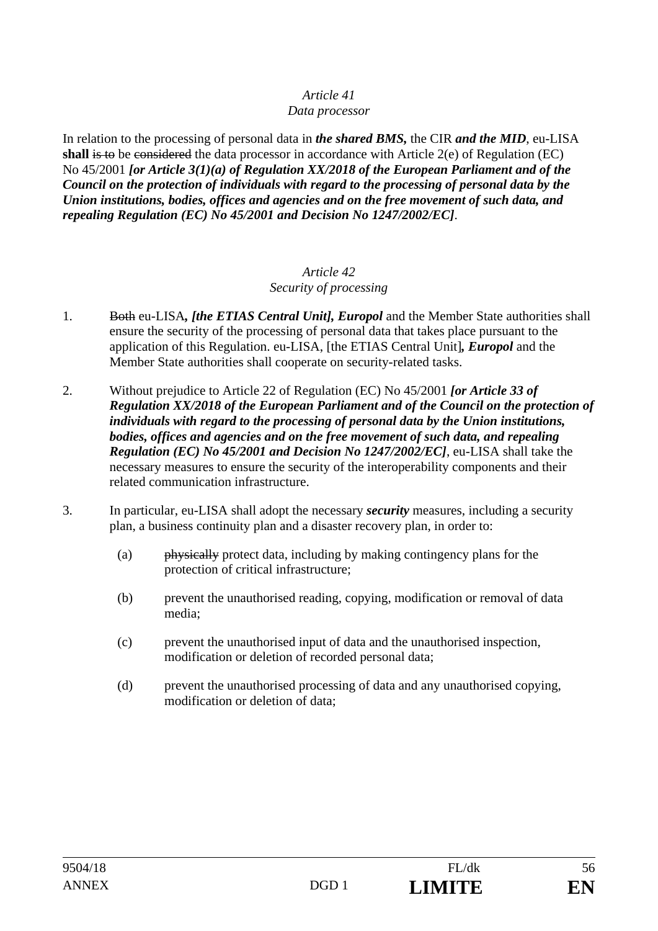#### *Data processor*

In relation to the processing of personal data in *the shared BMS,* the CIR *and the MID*, eu-LISA **shall** is to be considered the data processor in accordance with Article 2(e) of Regulation (EC) No 45/2001 *[or Article 3(1)(a) of Regulation XX/2018 of the European Parliament and of the Council on the protection of individuals with regard to the processing of personal data by the Union institutions, bodies, offices and agencies and on the free movement of such data, and repealing Regulation (EC) No 45/2001 and Decision No 1247/2002/EC]*.

#### *Article 42 Security of processing*

- 1. Both eu-LISA*, [the ETIAS Central Unit], Europol* and the Member State authorities shall ensure the security of the processing of personal data that takes place pursuant to the application of this Regulation. eu-LISA, [the ETIAS Central Unit]*, Europol* and the Member State authorities shall cooperate on security-related tasks.
- 2. Without prejudice to Article 22 of Regulation (EC) No 45/2001 *[or Article 33 of Regulation XX/2018 of the European Parliament and of the Council on the protection of individuals with regard to the processing of personal data by the Union institutions, bodies, offices and agencies and on the free movement of such data, and repealing Regulation (EC) No 45/2001 and Decision No 1247/2002/EC]*, eu-LISA shall take the necessary measures to ensure the security of the interoperability components and their related communication infrastructure.
- 3. In particular, eu-LISA shall adopt the necessary *security* measures, including a security plan, a business continuity plan and a disaster recovery plan, in order to:
	- (a) physically protect data, including by making contingency plans for the protection of critical infrastructure;
	- (b) prevent the unauthorised reading, copying, modification or removal of data media;
	- (c) prevent the unauthorised input of data and the unauthorised inspection, modification or deletion of recorded personal data;
	- (d) prevent the unauthorised processing of data and any unauthorised copying, modification or deletion of data;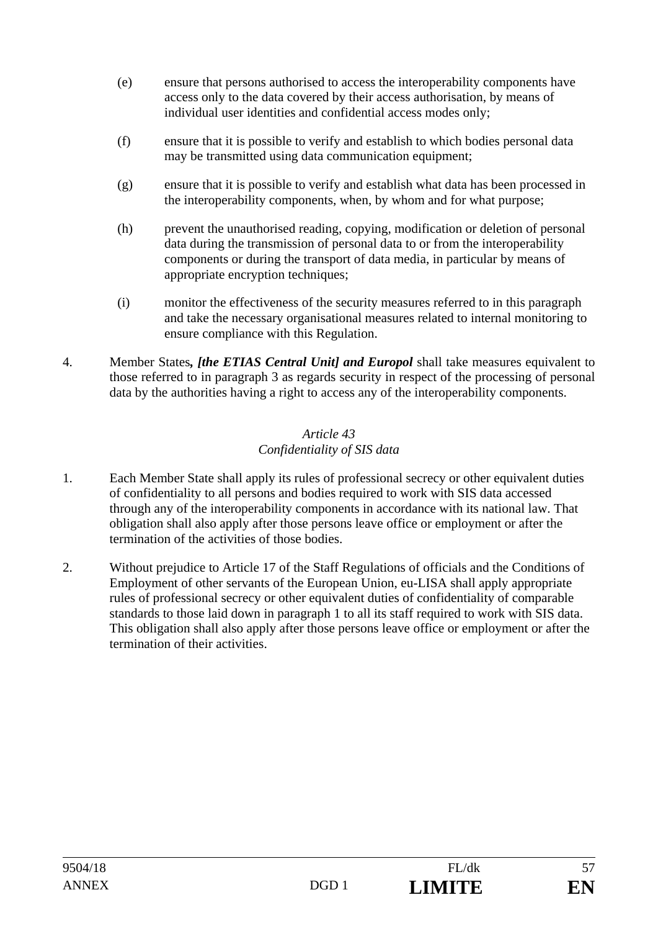- (e) ensure that persons authorised to access the interoperability components have access only to the data covered by their access authorisation, by means of individual user identities and confidential access modes only;
- (f) ensure that it is possible to verify and establish to which bodies personal data may be transmitted using data communication equipment;
- (g) ensure that it is possible to verify and establish what data has been processed in the interoperability components, when, by whom and for what purpose;
- (h) prevent the unauthorised reading, copying, modification or deletion of personal data during the transmission of personal data to or from the interoperability components or during the transport of data media, in particular by means of appropriate encryption techniques;
- (i) monitor the effectiveness of the security measures referred to in this paragraph and take the necessary organisational measures related to internal monitoring to ensure compliance with this Regulation.
- 4. Member States*, [the ETIAS Central Unit] and Europol* shall take measures equivalent to those referred to in paragraph 3 as regards security in respect of the processing of personal data by the authorities having a right to access any of the interoperability components.

## *Article 43 Confidentiality of SIS data*

- 1. Each Member State shall apply its rules of professional secrecy or other equivalent duties of confidentiality to all persons and bodies required to work with SIS data accessed through any of the interoperability components in accordance with its national law. That obligation shall also apply after those persons leave office or employment or after the termination of the activities of those bodies.
- 2. Without prejudice to Article 17 of the Staff Regulations of officials and the Conditions of Employment of other servants of the European Union, eu-LISA shall apply appropriate rules of professional secrecy or other equivalent duties of confidentiality of comparable standards to those laid down in paragraph 1 to all its staff required to work with SIS data. This obligation shall also apply after those persons leave office or employment or after the termination of their activities.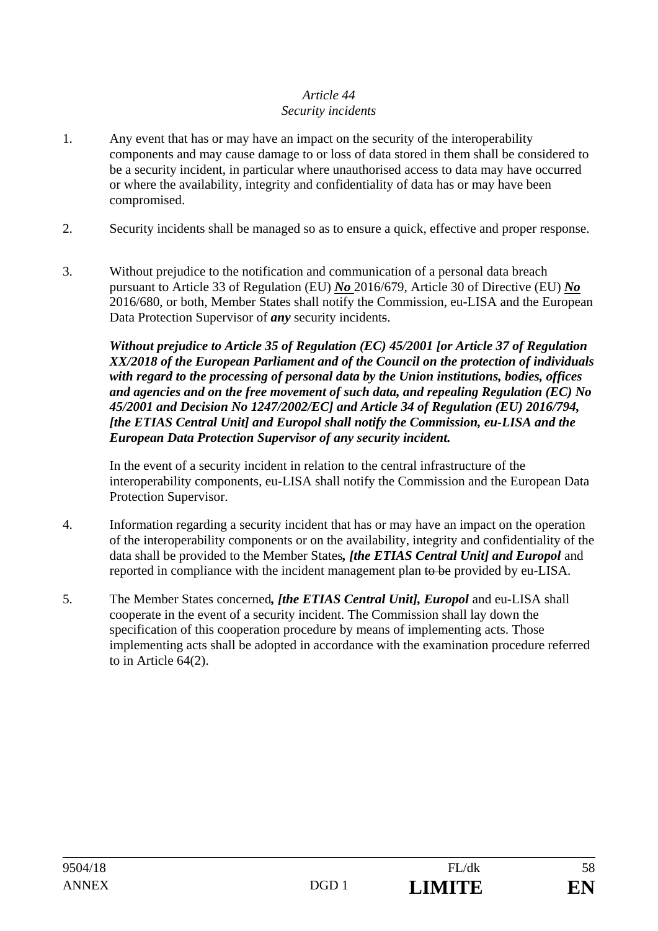## *Article 44 Security incidents*

- 1. Any event that has or may have an impact on the security of the interoperability components and may cause damage to or loss of data stored in them shall be considered to be a security incident, in particular where unauthorised access to data may have occurred or where the availability, integrity and confidentiality of data has or may have been compromised.
- 2. Security incidents shall be managed so as to ensure a quick, effective and proper response.
- 3. Without prejudice to the notification and communication of a personal data breach pursuant to Article 33 of Regulation (EU) *No* 2016/679, Article 30 of Directive (EU) *No*  2016/680, or both, Member States shall notify the Commission, eu-LISA and the European Data Protection Supervisor of *any* security incidents.

*Without prejudice to Article 35 of Regulation (EC) 45/2001 [or Article 37 of Regulation XX/2018 of the European Parliament and of the Council on the protection of individuals with regard to the processing of personal data by the Union institutions, bodies, offices and agencies and on the free movement of such data, and repealing Regulation (EC) No 45/2001 and Decision No 1247/2002/EC] and Article 34 of Regulation (EU) 2016/794, [the ETIAS Central Unit] and Europol shall notify the Commission, eu-LISA and the European Data Protection Supervisor of any security incident.*

 In the event of a security incident in relation to the central infrastructure of the interoperability components, eu-LISA shall notify the Commission and the European Data Protection Supervisor.

- 4. Information regarding a security incident that has or may have an impact on the operation of the interoperability components or on the availability, integrity and confidentiality of the data shall be provided to the Member States*, [the ETIAS Central Unit] and Europol* and reported in compliance with the incident management plan to be provided by eu-LISA.
- 5. The Member States concerned*, [the ETIAS Central Unit], Europol* and eu-LISA shall cooperate in the event of a security incident. The Commission shall lay down the specification of this cooperation procedure by means of implementing acts. Those implementing acts shall be adopted in accordance with the examination procedure referred to in Article 64(2).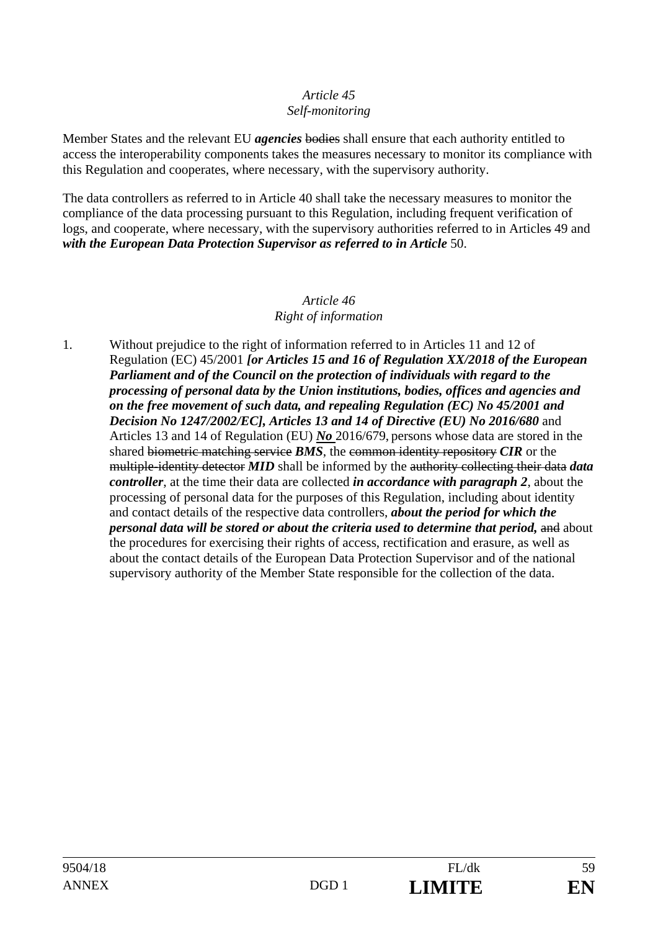### *Article 45 Self-monitoring*

Member States and the relevant EU *agencies* bodies shall ensure that each authority entitled to access the interoperability components takes the measures necessary to monitor its compliance with this Regulation and cooperates, where necessary, with the supervisory authority.

The data controllers as referred to in Article 40 shall take the necessary measures to monitor the compliance of the data processing pursuant to this Regulation, including frequent verification of logs, and cooperate, where necessary, with the supervisory authorities referred to in Articles 49 and *with the European Data Protection Supervisor as referred to in Article* 50.

#### *Article 46 Right of information*

1. Without prejudice to the right of information referred to in Articles 11 and 12 of Regulation (EC) 45/2001 *[or Articles 15 and 16 of Regulation XX/2018 of the European Parliament and of the Council on the protection of individuals with regard to the processing of personal data by the Union institutions, bodies, offices and agencies and on the free movement of such data, and repealing Regulation (EC) No 45/2001 and Decision No 1247/2002/EC], Articles 13 and 14 of Directive (EU) No 2016/680* and Articles 13 and 14 of Regulation (EU) *No* 2016/679, persons whose data are stored in the shared biometric matching service *BMS*, the common identity repository *CIR* or the multiple-identity detector *MID* shall be informed by the authority collecting their data *data controller*, at the time their data are collected *in accordance with paragraph 2*, about the processing of personal data for the purposes of this Regulation, including about identity and contact details of the respective data controllers, *about the period for which the personal data will be stored or about the criteria used to determine that period, and about* the procedures for exercising their rights of access, rectification and erasure, as well as about the contact details of the European Data Protection Supervisor and of the national supervisory authority of the Member State responsible for the collection of the data.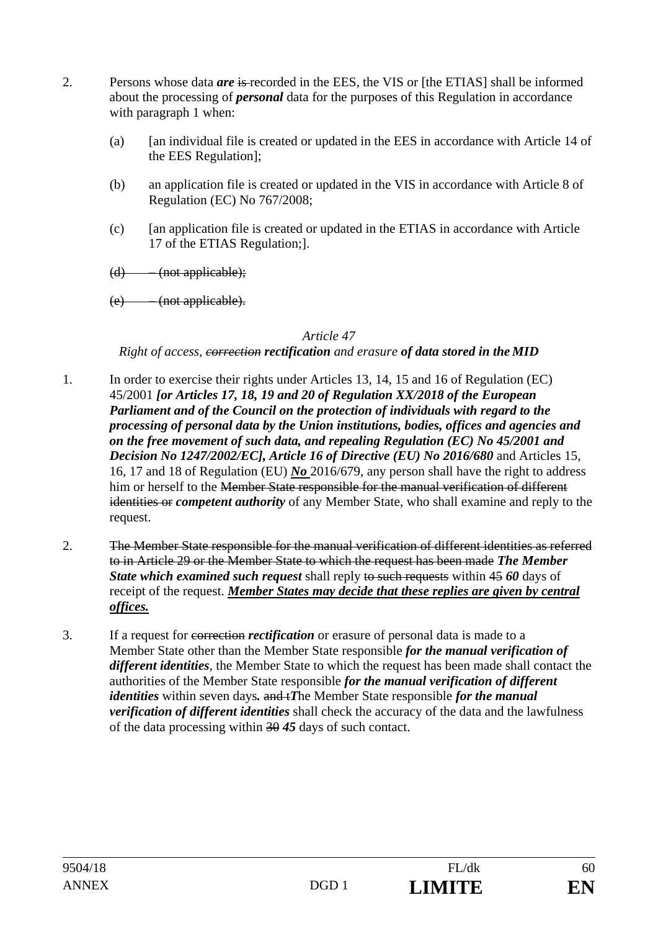- 2. Persons whose data *are* is recorded in the EES, the VIS or [the ETIAS] shall be informed about the processing of *personal* data for the purposes of this Regulation in accordance with paragraph 1 when:
	- (a) [an individual file is created or updated in the EES in accordance with Article 14 of the EES Regulation];
	- (b) an application file is created or updated in the VIS in accordance with Article 8 of Regulation (EC) No 767/2008;
	- (c) [an application file is created or updated in the ETIAS in accordance with Article 17 of the ETIAS Regulation;].
	- $(d)$  (not applicable);
	- (e) (not applicable).

#### *Right of access, correction rectification and erasure of data stored in the MID*

- 1. In order to exercise their rights under Articles 13, 14, 15 and 16 of Regulation (EC) 45/2001 *[or Articles 17, 18, 19 and 20 of Regulation XX/2018 of the European Parliament and of the Council on the protection of individuals with regard to the processing of personal data by the Union institutions, bodies, offices and agencies and on the free movement of such data, and repealing Regulation (EC) No 45/2001 and Decision No 1247/2002/EC], Article 16 of Directive (EU) No 2016/680 and Articles 15,* 16, 17 and 18 of Regulation (EU) *No* 2016/679, any person shall have the right to address him or herself to the Member State responsible for the manual verification of different identities or *competent authority* of any Member State, who shall examine and reply to the request.
- 2. The Member State responsible for the manual verification of different identities as referred to in Article 29 or the Member State to which the request has been made *The Member*  **State which examined such request** shall reply to such requests within 45 60 days of receipt of the request. *Member States may decide that these replies are given by central offices.*
- 3. If a request for correction *rectification* or erasure of personal data is made to a Member State other than the Member State responsible *for the manual verification of different identities*, the Member State to which the request has been made shall contact the authorities of the Member State responsible *for the manual verification of different identities* within seven days*.* and t*T*he Member State responsible *for the manual verification of different identities* shall check the accuracy of the data and the lawfulness of the data processing within 30 *45* days of such contact.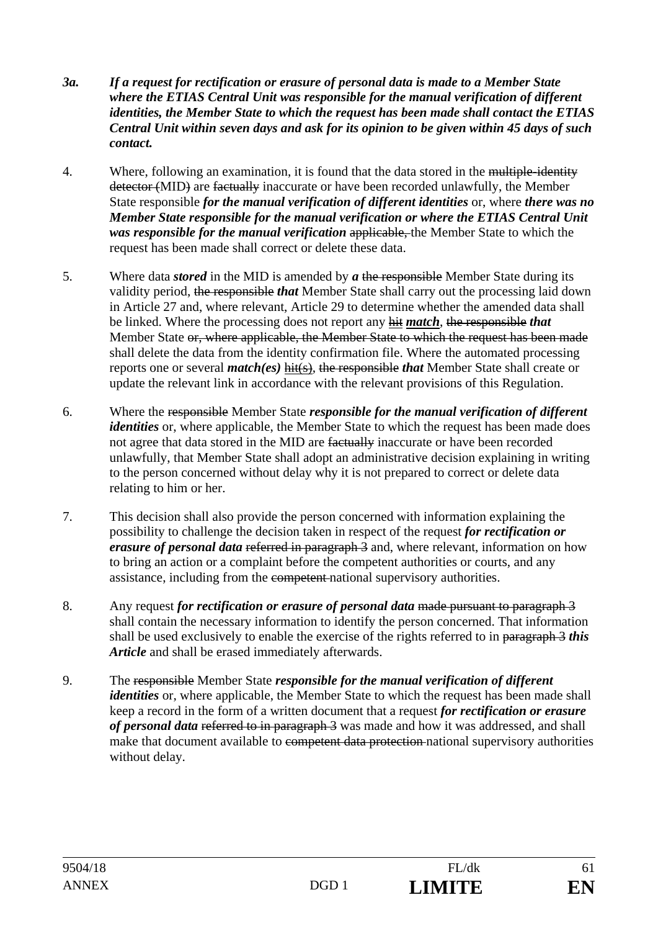- *3a. If a request for rectification or erasure of personal data is made to a Member State where the ETIAS Central Unit was responsible for the manual verification of different identities, the Member State to which the request has been made shall contact the ETIAS Central Unit within seven days and ask for its opinion to be given within 45 days of such contact.*
- 4. Where, following an examination, it is found that the data stored in the multiple-identity detector (MID) are factually inaccurate or have been recorded unlawfully, the Member State responsible *for the manual verification of different identities* or, where *there was no Member State responsible for the manual verification or where the ETIAS Central Unit was responsible for the manual verification* applicable, the Member State to which the request has been made shall correct or delete these data.
- 5. Where data *stored* in the MID is amended by *a* the responsible Member State during its validity period, the responsible *that* Member State shall carry out the processing laid down in Article 27 and, where relevant, Article 29 to determine whether the amended data shall be linked. Where the processing does not report any hit *match*, the responsible *that* Member State or, where applicable, the Member State to which the request has been made shall delete the data from the identity confirmation file. Where the automated processing reports one or several *match(es)* hit(s), the responsible *that* Member State shall create or update the relevant link in accordance with the relevant provisions of this Regulation.
- 6. Where the responsible Member State *responsible for the manual verification of different identities* or, where applicable, the Member State to which the request has been made does not agree that data stored in the MID are factually inaccurate or have been recorded unlawfully, that Member State shall adopt an administrative decision explaining in writing to the person concerned without delay why it is not prepared to correct or delete data relating to him or her.
- 7. This decision shall also provide the person concerned with information explaining the possibility to challenge the decision taken in respect of the request *for rectification or erasure of personal data* referred in paragraph 3 and, where relevant, information on how to bring an action or a complaint before the competent authorities or courts, and any assistance, including from the competent national supervisory authorities.
- 8. Any request *for rectification or erasure of personal data* made pursuant to paragraph 3 shall contain the necessary information to identify the person concerned. That information shall be used exclusively to enable the exercise of the rights referred to in paragraph 3 *this Article* and shall be erased immediately afterwards.
- 9. The responsible Member State *responsible for the manual verification of different identities* or, where applicable, the Member State to which the request has been made shall keep a record in the form of a written document that a request *for rectification or erasure of personal data* referred to in paragraph 3 was made and how it was addressed, and shall make that document available to competent data protection national supervisory authorities without delay.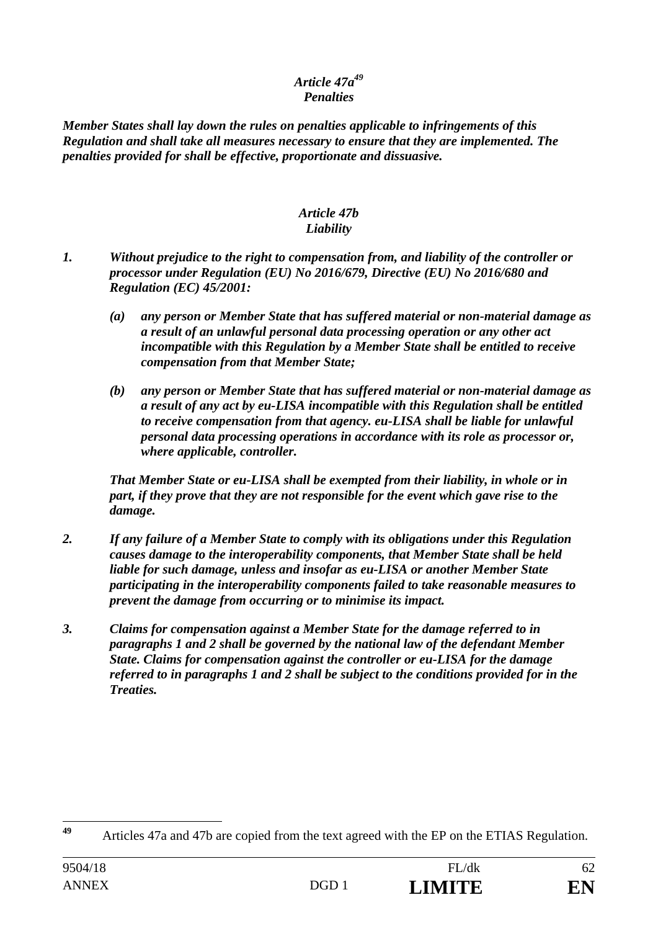## *Article 47a49 Penalties*

*Member States shall lay down the rules on penalties applicable to infringements of this Regulation and shall take all measures necessary to ensure that they are implemented. The penalties provided for shall be effective, proportionate and dissuasive.* 

#### *Article 47b Liability*

- *1. Without prejudice to the right to compensation from, and liability of the controller or processor under Regulation (EU) No 2016/679, Directive (EU) No 2016/680 and Regulation (EC) 45/2001:* 
	- *(a) any person or Member State that has suffered material or non-material damage as a result of an unlawful personal data processing operation or any other act incompatible with this Regulation by a Member State shall be entitled to receive compensation from that Member State;*
	- *(b) any person or Member State that has suffered material or non-material damage as a result of any act by eu-LISA incompatible with this Regulation shall be entitled to receive compensation from that agency. eu-LISA shall be liable for unlawful personal data processing operations in accordance with its role as processor or, where applicable, controller.*

*That Member State or eu-LISA shall be exempted from their liability, in whole or in part, if they prove that they are not responsible for the event which gave rise to the damage.* 

- *2. If any failure of a Member State to comply with its obligations under this Regulation causes damage to the interoperability components, that Member State shall be held liable for such damage, unless and insofar as eu-LISA or another Member State participating in the interoperability components failed to take reasonable measures to prevent the damage from occurring or to minimise its impact.*
- *3. Claims for compensation against a Member State for the damage referred to in paragraphs 1 and 2 shall be governed by the national law of the defendant Member State. Claims for compensation against the controller or eu-LISA for the damage referred to in paragraphs 1 and 2 shall be subject to the conditions provided for in the Treaties.*

 $49$ **<sup>49</sup>** Articles 47a and 47b are copied from the text agreed with the EP on the ETIAS Regulation.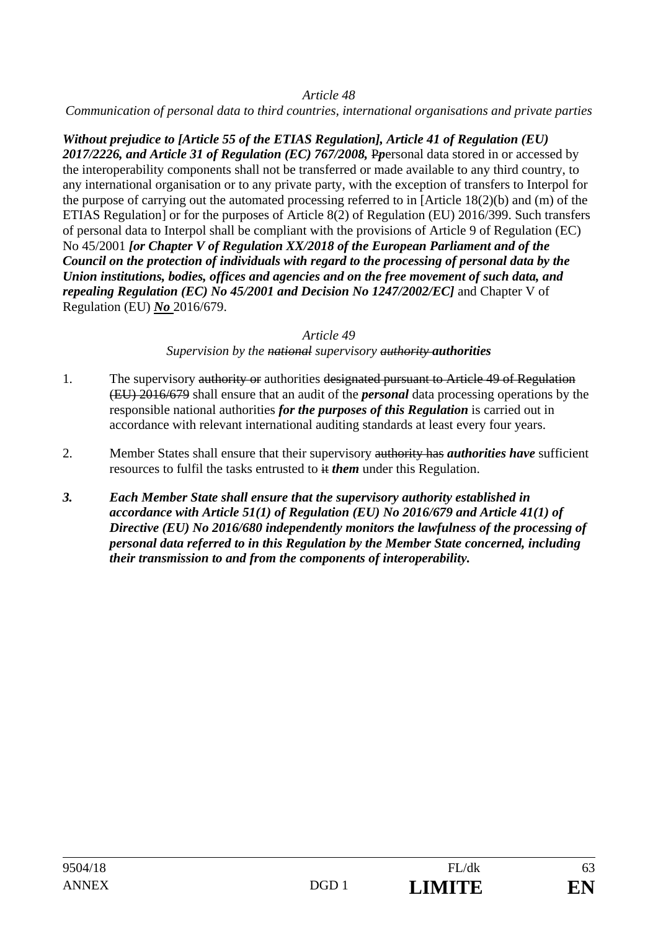*Communication of personal data to third countries, international organisations and private parties* 

*Without prejudice to [Article 55 of the ETIAS Regulation], Article 41 of Regulation (EU) 2017/2226, and Article 31 of Regulation (EC) 767/2008,* P*p*ersonal data stored in or accessed by the interoperability components shall not be transferred or made available to any third country, to any international organisation or to any private party, with the exception of transfers to Interpol for the purpose of carrying out the automated processing referred to in [Article 18(2)(b) and (m) of the ETIAS Regulation] or for the purposes of Article 8(2) of Regulation (EU) 2016/399. Such transfers of personal data to Interpol shall be compliant with the provisions of Article 9 of Regulation (EC) No 45/2001 *[or Chapter V of Regulation XX/2018 of the European Parliament and of the Council on the protection of individuals with regard to the processing of personal data by the Union institutions, bodies, offices and agencies and on the free movement of such data, and repealing Regulation (EC) No 45/2001 and Decision No 1247/2002/EC]* and Chapter V of Regulation (EU) *No* 2016/679.

#### *Article 49*

*Supervision by the national supervisory authority authorities*

- 1. The supervisory authority or authorities designated pursuant to Article 49 of Regulation (EU) 2016/679 shall ensure that an audit of the *personal* data processing operations by the responsible national authorities *for the purposes of this Regulation* is carried out in accordance with relevant international auditing standards at least every four years.
- 2. Member States shall ensure that their supervisory authority has *authorities have* sufficient resources to fulfil the tasks entrusted to it *them* under this Regulation.
- *3. Each Member State shall ensure that the supervisory authority established in accordance with Article 51(1) of Regulation (EU) No 2016/679 and Article 41(1) of Directive (EU) No 2016/680 independently monitors the lawfulness of the processing of personal data referred to in this Regulation by the Member State concerned, including their transmission to and from the components of interoperability.*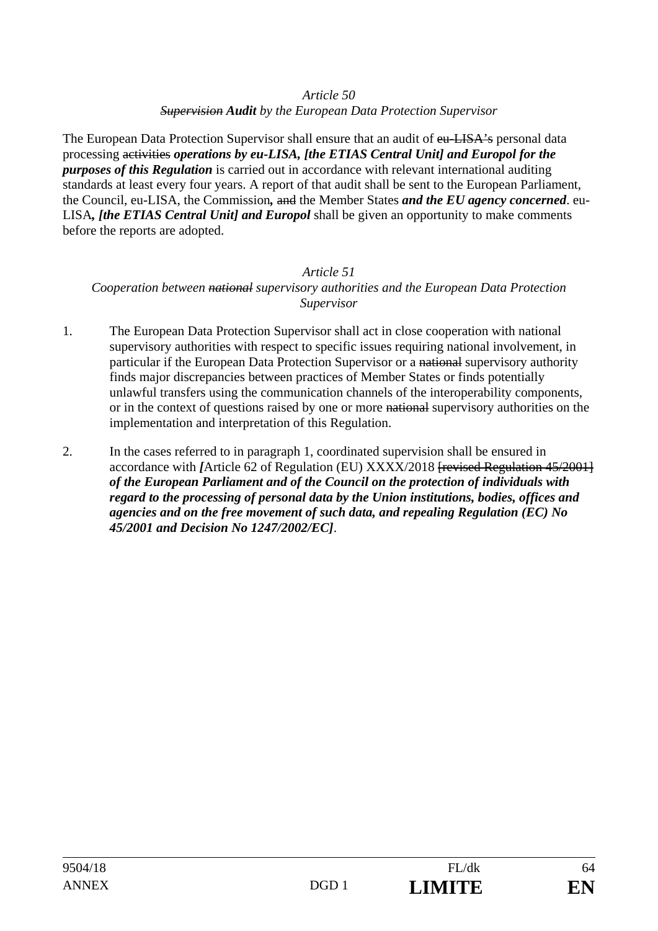*Supervision Audit by the European Data Protection Supervisor* 

The European Data Protection Supervisor shall ensure that an audit of eu-LISA's personal data processing activities *operations by eu-LISA, [the ETIAS Central Unit] and Europol for the purposes of this Regulation* is carried out in accordance with relevant international auditing standards at least every four years. A report of that audit shall be sent to the European Parliament, the Council, eu-LISA, the Commission*,* and the Member States *and the EU agency concerned*. eu-LISA*, [the ETIAS Central Unit] and Europol* shall be given an opportunity to make comments before the reports are adopted.

## *Article 51 Cooperation between national supervisory authorities and the European Data Protection Supervisor*

- 1. The European Data Protection Supervisor shall act in close cooperation with national supervisory authorities with respect to specific issues requiring national involvement, in particular if the European Data Protection Supervisor or a national supervisory authority finds major discrepancies between practices of Member States or finds potentially unlawful transfers using the communication channels of the interoperability components, or in the context of questions raised by one or more national supervisory authorities on the implementation and interpretation of this Regulation.
- 2. In the cases referred to in paragraph 1, coordinated supervision shall be ensured in accordance with *[Article 62 of Regulation (EU) XXXX/2018* [*revised Regulation 45/2001*] *of the European Parliament and of the Council on the protection of individuals with regard to the processing of personal data by the Union institutions, bodies, offices and agencies and on the free movement of such data, and repealing Regulation (EC) No 45/2001 and Decision No 1247/2002/EC]*.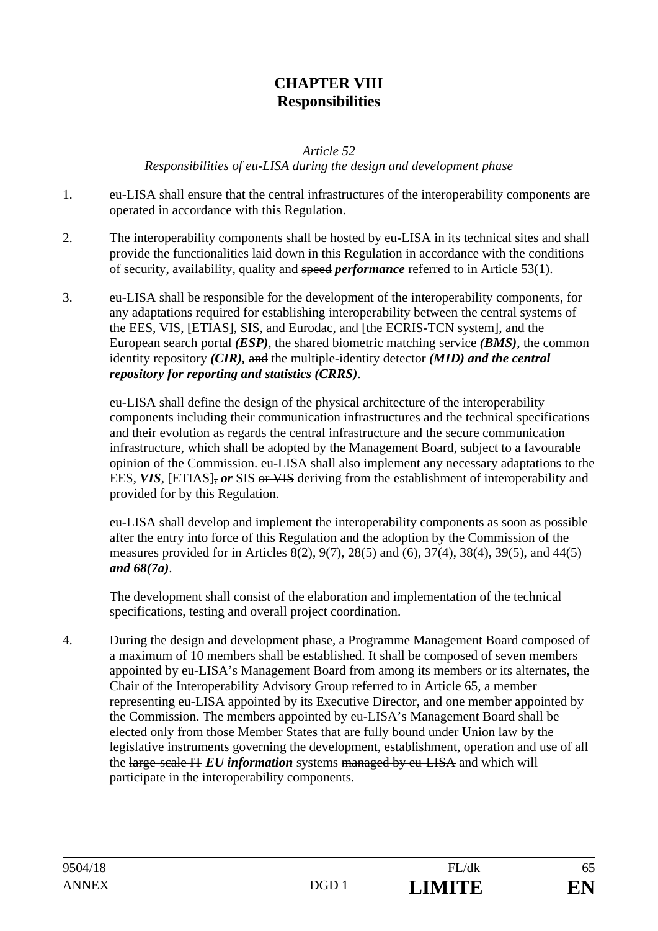## **CHAPTER VIII Responsibilities**

*Article 52* 

*Responsibilities of eu-LISA during the design and development phase* 

- 1. eu-LISA shall ensure that the central infrastructures of the interoperability components are operated in accordance with this Regulation.
- 2. The interoperability components shall be hosted by eu-LISA in its technical sites and shall provide the functionalities laid down in this Regulation in accordance with the conditions of security, availability, quality and speed *performance* referred to in Article 53(1).
- 3. eu-LISA shall be responsible for the development of the interoperability components, for any adaptations required for establishing interoperability between the central systems of the EES, VIS, [ETIAS], SIS, and Eurodac, and [the ECRIS-TCN system], and the European search portal *(ESP)*, the shared biometric matching service *(BMS)*, the common identity repository *(CIR),* and the multiple-identity detector *(MID) and the central repository for reporting and statistics (CRRS)*.

eu-LISA shall define the design of the physical architecture of the interoperability components including their communication infrastructures and the technical specifications and their evolution as regards the central infrastructure and the secure communication infrastructure, which shall be adopted by the Management Board, subject to a favourable opinion of the Commission. eu-LISA shall also implement any necessary adaptations to the EES, VIS, [ETIAS], or SIS or VIS deriving from the establishment of interoperability and provided for by this Regulation.

eu-LISA shall develop and implement the interoperability components as soon as possible after the entry into force of this Regulation and the adoption by the Commission of the measures provided for in Articles 8(2), 9(7), 28(5) and (6), 37(4), 38(4), 39(5), and 44(5) *and 68(7a)*.

The development shall consist of the elaboration and implementation of the technical specifications, testing and overall project coordination.

4. During the design and development phase, a Programme Management Board composed of a maximum of 10 members shall be established. It shall be composed of seven members appointed by eu-LISA's Management Board from among its members or its alternates, the Chair of the Interoperability Advisory Group referred to in Article 65, a member representing eu-LISA appointed by its Executive Director, and one member appointed by the Commission. The members appointed by eu-LISA's Management Board shall be elected only from those Member States that are fully bound under Union law by the legislative instruments governing the development, establishment, operation and use of all the large-scale IT *EU information* systems managed by eu-LISA and which will participate in the interoperability components.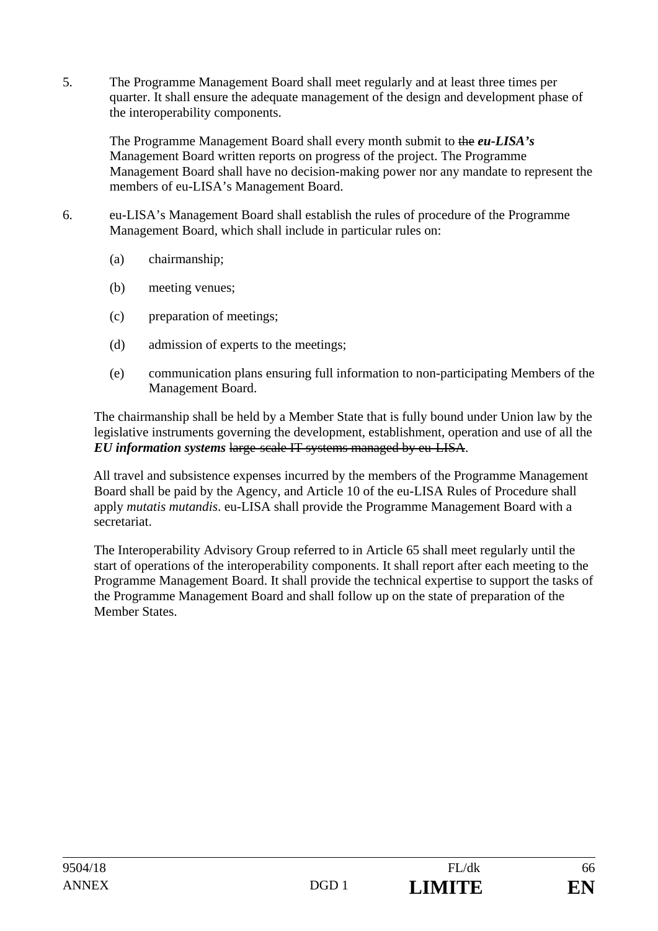5. The Programme Management Board shall meet regularly and at least three times per quarter. It shall ensure the adequate management of the design and development phase of the interoperability components.

The Programme Management Board shall every month submit to the *eu-LISA's* Management Board written reports on progress of the project. The Programme Management Board shall have no decision-making power nor any mandate to represent the members of eu-LISA's Management Board.

- 6. eu-LISA's Management Board shall establish the rules of procedure of the Programme Management Board, which shall include in particular rules on:
	- (a) chairmanship;
	- (b) meeting venues;
	- (c) preparation of meetings;
	- (d) admission of experts to the meetings;
	- (e) communication plans ensuring full information to non-participating Members of the Management Board.

The chairmanship shall be held by a Member State that is fully bound under Union law by the legislative instruments governing the development, establishment, operation and use of all the *EU information systems* large-scale IT systems managed by eu-LISA.

All travel and subsistence expenses incurred by the members of the Programme Management Board shall be paid by the Agency, and Article 10 of the eu-LISA Rules of Procedure shall apply *mutatis mutandis*. eu-LISA shall provide the Programme Management Board with a secretariat.

The Interoperability Advisory Group referred to in Article 65 shall meet regularly until the start of operations of the interoperability components. It shall report after each meeting to the Programme Management Board. It shall provide the technical expertise to support the tasks of the Programme Management Board and shall follow up on the state of preparation of the Member States.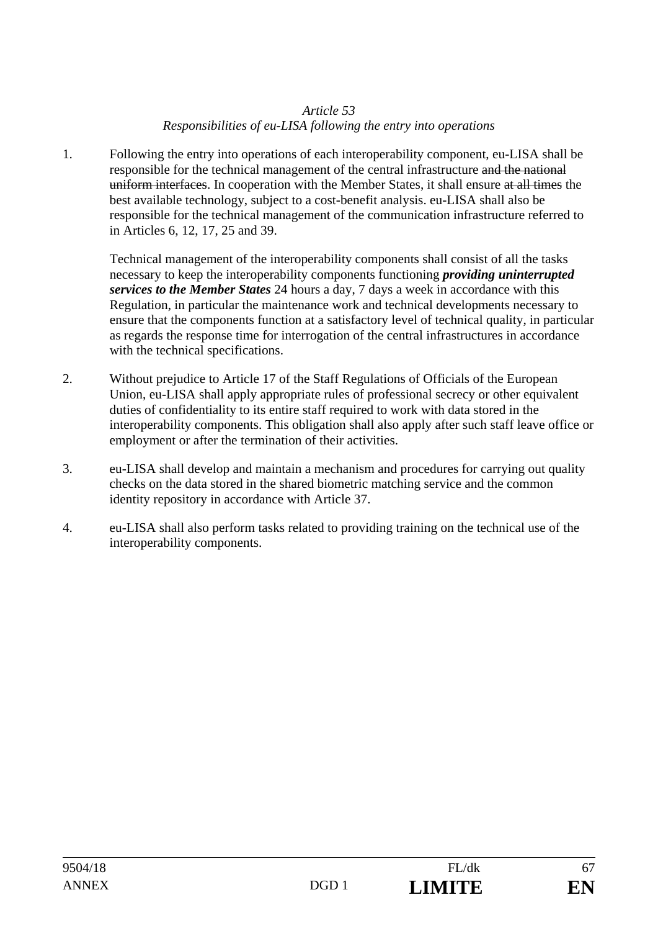## *Article 53 Responsibilities of eu-LISA following the entry into operations*

1. Following the entry into operations of each interoperability component, eu-LISA shall be responsible for the technical management of the central infrastructure and the national uniform interfaces. In cooperation with the Member States, it shall ensure at all times the best available technology, subject to a cost-benefit analysis. eu-LISA shall also be responsible for the technical management of the communication infrastructure referred to in Articles 6, 12, 17, 25 and 39.

Technical management of the interoperability components shall consist of all the tasks necessary to keep the interoperability components functioning *providing uninterrupted services to the Member States* 24 hours a day, 7 days a week in accordance with this Regulation, in particular the maintenance work and technical developments necessary to ensure that the components function at a satisfactory level of technical quality, in particular as regards the response time for interrogation of the central infrastructures in accordance with the technical specifications.

- 2. Without prejudice to Article 17 of the Staff Regulations of Officials of the European Union, eu-LISA shall apply appropriate rules of professional secrecy or other equivalent duties of confidentiality to its entire staff required to work with data stored in the interoperability components. This obligation shall also apply after such staff leave office or employment or after the termination of their activities.
- 3. eu-LISA shall develop and maintain a mechanism and procedures for carrying out quality checks on the data stored in the shared biometric matching service and the common identity repository in accordance with Article 37.
- 4. eu-LISA shall also perform tasks related to providing training on the technical use of the interoperability components.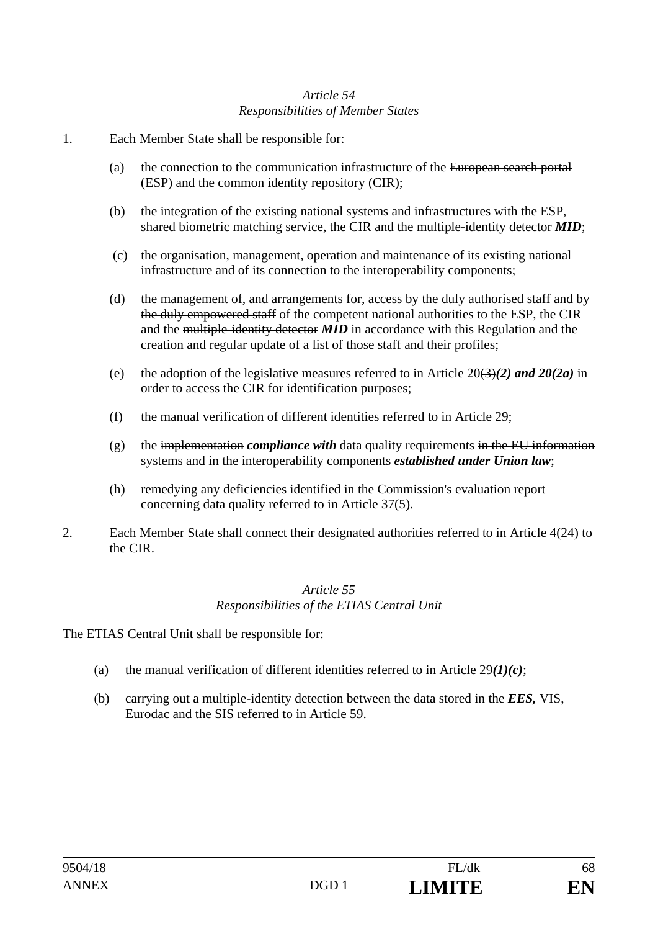## *Article 54 Responsibilities of Member States*

- 1. Each Member State shall be responsible for:
	- (a) the connection to the communication infrastructure of the European search portal (ESP) and the common identity repository (CIR);
	- (b) the integration of the existing national systems and infrastructures with the ESP, shared biometric matching service, the CIR and the multiple-identity detector *MID*;
	- (c) the organisation, management, operation and maintenance of its existing national infrastructure and of its connection to the interoperability components;
	- (d) the management of, and arrangements for, access by the duly authorised staff and by the duly empowered staff of the competent national authorities to the ESP, the CIR and the multiple-identity detector *MID* in accordance with this Regulation and the creation and regular update of a list of those staff and their profiles;
	- (e) the adoption of the legislative measures referred to in Article  $20(3)(2)$  and  $20(2a)$  in order to access the CIR for identification purposes;
	- (f) the manual verification of different identities referred to in Article 29;
	- $(g)$  the implementation *compliance with* data quality requirements in the EU information systems and in the interoperability components *established under Union law*;
	- (h) remedying any deficiencies identified in the Commission's evaluation report concerning data quality referred to in Article 37(5).
- 2. Each Member State shall connect their designated authorities referred to in Article 4(24) to the CIR.

### *Article 55 Responsibilities of the ETIAS Central Unit*

The ETIAS Central Unit shall be responsible for:

- (a) the manual verification of different identities referred to in Article 29*(1)(c)*;
- (b) carrying out a multiple-identity detection between the data stored in the *EES,* VIS, Eurodac and the SIS referred to in Article 59.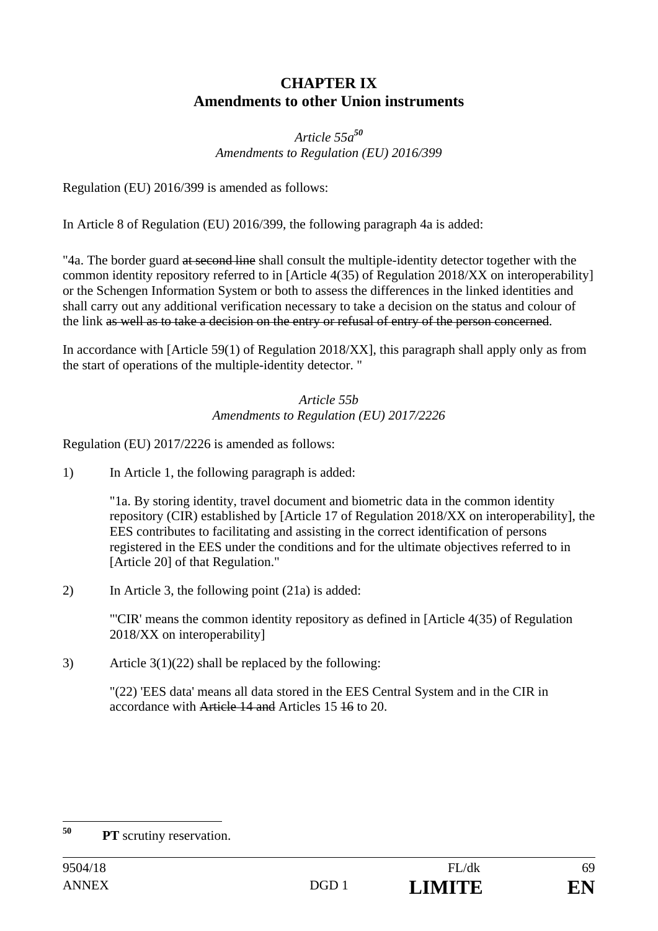## **CHAPTER IX Amendments to other Union instruments**

## *Article 55a<sup>50</sup> Amendments to Regulation (EU) 2016/399*

Regulation (EU) 2016/399 is amended as follows:

In Article 8 of Regulation (EU) 2016/399, the following paragraph 4a is added:

"4a. The border guard at second line shall consult the multiple-identity detector together with the common identity repository referred to in [Article 4(35) of Regulation 2018/XX on interoperability] or the Schengen Information System or both to assess the differences in the linked identities and shall carry out any additional verification necessary to take a decision on the status and colour of the link as well as to take a decision on the entry or refusal of entry of the person concerned.

In accordance with [Article 59(1) of Regulation 2018/XX], this paragraph shall apply only as from the start of operations of the multiple-identity detector. "

## *Article 55b Amendments to Regulation (EU) 2017/2226*

Regulation (EU) 2017/2226 is amended as follows:

1) In Article 1, the following paragraph is added:

 "1a. By storing identity, travel document and biometric data in the common identity repository (CIR) established by [Article 17 of Regulation 2018/XX on interoperability], the EES contributes to facilitating and assisting in the correct identification of persons registered in the EES under the conditions and for the ultimate objectives referred to in [Article 20] of that Regulation."

2) In Article 3, the following point (21a) is added:

 "'CIR' means the common identity repository as defined in [Article 4(35) of Regulation 2018/XX on interoperability]

3) Article  $3(1)(22)$  shall be replaced by the following:

"(22) 'EES data' means all data stored in the EES Central System and in the CIR in accordance with Article 14 and Articles 15 16 to 20.

<sup>50</sup> **PT** scrutiny reservation.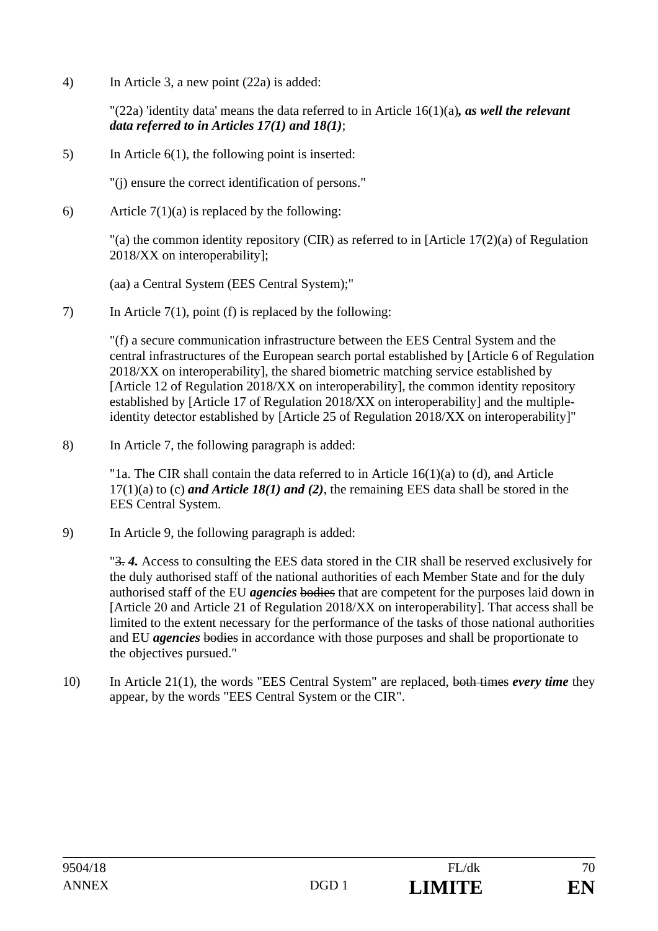4) In Article 3, a new point (22a) is added:

"(22a) 'identity data' means the data referred to in Article 16(1)(a)*, as well the relevant data referred to in Articles 17(1) and 18(1)*;

5) In Article 6(1), the following point is inserted:

"(j) ensure the correct identification of persons."

6) Article  $7(1)(a)$  is replaced by the following:

 "(a) the common identity repository (CIR) as referred to in [Article 17(2)(a) of Regulation 2018/XX on interoperability];

(aa) a Central System (EES Central System);"

7) In Article 7(1), point (f) is replaced by the following:

"(f) a secure communication infrastructure between the EES Central System and the central infrastructures of the European search portal established by [Article 6 of Regulation 2018/XX on interoperability], the shared biometric matching service established by [Article 12 of Regulation 2018/XX on interoperability], the common identity repository established by [Article 17 of Regulation 2018/XX on interoperability] and the multipleidentity detector established by [Article 25 of Regulation 2018/XX on interoperability]"

8) In Article 7, the following paragraph is added:

"1a. The CIR shall contain the data referred to in Article  $16(1)(a)$  to (d), and Article 17(1)(a) to (c) *and Article 18(1) and (2)*, the remaining EES data shall be stored in the EES Central System.

9) In Article 9, the following paragraph is added:

"3. *4.* Access to consulting the EES data stored in the CIR shall be reserved exclusively for the duly authorised staff of the national authorities of each Member State and for the duly authorised staff of the EU *agencies* bodies that are competent for the purposes laid down in [Article 20 and Article 21 of Regulation 2018/XX on interoperability]. That access shall be limited to the extent necessary for the performance of the tasks of those national authorities and EU *agencies* bodies in accordance with those purposes and shall be proportionate to the objectives pursued."

10) In Article 21(1), the words "EES Central System" are replaced, both times *every time* they appear, by the words "EES Central System or the CIR".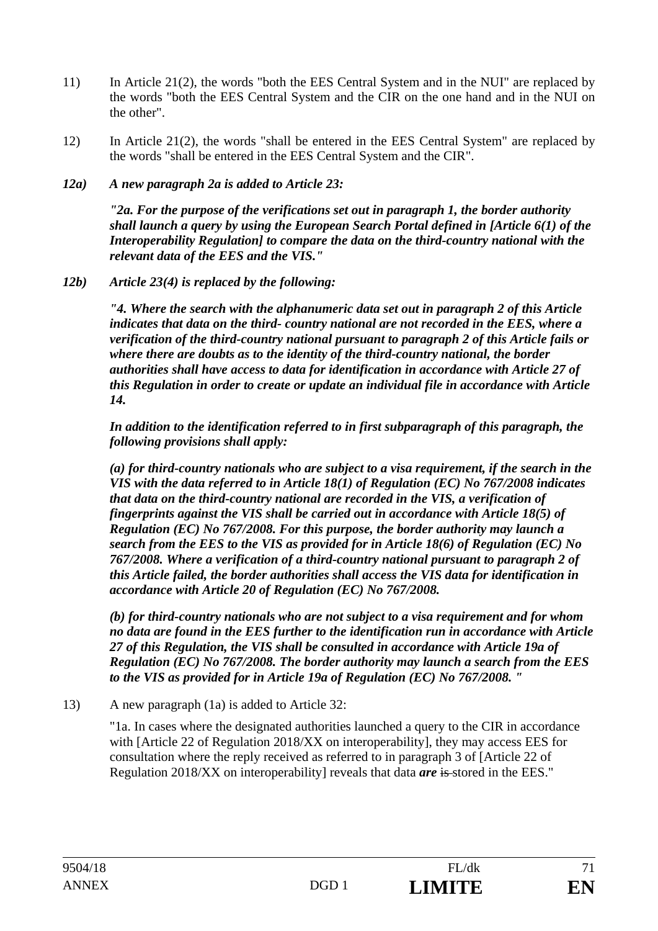- 11) In Article 21(2), the words "both the EES Central System and in the NUI" are replaced by the words "both the EES Central System and the CIR on the one hand and in the NUI on the other".
- 12) In Article 21(2), the words "shall be entered in the EES Central System" are replaced by the words "shall be entered in the EES Central System and the CIR".
- *12a) A new paragraph 2a is added to Article 23:*

 *"2a. For the purpose of the verifications set out in paragraph 1, the border authority shall launch a query by using the European Search Portal defined in [Article 6(1) of the Interoperability Regulation] to compare the data on the third-country national with the relevant data of the EES and the VIS."* 

*12b) Article 23(4) is replaced by the following:* 

*"4. Where the search with the alphanumeric data set out in paragraph 2 of this Article indicates that data on the third- country national are not recorded in the EES, where a verification of the third-country national pursuant to paragraph 2 of this Article fails or where there are doubts as to the identity of the third-country national, the border authorities shall have access to data for identification in accordance with Article 27 of this Regulation in order to create or update an individual file in accordance with Article 14.* 

*In addition to the identification referred to in first subparagraph of this paragraph, the following provisions shall apply:* 

*(a) for third-country nationals who are subject to a visa requirement, if the search in the VIS with the data referred to in Article 18(1) of Regulation (EC) No 767/2008 indicates that data on the third-country national are recorded in the VIS, a verification of fingerprints against the VIS shall be carried out in accordance with Article 18(5) of Regulation (EC) No 767/2008. For this purpose, the border authority may launch a search from the EES to the VIS as provided for in Article 18(6) of Regulation (EC) No 767/2008. Where a verification of a third-country national pursuant to paragraph 2 of this Article failed, the border authorities shall access the VIS data for identification in accordance with Article 20 of Regulation (EC) No 767/2008.* 

*(b) for third-country nationals who are not subject to a visa requirement and for whom no data are found in the EES further to the identification run in accordance with Article 27 of this Regulation, the VIS shall be consulted in accordance with Article 19a of Regulation (EC) No 767/2008. The border authority may launch a search from the EES to the VIS as provided for in Article 19a of Regulation (EC) No 767/2008. "* 

13) A new paragraph (1a) is added to Article 32:

"1a. In cases where the designated authorities launched a query to the CIR in accordance with [Article 22 of Regulation 2018/XX on interoperability], they may access EES for consultation where the reply received as referred to in paragraph 3 of [Article 22 of Regulation 2018/XX on interoperability] reveals that data *are* is stored in the EES."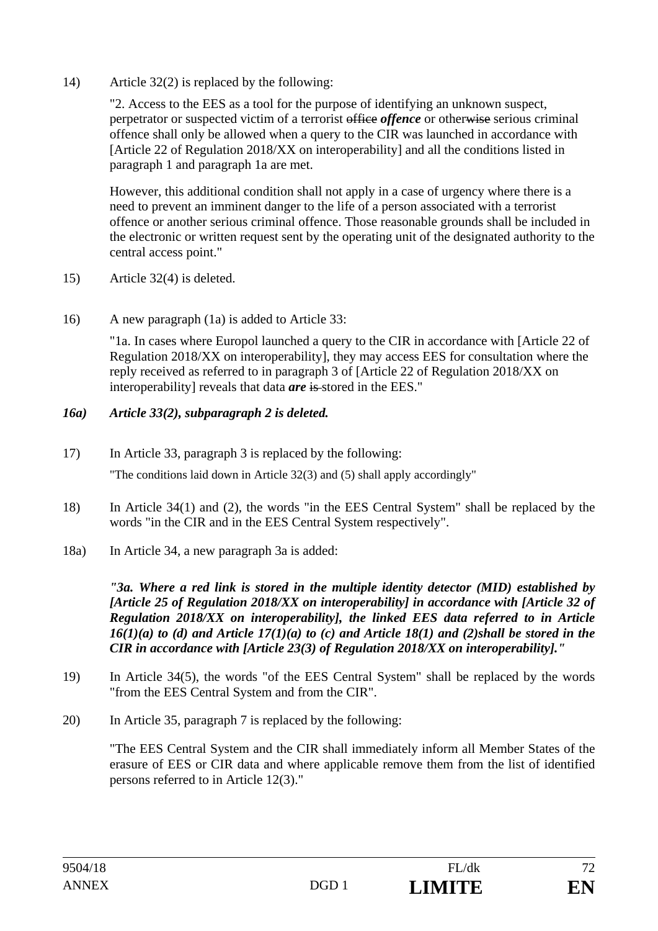14) Article 32(2) is replaced by the following:

"2. Access to the EES as a tool for the purpose of identifying an unknown suspect, perpetrator or suspected victim of a terrorist office *offence* or otherwise serious criminal offence shall only be allowed when a query to the CIR was launched in accordance with [Article 22 of Regulation 2018/XX on interoperability] and all the conditions listed in paragraph 1 and paragraph 1a are met.

However, this additional condition shall not apply in a case of urgency where there is a need to prevent an imminent danger to the life of a person associated with a terrorist offence or another serious criminal offence. Those reasonable grounds shall be included in the electronic or written request sent by the operating unit of the designated authority to the central access point."

- 15) Article 32(4) is deleted.
- 16) A new paragraph (1a) is added to Article 33:

"1a. In cases where Europol launched a query to the CIR in accordance with [Article 22 of Regulation 2018/XX on interoperability], they may access EES for consultation where the reply received as referred to in paragraph 3 of [Article 22 of Regulation 2018/XX on interoperability] reveals that data *are* is stored in the EES."

### *16a) Article 33(2), subparagraph 2 is deleted.*

- 17) In Article 33, paragraph 3 is replaced by the following: "The conditions laid down in Article 32(3) and (5) shall apply accordingly"
- 18) In Article 34(1) and (2), the words "in the EES Central System" shall be replaced by the words "in the CIR and in the EES Central System respectively".
- 18a) In Article 34, a new paragraph 3a is added:

*"3a. Where a red link is stored in the multiple identity detector (MID) established by [Article 25 of Regulation 2018/XX on interoperability] in accordance with [Article 32 of Regulation 2018/XX on interoperability], the linked EES data referred to in Article*   $16(1)(a)$  to (d) and Article  $17(1)(a)$  to (c) and Article 18(1) and (2)shall be stored in the *CIR in accordance with [Article 23(3) of Regulation 2018/XX on interoperability]."* 

- 19) In Article 34(5), the words "of the EES Central System" shall be replaced by the words "from the EES Central System and from the CIR".
- 20) In Article 35, paragraph 7 is replaced by the following:

 "The EES Central System and the CIR shall immediately inform all Member States of the erasure of EES or CIR data and where applicable remove them from the list of identified persons referred to in Article 12(3)."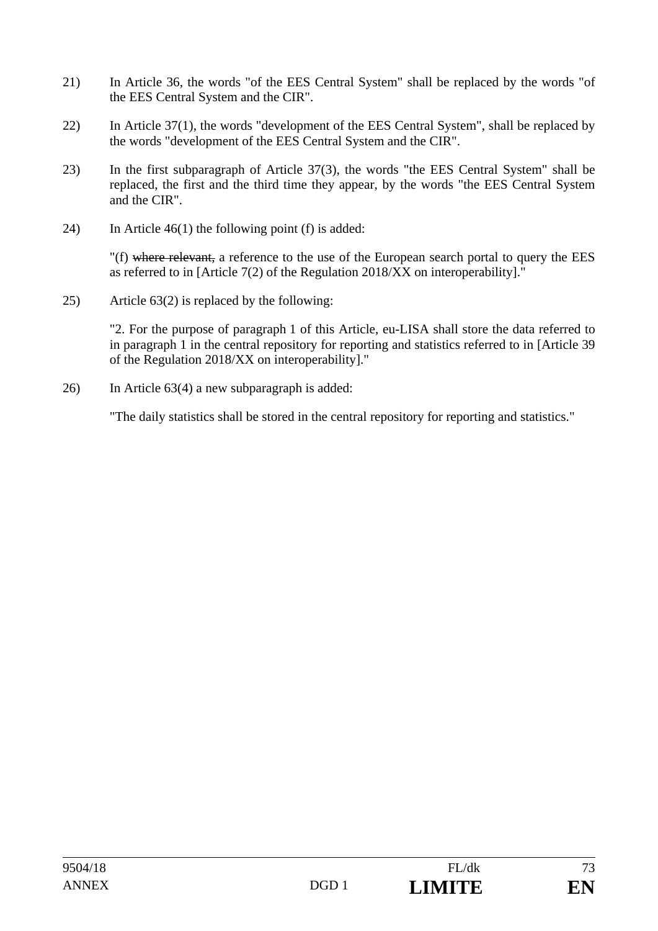- 21) In Article 36, the words "of the EES Central System" shall be replaced by the words "of the EES Central System and the CIR".
- 22) In Article 37(1), the words "development of the EES Central System", shall be replaced by the words "development of the EES Central System and the CIR".
- 23) In the first subparagraph of Article 37(3), the words "the EES Central System" shall be replaced, the first and the third time they appear, by the words "the EES Central System and the CIR".
- 24) In Article 46(1) the following point (f) is added:

"(f) where relevant, a reference to the use of the European search portal to query the EES as referred to in [Article 7(2) of the Regulation 2018/XX on interoperability]."

25) Article 63(2) is replaced by the following:

"2. For the purpose of paragraph 1 of this Article, eu-LISA shall store the data referred to in paragraph 1 in the central repository for reporting and statistics referred to in [Article 39 of the Regulation 2018/XX on interoperability]."

26) In Article 63(4) a new subparagraph is added:

"The daily statistics shall be stored in the central repository for reporting and statistics."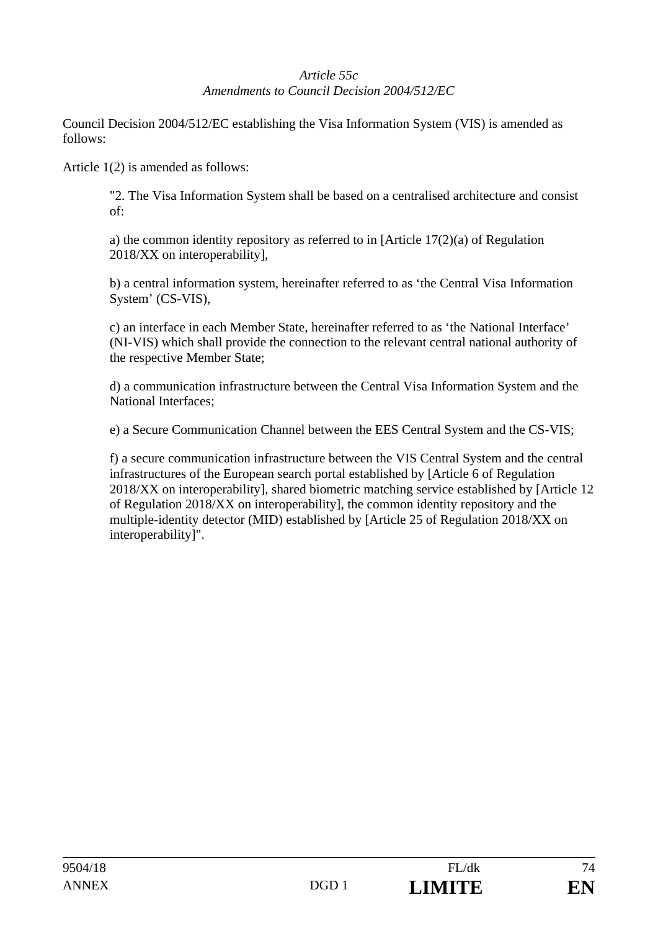# *Article 55c Amendments to Council Decision 2004/512/EC*

Council Decision 2004/512/EC establishing the Visa Information System (VIS) is amended as follows:

Article 1(2) is amended as follows:

"2. The Visa Information System shall be based on a centralised architecture and consist of:

a) the common identity repository as referred to in [Article 17(2)(a) of Regulation 2018/XX on interoperability],

b) a central information system, hereinafter referred to as 'the Central Visa Information System' (CS-VIS),

c) an interface in each Member State, hereinafter referred to as 'the National Interface' (NI-VIS) which shall provide the connection to the relevant central national authority of the respective Member State;

d) a communication infrastructure between the Central Visa Information System and the National Interfaces;

e) a Secure Communication Channel between the EES Central System and the CS-VIS;

f) a secure communication infrastructure between the VIS Central System and the central infrastructures of the European search portal established by [Article 6 of Regulation 2018/XX on interoperability], shared biometric matching service established by [Article 12 of Regulation 2018/XX on interoperability], the common identity repository and the multiple-identity detector (MID) established by [Article 25 of Regulation 2018/XX on interoperability]".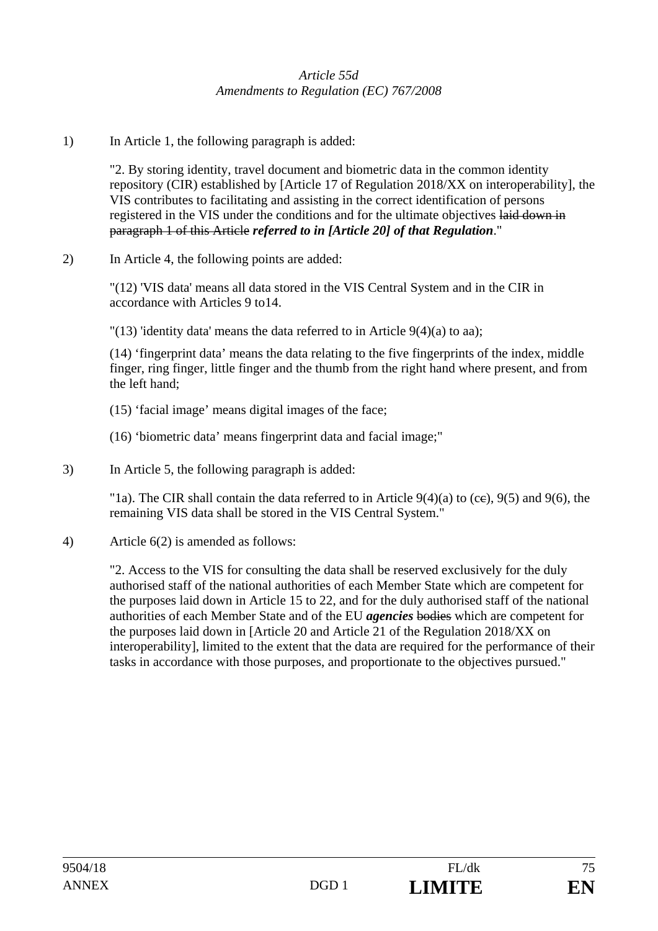### *Article 55d Amendments to Regulation (EC) 767/2008*

1) In Article 1, the following paragraph is added:

"2. By storing identity, travel document and biometric data in the common identity repository (CIR) established by [Article 17 of Regulation 2018/XX on interoperability], the VIS contributes to facilitating and assisting in the correct identification of persons registered in the VIS under the conditions and for the ultimate objectives laid down in paragraph 1 of this Article *referred to in [Article 20] of that Regulation*."

2) In Article 4, the following points are added:

"(12) 'VIS data' means all data stored in the VIS Central System and in the CIR in accordance with Articles 9 to14.

"(13) 'identity data' means the data referred to in Article  $9(4)(a)$  to aa);

(14) 'fingerprint data' means the data relating to the five fingerprints of the index, middle finger, ring finger, little finger and the thumb from the right hand where present, and from the left hand;

- (15) 'facial image' means digital images of the face;
- (16) 'biometric data' means fingerprint data and facial image;"
- 3) In Article 5, the following paragraph is added:

"1a). The CIR shall contain the data referred to in Article  $9(4)(a)$  to (ce),  $9(5)$  and  $9(6)$ , the remaining VIS data shall be stored in the VIS Central System."

4) Article 6(2) is amended as follows:

"2. Access to the VIS for consulting the data shall be reserved exclusively for the duly authorised staff of the national authorities of each Member State which are competent for the purposes laid down in Article 15 to 22, and for the duly authorised staff of the national authorities of each Member State and of the EU *agencies* bodies which are competent for the purposes laid down in [Article 20 and Article 21 of the Regulation 2018/XX on interoperability], limited to the extent that the data are required for the performance of their tasks in accordance with those purposes, and proportionate to the objectives pursued."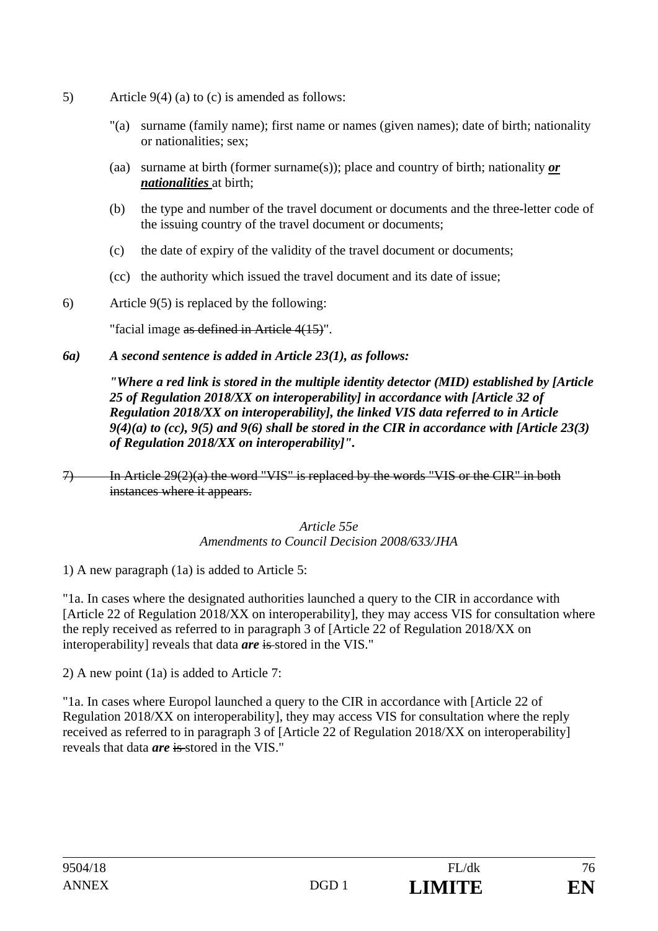- 5) Article 9(4) (a) to (c) is amended as follows:
	- "(a) surname (family name); first name or names (given names); date of birth; nationality or nationalities; sex;
	- (aa) surname at birth (former surname(s)); place and country of birth; nationality *or nationalities* at birth;
	- (b) the type and number of the travel document or documents and the three-letter code of the issuing country of the travel document or documents;
	- (c) the date of expiry of the validity of the travel document or documents;
	- (cc) the authority which issued the travel document and its date of issue;
- 6) Article 9(5) is replaced by the following:

"facial image as defined in Article 4(15)".

## *6a) A second sentence is added in Article 23(1), as follows:*

*"Where a red link is stored in the multiple identity detector (MID) established by [Article 25 of Regulation 2018/XX on interoperability] in accordance with [Article 32 of Regulation 2018/XX on interoperability], the linked VIS data referred to in Article 9(4)(a) to (cc), 9(5) and 9(6) shall be stored in the CIR in accordance with [Article 23(3) of Regulation 2018/XX on interoperability]".* 

7) In Article 29(2)(a) the word "VIS" is replaced by the words "VIS or the CIR" in both instances where it appears.

#### *Article 55e Amendments to Council Decision 2008/633/JHA*

1) A new paragraph (1a) is added to Article 5:

"1a. In cases where the designated authorities launched a query to the CIR in accordance with [Article 22 of Regulation 2018/XX on interoperability], they may access VIS for consultation where the reply received as referred to in paragraph 3 of [Article 22 of Regulation 2018/XX on interoperability] reveals that data *are* is stored in the VIS."

2) A new point (1a) is added to Article 7:

"1a. In cases where Europol launched a query to the CIR in accordance with [Article 22 of Regulation 2018/XX on interoperability], they may access VIS for consultation where the reply received as referred to in paragraph 3 of [Article 22 of Regulation 2018/XX on interoperability] reveals that data *are* is stored in the VIS."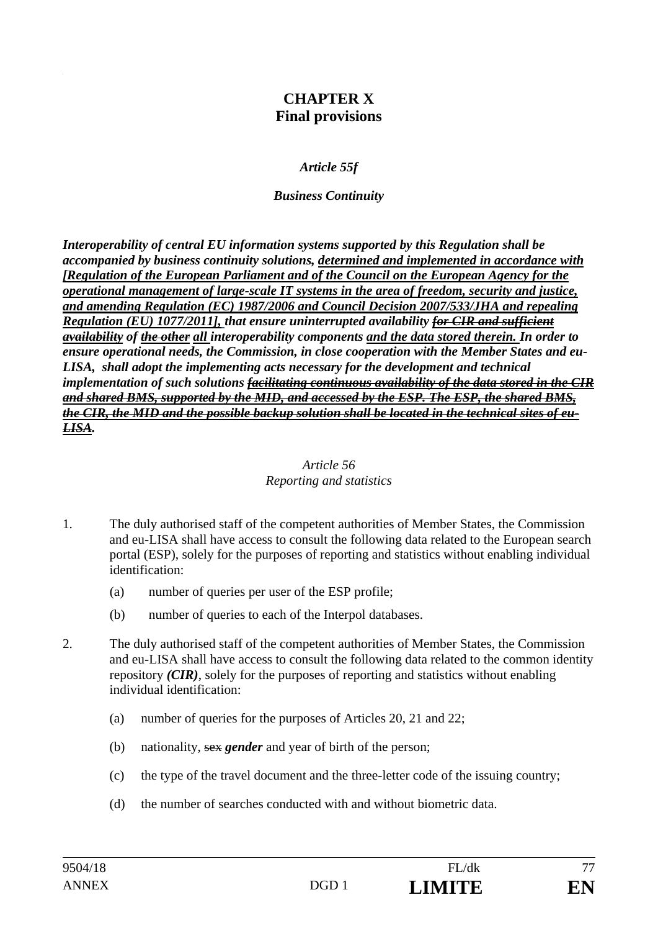# **CHAPTER X Final provisions**

#### *Article 55f*

#### *Business Continuity*

*Interoperability of central EU information systems supported by this Regulation shall be accompanied by business continuity solutions, determined and implemented in accordance with [Regulation of the European Parliament and of the Council on the European Agency for the operational management of large-scale IT systems in the area of freedom, security and justice, and amending Regulation (EC) 1987/2006 and Council Decision 2007/533/JHA and repealing Regulation (EU) 1077/2011], that ensure uninterrupted availability for CIR and sufficient availability of the other all interoperability components and the data stored therein. In order to ensure operational needs, the Commission, in close cooperation with the Member States and eu-LISA, shall adopt the implementing acts necessary for the development and technical implementation of such solutions facilitating continuous availability of the data stored in the CIR and shared BMS, supported by the MID, and accessed by the ESP. The ESP, the shared BMS, the CIR, the MID and the possible backup solution shall be located in the technical sites of eu-LISA.* 

#### *Article 56 Reporting and statistics*

- 1. The duly authorised staff of the competent authorities of Member States, the Commission and eu-LISA shall have access to consult the following data related to the European search portal (ESP), solely for the purposes of reporting and statistics without enabling individual identification:
	- (a) number of queries per user of the ESP profile;
	- (b) number of queries to each of the Interpol databases.
- 2. The duly authorised staff of the competent authorities of Member States, the Commission and eu-LISA shall have access to consult the following data related to the common identity repository *(CIR)*, solely for the purposes of reporting and statistics without enabling individual identification:
	- (a) number of queries for the purposes of Articles 20, 21 and 22;
	- (b) nationality, sex *gender* and year of birth of the person;
	- (c) the type of the travel document and the three-letter code of the issuing country;
	- (d) the number of searches conducted with and without biometric data.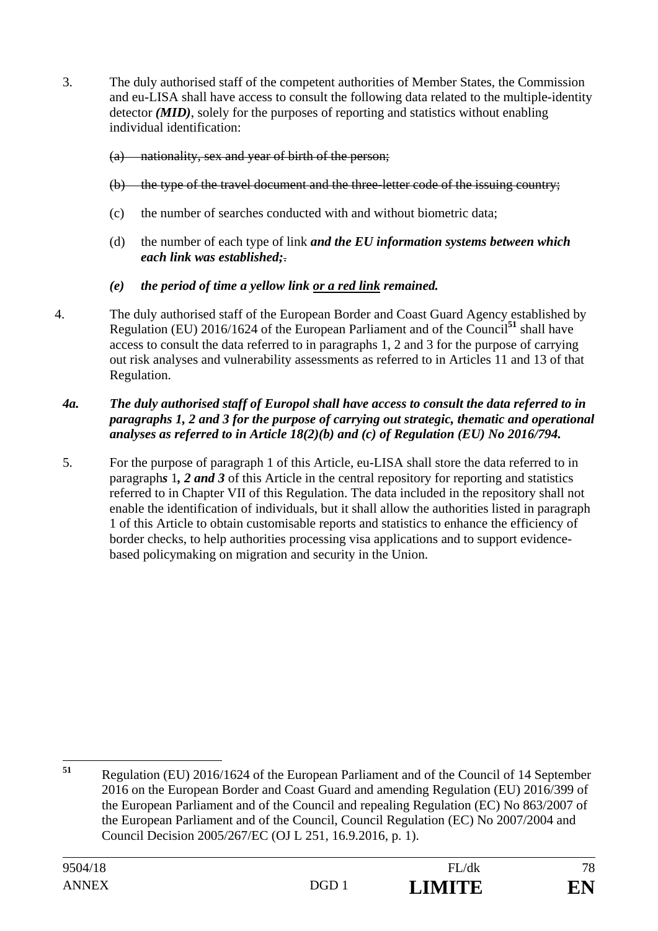3. The duly authorised staff of the competent authorities of Member States, the Commission and eu-LISA shall have access to consult the following data related to the multiple-identity detector *(MID)*, solely for the purposes of reporting and statistics without enabling individual identification:

#### (a) nationality, sex and year of birth of the person;

- (b) the type of the travel document and the three-letter code of the issuing country;
- (c) the number of searches conducted with and without biometric data;
- (d) the number of each type of link *and the EU information systems between which each link was established;*.

### *(e) the period of time a yellow link or a red link remained.*

4. The duly authorised staff of the European Border and Coast Guard Agency established by Regulation (EU) 2016/1624 of the European Parliament and of the Council**<sup>51</sup>** shall have access to consult the data referred to in paragraphs 1, 2 and 3 for the purpose of carrying out risk analyses and vulnerability assessments as referred to in Articles 11 and 13 of that Regulation.

### *4a. The duly authorised staff of Europol shall have access to consult the data referred to in paragraphs 1, 2 and 3 for the purpose of carrying out strategic, thematic and operational analyses as referred to in Article 18(2)(b) and (c) of Regulation (EU) No 2016/794.*

5. For the purpose of paragraph 1 of this Article, eu-LISA shall store the data referred to in paragraph*s* 1*, 2 and 3* of this Article in the central repository for reporting and statistics referred to in Chapter VII of this Regulation. The data included in the repository shall not enable the identification of individuals, but it shall allow the authorities listed in paragraph 1 of this Article to obtain customisable reports and statistics to enhance the efficiency of border checks, to help authorities processing visa applications and to support evidencebased policymaking on migration and security in the Union.

 $51$ **<sup>51</sup>** Regulation (EU) 2016/1624 of the European Parliament and of the Council of 14 September 2016 on the European Border and Coast Guard and amending Regulation (EU) 2016/399 of the European Parliament and of the Council and repealing Regulation (EC) No 863/2007 of the European Parliament and of the Council, Council Regulation (EC) No 2007/2004 and Council Decision 2005/267/EC (OJ L 251, 16.9.2016, p. 1).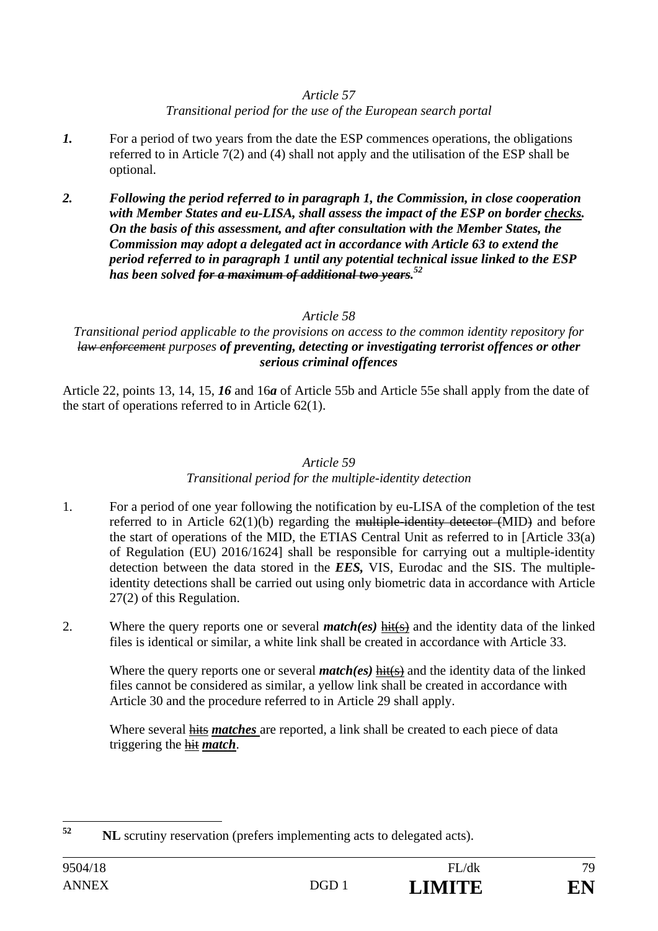### *Article 57*

#### *Transitional period for the use of the European search portal*

- *1.* For a period of two years from the date the ESP commences operations, the obligations referred to in Article 7(2) and (4) shall not apply and the utilisation of the ESP shall be optional.
- *2. Following the period referred to in paragraph 1, the Commission, in close cooperation with Member States and eu-LISA, shall assess the impact of the ESP on border checks. On the basis of this assessment, and after consultation with the Member States, the Commission may adopt a delegated act in accordance with Article 63 to extend the period referred to in paragraph 1 until any potential technical issue linked to the ESP has been solved for a maximum of additional two years.52*

## *Article 58*

### *Transitional period applicable to the provisions on access to the common identity repository for law enforcement purposes of preventing, detecting or investigating terrorist offences or other serious criminal offences*

Article 22, points 13, 14, 15, *16* and 16*a* of Article 55b and Article 55e shall apply from the date of the start of operations referred to in Article 62(1).

#### *Article 59*

# *Transitional period for the multiple-identity detection*

- 1. For a period of one year following the notification by eu-LISA of the completion of the test referred to in Article 62(1)(b) regarding the multiple-identity detector (MID) and before the start of operations of the MID, the ETIAS Central Unit as referred to in [Article 33(a) of Regulation (EU) 2016/1624] shall be responsible for carrying out a multiple-identity detection between the data stored in the *EES,* VIS, Eurodac and the SIS. The multipleidentity detections shall be carried out using only biometric data in accordance with Article 27(2) of this Regulation.
- 2. Where the query reports one or several *match(es)* hit(s) and the identity data of the linked files is identical or similar, a white link shall be created in accordance with Article 33.

Where the query reports one or several *match(es)* hit(s) and the identity data of the linked files cannot be considered as similar, a yellow link shall be created in accordance with Article 30 and the procedure referred to in Article 29 shall apply.

Where several hits *matches* are reported, a link shall be created to each piece of data triggering the hit *match*.

 $52$ **<sup>52</sup> NL** scrutiny reservation (prefers implementing acts to delegated acts).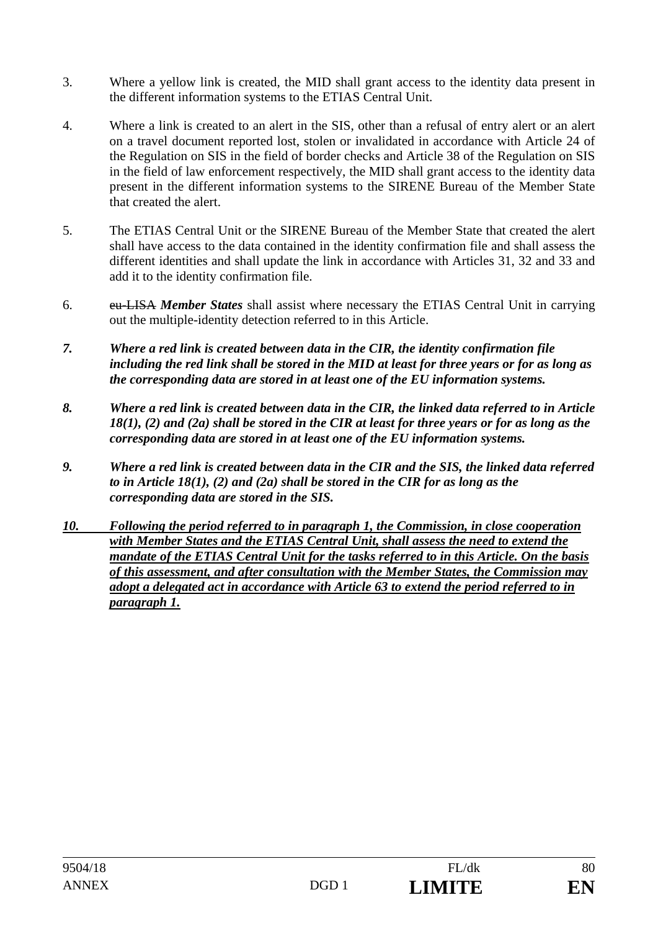- 3. Where a yellow link is created, the MID shall grant access to the identity data present in the different information systems to the ETIAS Central Unit.
- 4. Where a link is created to an alert in the SIS, other than a refusal of entry alert or an alert on a travel document reported lost, stolen or invalidated in accordance with Article 24 of the Regulation on SIS in the field of border checks and Article 38 of the Regulation on SIS in the field of law enforcement respectively, the MID shall grant access to the identity data present in the different information systems to the SIRENE Bureau of the Member State that created the alert.
- 5. The ETIAS Central Unit or the SIRENE Bureau of the Member State that created the alert shall have access to the data contained in the identity confirmation file and shall assess the different identities and shall update the link in accordance with Articles 31, 32 and 33 and add it to the identity confirmation file.
- 6. eu-LISA *Member States* shall assist where necessary the ETIAS Central Unit in carrying out the multiple-identity detection referred to in this Article.
- *7. Where a red link is created between data in the CIR, the identity confirmation file including the red link shall be stored in the MID at least for three years or for as long as the corresponding data are stored in at least one of the EU information systems.*
- *8. Where a red link is created between data in the CIR, the linked data referred to in Article 18(1), (2) and (2a) shall be stored in the CIR at least for three years or for as long as the corresponding data are stored in at least one of the EU information systems.*
- *9. Where a red link is created between data in the CIR and the SIS, the linked data referred to in Article 18(1), (2) and (2a) shall be stored in the CIR for as long as the corresponding data are stored in the SIS.*
- *10. Following the period referred to in paragraph 1, the Commission, in close cooperation with Member States and the ETIAS Central Unit, shall assess the need to extend the mandate of the ETIAS Central Unit for the tasks referred to in this Article. On the basis of this assessment, and after consultation with the Member States, the Commission may adopt a delegated act in accordance with Article 63 to extend the period referred to in paragraph 1.*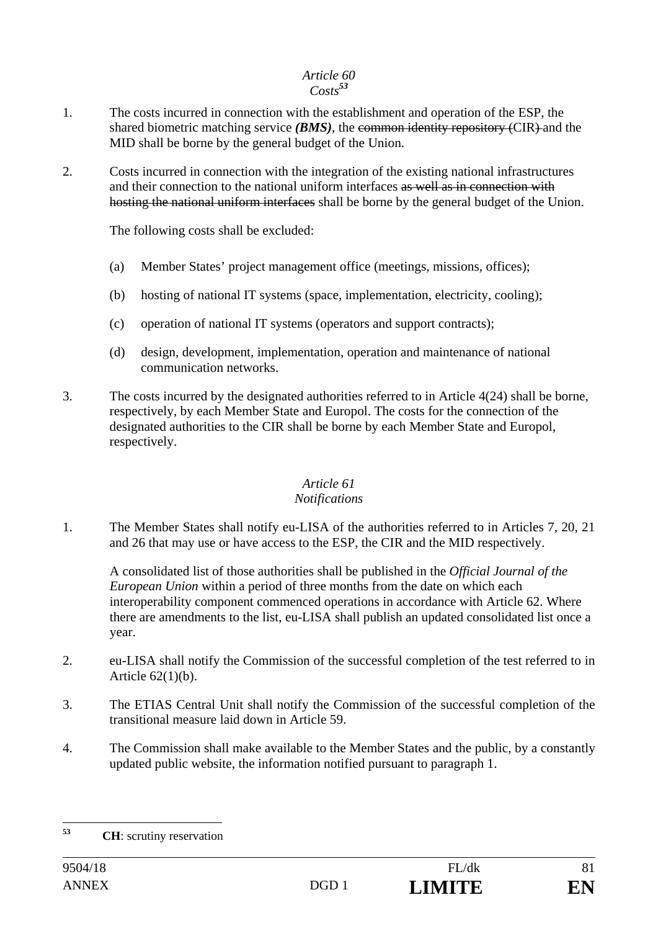#### *Article 60 Costs<sup>53</sup>*

- 1. The costs incurred in connection with the establishment and operation of the ESP, the shared biometric matching service *(BMS)*, the common identity repository *(CIR)* and the MID shall be borne by the general budget of the Union.
- 2. Costs incurred in connection with the integration of the existing national infrastructures and their connection to the national uniform interfaces as well as in connection with hosting the national uniform interfaces shall be borne by the general budget of the Union.

The following costs shall be excluded:

- (a) Member States' project management office (meetings, missions, offices);
- (b) hosting of national IT systems (space, implementation, electricity, cooling);
- (c) operation of national IT systems (operators and support contracts);
- (d) design, development, implementation, operation and maintenance of national communication networks.
- 3. The costs incurred by the designated authorities referred to in Article 4(24) shall be borne, respectively, by each Member State and Europol. The costs for the connection of the designated authorities to the CIR shall be borne by each Member State and Europol, respectively.

# *Article 61*

### *Notifications*

1. The Member States shall notify eu-LISA of the authorities referred to in Articles 7, 20, 21 and 26 that may use or have access to the ESP, the CIR and the MID respectively.

A consolidated list of those authorities shall be published in the *Official Journal of the European Union* within a period of three months from the date on which each interoperability component commenced operations in accordance with Article 62. Where there are amendments to the list, eu-LISA shall publish an updated consolidated list once a year.

- 2. eu-LISA shall notify the Commission of the successful completion of the test referred to in Article 62(1)(b).
- 3. The ETIAS Central Unit shall notify the Commission of the successful completion of the transitional measure laid down in Article 59.
- 4. The Commission shall make available to the Member States and the public, by a constantly updated public website, the information notified pursuant to paragraph 1.

 $53$ **<sup>53</sup> CH**: scrutiny reservation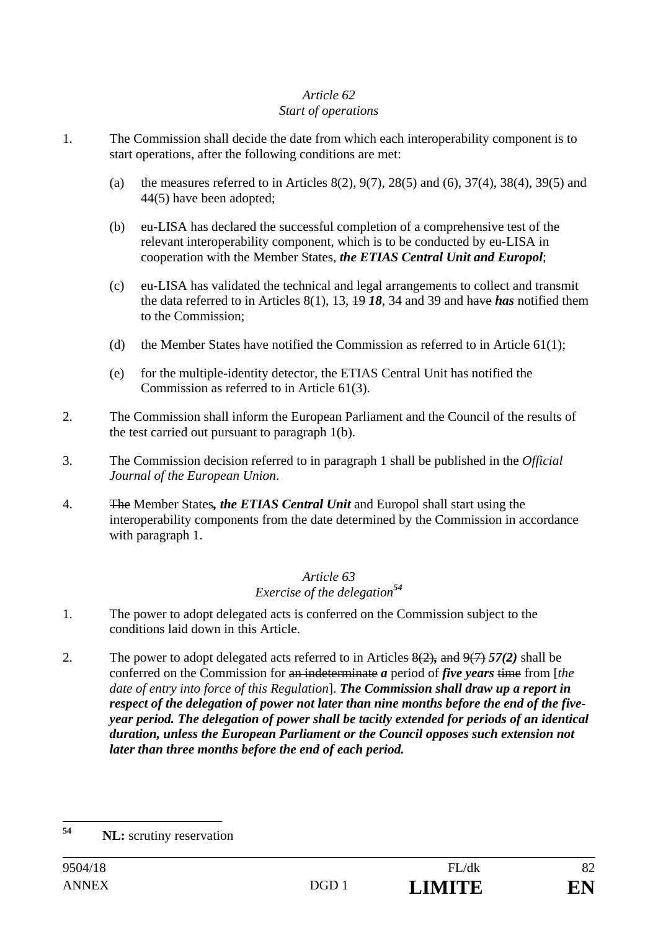#### *Article 62 Start of operations*

- 1. The Commission shall decide the date from which each interoperability component is to start operations, after the following conditions are met:
	- (a) the measures referred to in Articles 8(2), 9(7), 28(5) and (6), 37(4), 38(4), 39(5) and 44(5) have been adopted;
	- (b) eu-LISA has declared the successful completion of a comprehensive test of the relevant interoperability component, which is to be conducted by eu-LISA in cooperation with the Member States, *the ETIAS Central Unit and Europol*;
	- (c) eu-LISA has validated the technical and legal arrangements to collect and transmit the data referred to in Articles 8(1), 13, 19 *18*, 34 and 39 and have *has* notified them to the Commission;
	- (d) the Member States have notified the Commission as referred to in Article  $61(1)$ ;
	- (e) for the multiple-identity detector, the ETIAS Central Unit has notified the Commission as referred to in Article 61(3).
- 2. The Commission shall inform the European Parliament and the Council of the results of the test carried out pursuant to paragraph 1(b).
- 3. The Commission decision referred to in paragraph 1 shall be published in the *Official Journal of the European Union*.
- 4. The Member States*, the ETIAS Central Unit* and Europol shall start using the interoperability components from the date determined by the Commission in accordance with paragraph 1.

### *Article 63 Exercise of the delegation<sup>54</sup>*

- 1. The power to adopt delegated acts is conferred on the Commission subject to the conditions laid down in this Article.
- 2. The power to adopt delegated acts referred to in Articles 8(2)*,* and 9(7) *57(2)* shall be conferred on the Commission for an indeterminate *a* period of *five years* time from [*the date of entry into force of this Regulation*]. *The Commission shall draw up a report in respect of the delegation of power not later than nine months before the end of the fiveyear period. The delegation of power shall be tacitly extended for periods of an identical duration, unless the European Parliament or the Council opposes such extension not later than three months before the end of each period.*

<sup>54</sup> **NL:** scrutiny reservation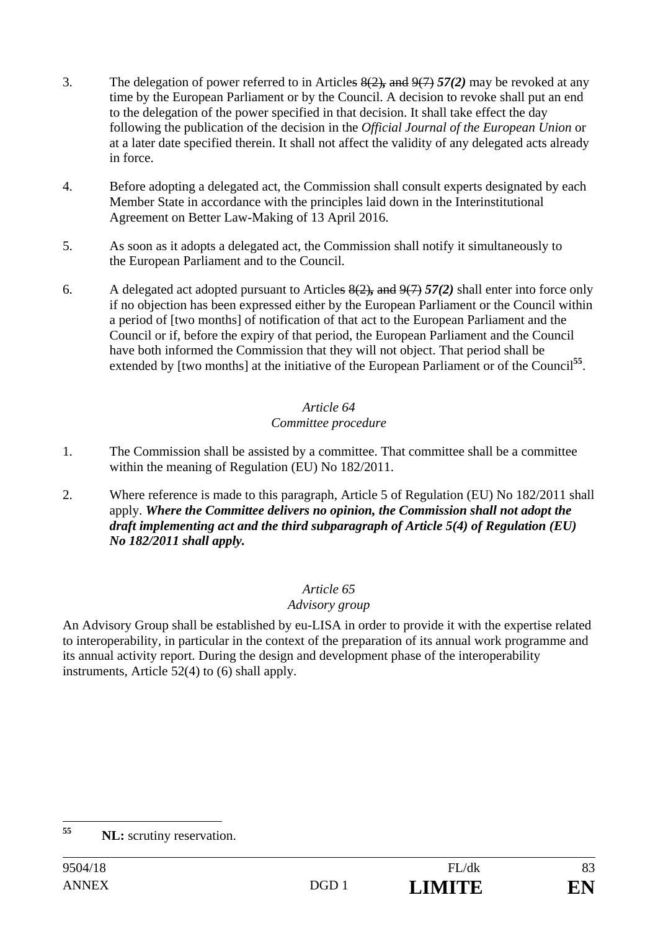- 3. The delegation of power referred to in Articles 8(2)*,* and 9(7) *57(2)* may be revoked at any time by the European Parliament or by the Council. A decision to revoke shall put an end to the delegation of the power specified in that decision. It shall take effect the day following the publication of the decision in the *Official Journal of the European Union* or at a later date specified therein. It shall not affect the validity of any delegated acts already in force.
- 4. Before adopting a delegated act, the Commission shall consult experts designated by each Member State in accordance with the principles laid down in the Interinstitutional Agreement on Better Law-Making of 13 April 2016.
- 5. As soon as it adopts a delegated act, the Commission shall notify it simultaneously to the European Parliament and to the Council.
- 6. A delegated act adopted pursuant to Articles 8(2)*,* and 9(7) *57(2)* shall enter into force only if no objection has been expressed either by the European Parliament or the Council within a period of [two months] of notification of that act to the European Parliament and the Council or if, before the expiry of that period, the European Parliament and the Council have both informed the Commission that they will not object. That period shall be extended by [two months] at the initiative of the European Parliament or of the Council<sup>55</sup>.

## *Article 64 Committee procedure*

- 1. The Commission shall be assisted by a committee. That committee shall be a committee within the meaning of Regulation (EU) No 182/2011.
- 2. Where reference is made to this paragraph, Article 5 of Regulation (EU) No 182/2011 shall apply. *Where the Committee delivers no opinion, the Commission shall not adopt the draft implementing act and the third subparagraph of Article 5(4) of Regulation (EU) No 182/2011 shall apply.*

# *Article 65*

# *Advisory group*

An Advisory Group shall be established by eu-LISA in order to provide it with the expertise related to interoperability, in particular in the context of the preparation of its annual work programme and its annual activity report. During the design and development phase of the interoperability instruments, Article 52(4) to (6) shall apply.

<sup>55</sup> **NL:** scrutiny reservation.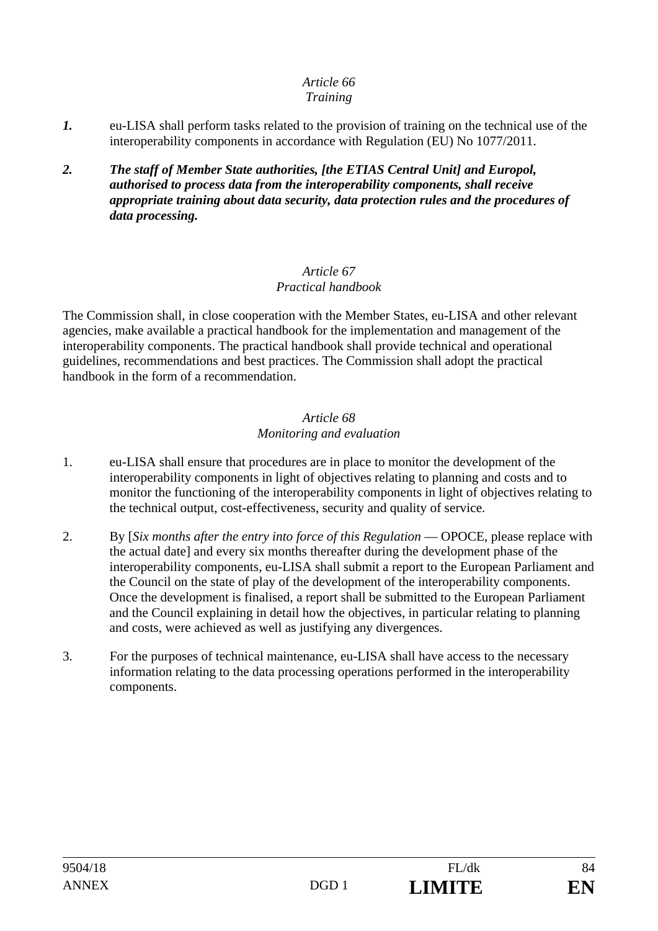#### *Article 66 Training*

- *1.* eu-LISA shall perform tasks related to the provision of training on the technical use of the interoperability components in accordance with Regulation (EU) No 1077/2011.
- *2. The staff of Member State authorities, [the ETIAS Central Unit] and Europol, authorised to process data from the interoperability components, shall receive appropriate training about data security, data protection rules and the procedures of data processing.*

#### *Article 67 Practical handbook*

The Commission shall, in close cooperation with the Member States, eu-LISA and other relevant agencies, make available a practical handbook for the implementation and management of the interoperability components. The practical handbook shall provide technical and operational guidelines, recommendations and best practices. The Commission shall adopt the practical handbook in the form of a recommendation.

#### *Article 68 Monitoring and evaluation*

- 1. eu-LISA shall ensure that procedures are in place to monitor the development of the interoperability components in light of objectives relating to planning and costs and to monitor the functioning of the interoperability components in light of objectives relating to the technical output, cost-effectiveness, security and quality of service.
- 2. By [*Six months after the entry into force of this Regulation* OPOCE, please replace with the actual date] and every six months thereafter during the development phase of the interoperability components, eu-LISA shall submit a report to the European Parliament and the Council on the state of play of the development of the interoperability components. Once the development is finalised, a report shall be submitted to the European Parliament and the Council explaining in detail how the objectives, in particular relating to planning and costs, were achieved as well as justifying any divergences.
- 3. For the purposes of technical maintenance, eu-LISA shall have access to the necessary information relating to the data processing operations performed in the interoperability components.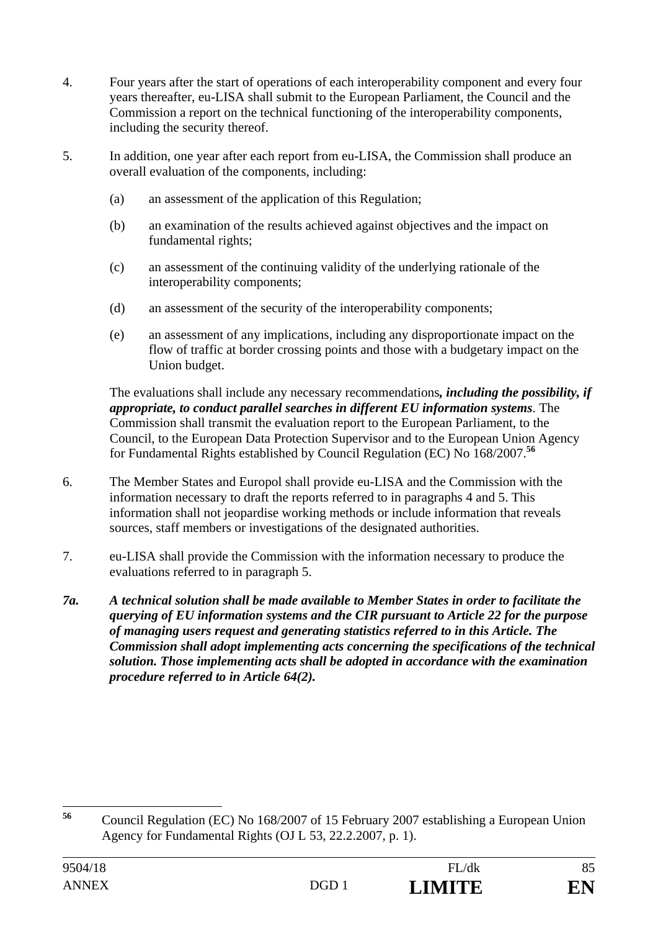- 4. Four years after the start of operations of each interoperability component and every four years thereafter, eu-LISA shall submit to the European Parliament, the Council and the Commission a report on the technical functioning of the interoperability components, including the security thereof.
- 5. In addition, one year after each report from eu-LISA, the Commission shall produce an overall evaluation of the components, including:
	- (a) an assessment of the application of this Regulation;
	- (b) an examination of the results achieved against objectives and the impact on fundamental rights;
	- (c) an assessment of the continuing validity of the underlying rationale of the interoperability components;
	- (d) an assessment of the security of the interoperability components;
	- (e) an assessment of any implications, including any disproportionate impact on the flow of traffic at border crossing points and those with a budgetary impact on the Union budget.

The evaluations shall include any necessary recommendations*, including the possibility, if appropriate, to conduct parallel searches in different EU information systems*. The Commission shall transmit the evaluation report to the European Parliament, to the Council, to the European Data Protection Supervisor and to the European Union Agency for Fundamental Rights established by Council Regulation (EC) No 168/2007.**<sup>56</sup>**

- 6. The Member States and Europol shall provide eu-LISA and the Commission with the information necessary to draft the reports referred to in paragraphs 4 and 5. This information shall not jeopardise working methods or include information that reveals sources, staff members or investigations of the designated authorities.
- 7. eu-LISA shall provide the Commission with the information necessary to produce the evaluations referred to in paragraph 5.
- *7a. A technical solution shall be made available to Member States in order to facilitate the querying of EU information systems and the CIR pursuant to Article 22 for the purpose of managing users request and generating statistics referred to in this Article. The Commission shall adopt implementing acts concerning the specifications of the technical solution. Those implementing acts shall be adopted in accordance with the examination procedure referred to in Article 64(2).*

<sup>56</sup> **<sup>56</sup>** Council Regulation (EC) No 168/2007 of 15 February 2007 establishing a European Union Agency for Fundamental Rights (OJ L 53, 22.2.2007, p. 1).